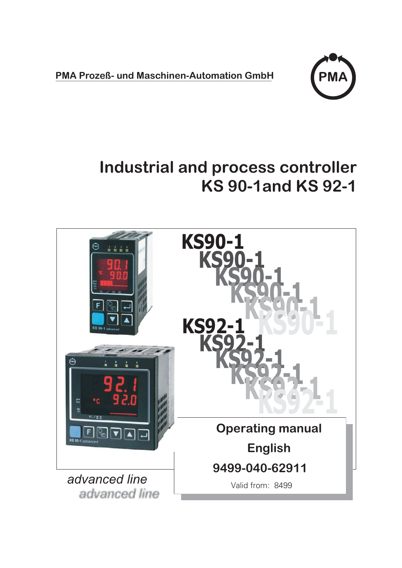**PMA Prozeß- und Maschinen-Automation GmbH**



# **Industrial and process controller KS 90-1and KS 92-1**

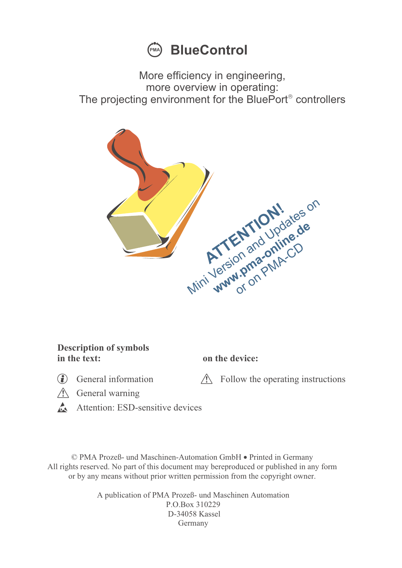

More efficiency in engineering, more overview in operating: The projecting environment for the BluePort® controllers



#### **Description of symbols in the text: on the device:**

General information  $\triangle$  Follow the operating instructions

- $\triangle$  General warning
- Attention: ESD-sensitive devices

© PMA Prozeß- und Maschinen-Automation GmbH • Printed in Germany All rights reserved. No part of this document may bereproduced or published in any form or by any means without prior written permission from the copyright owner.

> A publication of PMA Prozeß- und Maschinen Automation P.O.Box 310229 D-34058 Kassel Germany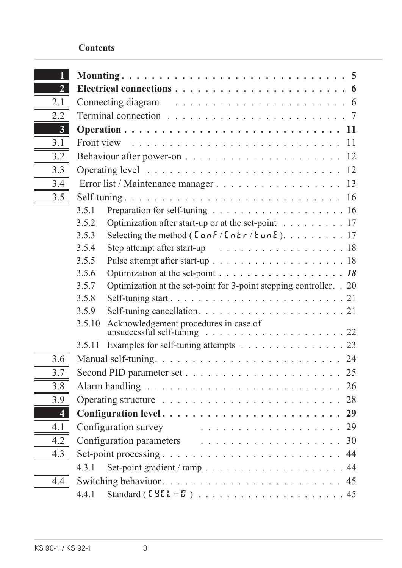#### **Contents**

| 2 <sup>1</sup>          |                                                                                                                                   |  |  |  |  |
|-------------------------|-----------------------------------------------------------------------------------------------------------------------------------|--|--|--|--|
| 2.1                     |                                                                                                                                   |  |  |  |  |
| 2.2                     | Terminal connection $\ldots \ldots \ldots \ldots \ldots \ldots \ldots \ldots \ldots$                                              |  |  |  |  |
| 3 <sup>1</sup>          |                                                                                                                                   |  |  |  |  |
| 3.1                     | Front view $\ldots \ldots \ldots \ldots \ldots \ldots \ldots \ldots \ldots \ldots 11$                                             |  |  |  |  |
| 3.2                     |                                                                                                                                   |  |  |  |  |
| 3.3                     |                                                                                                                                   |  |  |  |  |
| 3.4                     |                                                                                                                                   |  |  |  |  |
| 3.5                     |                                                                                                                                   |  |  |  |  |
|                         | 3.5.1                                                                                                                             |  |  |  |  |
|                         | Optimization after start-up or at the set-point $\dots \dots \dots \dots$<br>3.5.2                                                |  |  |  |  |
|                         | 3.5.3                                                                                                                             |  |  |  |  |
|                         | 3.5.4<br>Step attempt after start-up $\ldots \ldots \ldots \ldots \ldots \ldots \ldots 18$                                        |  |  |  |  |
|                         | 3.5.5                                                                                                                             |  |  |  |  |
|                         | Optimization at the set-point $\dots \dots \dots \dots \dots \dots \dots \dots 18$<br>3.5.6                                       |  |  |  |  |
|                         | Optimization at the set-point for 3-point stepping controller. . 20<br>3.5.7                                                      |  |  |  |  |
|                         | 3.5.8                                                                                                                             |  |  |  |  |
|                         | 3.5.9                                                                                                                             |  |  |  |  |
|                         | Acknowledgement procedures in case of<br>3.5.10<br>unsuccessful self-tuning $\ldots \ldots \ldots \ldots \ldots \ldots \ldots 22$ |  |  |  |  |
|                         | Examples for self-tuning attempts 23<br>3.5.11                                                                                    |  |  |  |  |
| 3.6                     |                                                                                                                                   |  |  |  |  |
| 3.7                     |                                                                                                                                   |  |  |  |  |
| 3.8                     | Alarm handling $\ldots \ldots \ldots \ldots \ldots \ldots \ldots \ldots \ldots 26$                                                |  |  |  |  |
| 3.9                     |                                                                                                                                   |  |  |  |  |
| $\overline{\mathbf{4}}$ |                                                                                                                                   |  |  |  |  |
| 4.1                     | Configuration survey<br>. 29                                                                                                      |  |  |  |  |
| 4.2                     |                                                                                                                                   |  |  |  |  |
| 4.3                     |                                                                                                                                   |  |  |  |  |
|                         | 4.3.1                                                                                                                             |  |  |  |  |
| 4.4                     |                                                                                                                                   |  |  |  |  |
|                         | 4.4.1                                                                                                                             |  |  |  |  |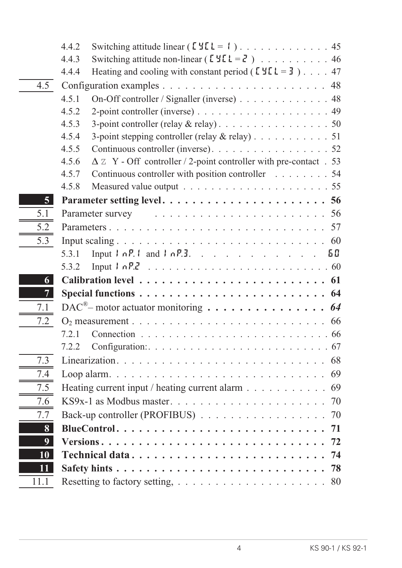|                | 4.4.2                                                                                                                                                                                                                                                                                                                                |  |
|----------------|--------------------------------------------------------------------------------------------------------------------------------------------------------------------------------------------------------------------------------------------------------------------------------------------------------------------------------------|--|
|                | Switching attitude non-linear ( $[YL = Z]$ ) 46<br>4.4.3                                                                                                                                                                                                                                                                             |  |
|                | Heating and cooling with constant period ( $[YL = 3]$ ) 47<br>4.4.4                                                                                                                                                                                                                                                                  |  |
| 4.5            |                                                                                                                                                                                                                                                                                                                                      |  |
|                | 4.5.1<br>On-Off controller / Signaller (inverse) 48                                                                                                                                                                                                                                                                                  |  |
|                | 4.5.2                                                                                                                                                                                                                                                                                                                                |  |
|                | 4.5.3                                                                                                                                                                                                                                                                                                                                |  |
|                | 4.5.4<br>3-point stepping controller (relay & relay) 51                                                                                                                                                                                                                                                                              |  |
|                | 4.5.5<br>Continuous controller (inverse). 52                                                                                                                                                                                                                                                                                         |  |
|                | $\Delta$ Z Y - Off controller / 2-point controller with pre-contact . 53<br>4.5.6                                                                                                                                                                                                                                                    |  |
|                | 4.5.7<br>Continuous controller with position controller 54                                                                                                                                                                                                                                                                           |  |
|                | 4.5.8                                                                                                                                                                                                                                                                                                                                |  |
| 5 <sup>1</sup> |                                                                                                                                                                                                                                                                                                                                      |  |
| 5.1            | Parameter survey extensive response to the contract of the parameter survey                                                                                                                                                                                                                                                          |  |
| 5.2            |                                                                                                                                                                                                                                                                                                                                      |  |
| 5.3            | Input scaling $\ldots \ldots \ldots \ldots \ldots \ldots \ldots \ldots \ldots \ldots \ldots \ldots 60$                                                                                                                                                                                                                               |  |
|                | Input $\ln P$ , $\ln \ln P$ , $\ln P$ , $\ln P$ , $\ln P$ , $\ln P$ , $\ln P$ , $\ln P$ , $\ln P$ , $\ln P$ , $\ln P$ , $\ln P$ , $\ln P$ , $\ln P$ , $\ln P$ , $\ln P$ , $\ln P$ , $\ln P$ , $\ln P$ , $\ln P$ , $\ln P$ , $\ln P$ , $\ln P$ , $\ln P$ , $\ln P$ , $\ln P$ , $\ln P$ , $\ln P$ , $\ln P$ , $\ln P$ , $\ln$<br>5.3.1 |  |
|                | 5.3.2                                                                                                                                                                                                                                                                                                                                |  |
| 6              |                                                                                                                                                                                                                                                                                                                                      |  |
| 7 <sup>1</sup> |                                                                                                                                                                                                                                                                                                                                      |  |
| 7.1            |                                                                                                                                                                                                                                                                                                                                      |  |
| 7.2            |                                                                                                                                                                                                                                                                                                                                      |  |
|                | 7.2.1                                                                                                                                                                                                                                                                                                                                |  |
|                | 7.2.2<br>Configuration: $\ldots \ldots \ldots \ldots \ldots \ldots \ldots \ldots \ldots \ldots 67$                                                                                                                                                                                                                                   |  |
| 7.3            |                                                                                                                                                                                                                                                                                                                                      |  |
| 7.4            |                                                                                                                                                                                                                                                                                                                                      |  |
| 7.5            | Heating current input / heating current alarm $\dots \dots \dots \dots \dots$                                                                                                                                                                                                                                                        |  |
| 7.6            |                                                                                                                                                                                                                                                                                                                                      |  |
| 7.7            | Back-up controller (PROFIBUS) 70                                                                                                                                                                                                                                                                                                     |  |
| 8              |                                                                                                                                                                                                                                                                                                                                      |  |
| 9              |                                                                                                                                                                                                                                                                                                                                      |  |
| 10             |                                                                                                                                                                                                                                                                                                                                      |  |
| 11             | Safety hints $\ldots \ldots \ldots \ldots \ldots \ldots \ldots \ldots \ldots \ldots \ldots$ 78                                                                                                                                                                                                                                       |  |
| 11.1           |                                                                                                                                                                                                                                                                                                                                      |  |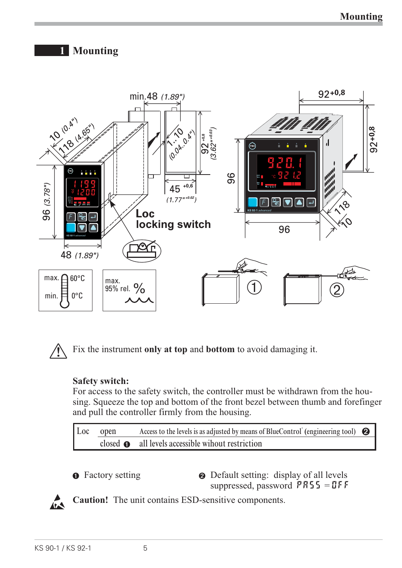## **1 Mounting**





Fix the instrument only at top and bottom to avoid damaging it.

#### **Safety switch:**

For access to the safety switch, the controller must be withdrawn from the housing. Squeeze the top and bottom of the front bezel between thumb and forefinger and pull the controller firmly from the housing.

Loc open Access to the levels is as adjusted by means of BlueControl<sup>+</sup> (engineering tool) <br>
also also all levels as a security with the contribution closed  $\bullet$  all levels accessible wihout restriction



**1** Factory setting **2** Default setting: display of all levels suppressed, password  $PAS5 = DFF$ 



**Caution!** The unit contains ESD-sensitive components.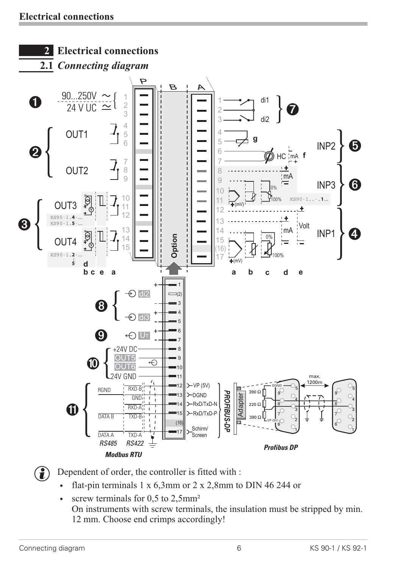

**the Dependent of order, the controller is fitted with :**<br> $\bullet$  flat-pin terminals 1 x 6.3mm or 2 x 2.8mm to

- flat-pin terminals 1 x 6,3mm or 2 x 2,8mm to DIN 46 244 or<br>• screw terminals for 0.5 to 2.5mm<sup>2</sup>
- screw terminals for  $0,5$  to  $2,5$ mm<sup>2</sup> On instruments with screw terminals, the insulation must be stripped by min. 12 mm. Choose end crimps accordingly!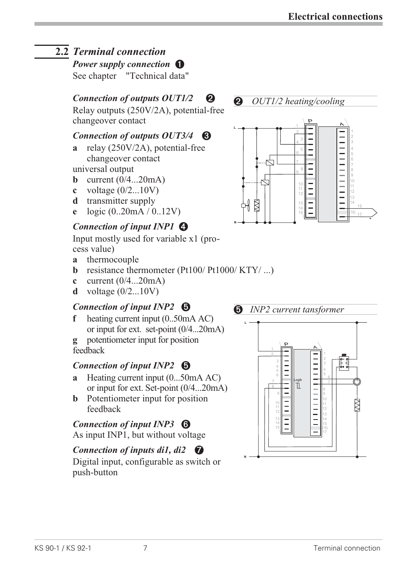## **2.2** *Terminal connection*

*Power supply connection* **0** 

See chapter "Technical data"

## *Connection of outputs OUT1/2* **2**

Relay outputs (250V/2A), potential-free changeover contact

#### *Connection of outputs OUT3/4* **8**

**a** relay (250V/2A), potential-free changeover contact

universal output

- **b** current (0/4...20mA)
- **c** voltage (0/2...10V)
- **d** transmitter supply
- **e** logic (0..20mA / 0..12V)

### *Connection of input INP1 4*

Input mostly used for variable x1 (process value)

- **a** thermocouple
- **b** resistance thermometer  $(Pt100/Pt1000/KTY/ ...)$
- **c** current (0/4...20mA)
- **d** voltage (0/2...10V)

### *Connection of input INP2 5*

**f** heating current input (0..50mA AC) or input for ext. set-point (0/4...20mA)

**g** potentiometer input for position feedback

### *Connection of input INP2 5*

- **a** Heating current input (0...50mA AC) or input for ext. Set-point (0/4...20mA)
- **b** Potentiometer input for position feedback

### *Connection of input INP3 6*

As input INP1, but without voltage

### *Connection of inputs di1, di2 D*

Digital input, configurable as switch or push-button

*2 OUT1/2 heating/cooling*



### *5 INP2 current tansformer*

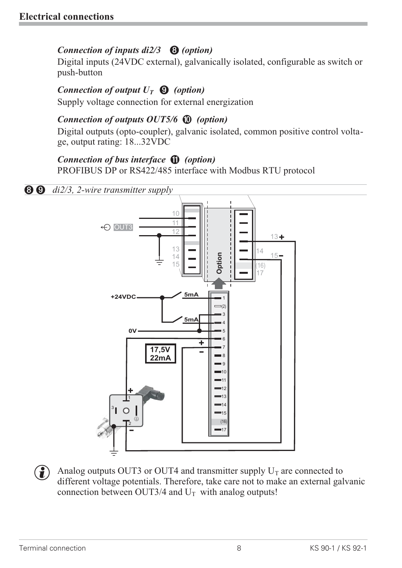#### *Connection of inputs di2/3 8 (option)*

Digital inputs (24VDC external), galvanically isolated, configurable as switch or push-button

### *Connection of output*  $U_T$  $\Theta$  *(option)*

Supply voltage connection for external energization

### *Connection of outputs OUT5/6 0 (option)*

Digital outputs (opto-coupler), galvanic isolated, common positive control voltage, output rating: 18...32VDC

### *Connection of bus interface ! (option)*

PROFIBUS DP or RS422/485 interface with Modbus RTU protocol



Analog outputs OUT3 or OUT4 and transmitter supply  $U_T$  are connected to different voltage potentials. Therefore, take care not to make an external ga connection between OUT3/4 and  $U_T$  with analog outputs! different voltage potentials. Therefore, take care not to make an external galvanic connection between OUT3/4 and  $U_T$  with analog outputs!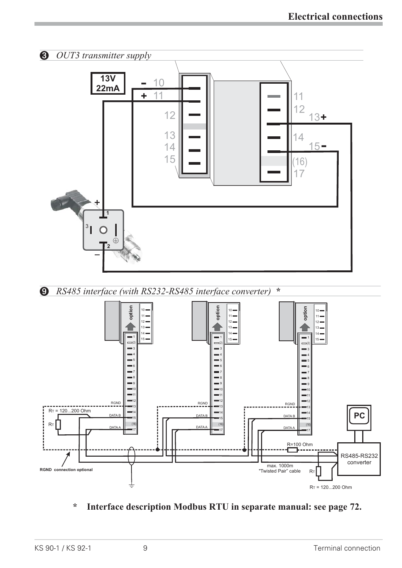

**\* Interface description Modbus RTU in separate manual: see page 72.**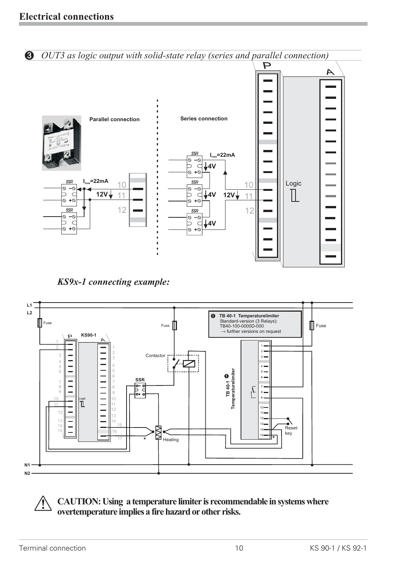

*KS9x-1 connecting example:*



a **CAUTION: Using a temperature limiter is recommendable in systems where overtemperature implies a fire hazard or other risks.**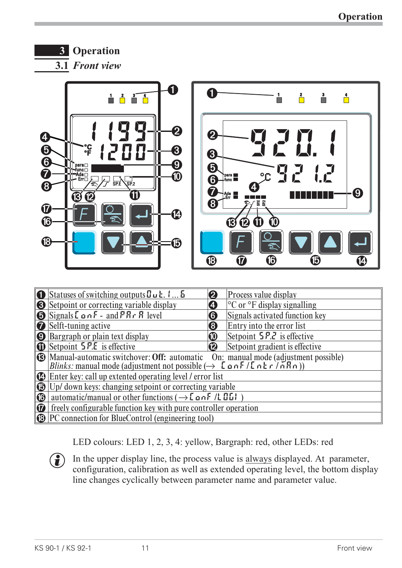## **3 Operation**

**3.1** *Front view*



| $\bullet$ Statuses of switching outputs $\mathbf{Z} \cup \mathbf{E}$ . $\mathbf{L} \cup \mathbf{S}$                                                                                                                                   | 2            | Process value display                         |  |
|---------------------------------------------------------------------------------------------------------------------------------------------------------------------------------------------------------------------------------------|--------------|-----------------------------------------------|--|
| Setpoint or correcting variable display                                                                                                                                                                                               | 4            | $\degree$ C or $\degree$ F display signalling |  |
| $\bigotimes$ Signals $\mathsf{L}$ on $\mathsf{F}$ - and $\mathsf{PR}$ $\mathsf{F}$ R level                                                                                                                                            | 6            | Signals activated function key                |  |
| <b>B</b> Selft-tuning active                                                                                                                                                                                                          | 8            | Entry into the error list                     |  |
| <b>O</b> Bargraph or plain text display                                                                                                                                                                                               | $\bf \Phi$   | Setpoint $5P.2$ is effective                  |  |
| <b>ID</b> Setpoint <b>5 P.E</b> is effective                                                                                                                                                                                          | $\mathbf{P}$ | Setpoint gradient is effective                |  |
| <b>B</b> Manual-automatic switchover: Off: automatic On: manual mode (adjustment possible)<br>Blinks: manual mode (adjustment not possible $(\rightarrow \text{L}_0 \cap \text{F}/\text{L}_0 \mid \text{F}/\text{R}_0)$ )             |              |                                               |  |
| $\mathbf{\Omega}$ Enter key: call up extented operating level / error list                                                                                                                                                            |              |                                               |  |
| $\begin{array}{ c c c c c }\hline \textbf{O} & \text{Up/ down keys: changing setpoint or correcting variable} \\\hline \textbf{O} & \text{automatic/ manual or other functions } (\rightarrow \text{LonF /LDI}) \\\hline \end{array}$ |              |                                               |  |
| automatic/manual or other functions ( $\rightarrow$ [anF / [15]                                                                                                                                                                       |              |                                               |  |
| $\boxed{\odot}$ freely configurable function key with pure controller operation                                                                                                                                                       |              |                                               |  |
| <b>B</b> PC connection for BlueControl (engineering tool)                                                                                                                                                                             |              |                                               |  |
|                                                                                                                                                                                                                                       |              |                                               |  |

LED colours: LED 1, 2, 3, 4: yellow, Bargraph: red, other LEDs: red

In the upper display line, the process value is  $\frac{always}{days}$  displayed. At parameter, configuration, calibration as well as extended operating level, the bottom disples line changes cyclically between parameter name and para configuration, calibration as well as extended operating level, the bottom display line changes cyclically between parameter name and parameter value.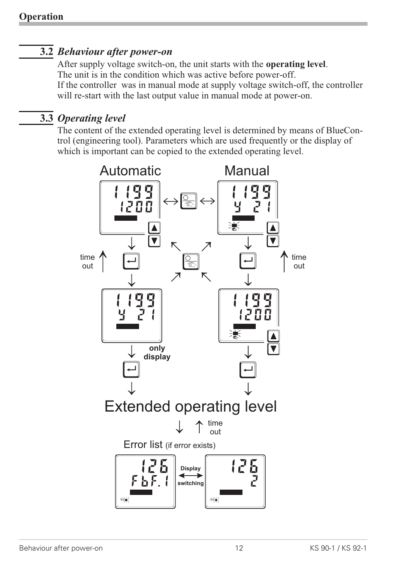## **3.2** *Behaviour after power-on*

After supply voltage switch-on, the unit starts with the **operating level**. The unit is in the condition which was active before power-off. If the controller was in manual mode at supply voltage switch-off, the controller will re-start with the last output value in manual mode at power-on.

### **3.3** *Operating level*

The content of the extended operating level is determined by means of BlueControl (engineering tool). Parameters which are used frequently or the display of which is important can be copied to the extended operating level.

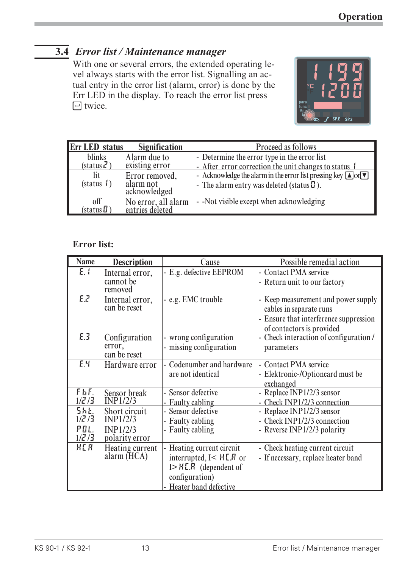## **3.4** *Error list / Maintenance manager*

With one or several errors, the extended operating level always starts with the error list. Signalling an actual entry in the error list (alarm, error) is done by the Err LED in the display. To reach the error list press  $\Box$  twice.



| <b>Err LED</b> status       | <b>Signification</b>                             | Proceed as follows                                                                                                                                                               |
|-----------------------------|--------------------------------------------------|----------------------------------------------------------------------------------------------------------------------------------------------------------------------------------|
| blinks<br>(status 2)<br>lit | Alarm due to<br>existing error<br>Error removed, | - Determine the error type in the error list<br>- After error correction the unit changes to status f<br>- Acknowledge the alarm in the error list pressing key $\Box$ or $\Box$ |
| (status 1                   | alarm not<br>acknowledged                        | - The alarm entry was deleted (status $\mathbf{\mathbf{\mathcal{Q}}}$ ).                                                                                                         |
| off<br>(status $\bm{\Pi}$ ) | No error, all alarm<br>entries deleted           | - Not visible except when acknowledging                                                                                                                                          |

#### **Error list:**

| <b>Name</b>                   | <b>Description</b>                      | Cause                                                                                                                                                         | Possible remedial action                                                                                                              |
|-------------------------------|-----------------------------------------|---------------------------------------------------------------------------------------------------------------------------------------------------------------|---------------------------------------------------------------------------------------------------------------------------------------|
| E.1                           | Internal error,<br>cannot be<br>removed | - E.g. defective EEPROM                                                                                                                                       | - Contact PMA service<br>- Return unit to our factory                                                                                 |
| E.2                           | Internal error,<br>can be reset         | - e.g. EMC trouble                                                                                                                                            | - Keep measurement and power supply<br>cables in separate runs<br>- Ensure that interference suppression<br>of contactors is provided |
| E.3                           | Configuration<br>error,<br>can be reset | - wrong configuration<br>- missing configuration                                                                                                              | - Check interaction of configuration /<br>parameters                                                                                  |
| E.Y                           | Hardware error                          | Codenumber and hardware<br>are not identical                                                                                                                  | - Contact PMA service<br>- Elektronic-/Optioncard must be<br>exchanged                                                                |
| FbF<br>$1/\sqrt{2}/3$         | Sensor break<br>INP1/2/3                | - Sensor defective<br><b>Faulty cabling</b>                                                                                                                   | - Replace INP1/2/3 sensor<br>- Check INP1/2/3 connection                                                                              |
| <b>Sht.</b><br>$1/\sqrt{2}/3$ | Short circuit<br><b>INP1/2/3</b>        | - Sensor defective<br>- Faulty cabling                                                                                                                        | - Replace INP1/2/3 sensor<br>- Check INP1/2/3 connection                                                                              |
| POL.<br>$1/\zeta/3$           | INP1/2/3<br>polarity error              | - Faulty cabling                                                                                                                                              | - Reverse INP1/2/3 polarity                                                                                                           |
| HER                           | Heating current<br>alarm (HCA)          | Heating current circuit<br>interrupted, $I < H\llbracket R \rrbracket$ or<br>$I > H\mathbf{L}$ . R (dependent of<br>configuration)<br>- Heater band defective | - Check heating current circuit<br>- If necessary, replace heater band                                                                |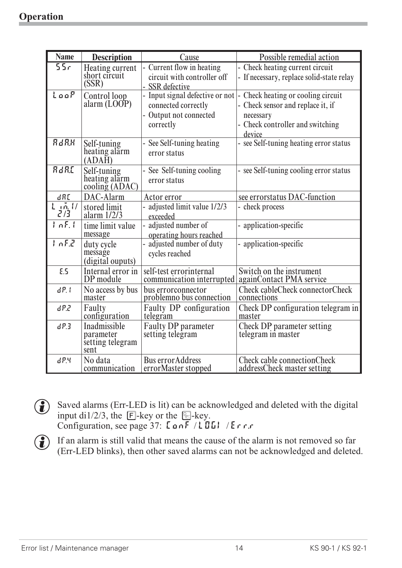| <b>Name</b>              | <b>Description</b>                                    | Cause                                                                                         | Possible remedial action                                                                                                         |
|--------------------------|-------------------------------------------------------|-----------------------------------------------------------------------------------------------|----------------------------------------------------------------------------------------------------------------------------------|
| 55r                      | Heating current<br>short circuit<br>(SSR)             | - Current flow in heating<br>circuit with controller off<br>- SSR defective                   | - Check heating current circuit<br>- If necessary, replace solid-state relay                                                     |
| Loop                     | Control loop<br>alarm $(LOOP)$                        | - Input signal defective or not<br>connected correctly<br>- Output not connected<br>correctly | Check heating or cooling circuit<br>- Check sensor and replace it, if<br>necessary<br>- Check controller and switching<br>device |
| RdRH                     | Self-tuning<br>heating alarm<br>(ADAH)                | - See Self-tuning heating<br>error status                                                     | - see Self-tuning heating error status                                                                                           |
| RdRE                     | Self-tuning<br>heating alarm<br>cooling (ADAC)        | - See Self-tuning cooling<br>error status                                                     | - see Self-tuning cooling error status                                                                                           |
| dRT                      | DAC-Alarm                                             | Actor error                                                                                   | see errorstatus DAC-function                                                                                                     |
| $L_{\rm 40h}$ $U$<br>273 | stored limit<br>alarm $1/2/3$                         | - adjusted limit value 1/2/3<br>exceeded                                                      | - check process                                                                                                                  |
| InF.1                    | time limit value<br>message                           | - adjusted number of<br>operating hours reached                                               | - application-specific                                                                                                           |
| Ind                      | duty cycle<br>message<br>(digital ouputs)             | - adjusted number of duty<br>cycles reached                                                   | application-specific                                                                                                             |
| E.5                      | Internal error in<br>DP module                        | self-test errorinternal<br>communication interrupted                                          | Switch on the instrument<br>againContact PMA service                                                                             |
| dP.1                     | No access by bus<br>master                            | bus errorconnector<br>problemno bus connection                                                | Check cableCheck connectorCheck<br>connections                                                                                   |
| dP.2                     | Faulty<br>configuration                               | Faulty DP configuration<br>telegram                                                           | Check DP configuration telegram in<br>master                                                                                     |
| dP.3                     | Inadmissible<br>parameter<br>setting telegram<br>sent | Faulty DP parameter<br>setting telegram                                                       | <b>Check DP</b> parameter setting<br>telegram in master                                                                          |
| dP.4                     | No data<br>communication                              | <b>Bus errorAddress</b><br>errorMaster stopped                                                | <b>Check cable connectionCheck</b><br>addressCheck master setting                                                                |

- G Saved alarms (Err-LED is lit) can be acknowledged and deleted with the digital<br>input di1/2/3, the  $\boxed{F}$ -key or the  $\boxed{F}$ -key.<br>Configuration, see page 37:  $\boxed{L \cdot F}$  /  $\boxed{L \cdot F}$ .
- $\bigodot$  If an alarm is still valid that means the cause of the alarm is not removed so far (Err-LED blinks), then other saved alarms can not be acknowledged and deleted.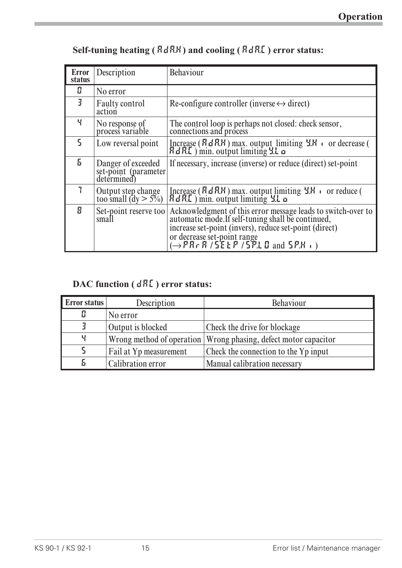| <b>Error</b><br>status | Description                                                | <b>Behaviour</b>                                                                                                                                                                                                                                                                        |
|------------------------|------------------------------------------------------------|-----------------------------------------------------------------------------------------------------------------------------------------------------------------------------------------------------------------------------------------------------------------------------------------|
| П                      | No error                                                   |                                                                                                                                                                                                                                                                                         |
| 3                      | <b>Faulty control</b><br>action                            | Re-configure controller (inverse $\leftrightarrow$ direct)                                                                                                                                                                                                                              |
| Ч                      | No response of<br>process variable                         | The control loop is perhaps not closed: check sensor,<br>connections and process                                                                                                                                                                                                        |
| 5.                     | Low reversal point                                         | Increase $(RdRM)$ max. output limiting $4M$ correction of $dRL$ ) min. output limiting $4L \Omega$                                                                                                                                                                                      |
| 5.                     | Danger of exceeded<br>set-point (parameter)<br>determined) | If necessary, increase (inverse) or reduce (direct) set-point                                                                                                                                                                                                                           |
|                        | Output step change<br>too small $(dy > 5\%)$               | Increase $(RdRR)$ max. output limiting $4.H$ or reduce (<br>$RdRL$ ) min. output limiting $4.L$ $\omega$                                                                                                                                                                                |
| Я                      | Set-point reserve too<br>small                             | Acknowledgment of this error message leads to switch-over to<br>automatic mode.If self-tuning shall be continued,<br>increase set-point (invers), reduce set-point (direct)<br>or decrease set-point range<br>$(\rightarrow P R \cdot R / 5E E P / 5P \cdot L \square$ and $5P \cdot H$ |

## **Self-tuning heating ( ADA.H) and cooling ( ADA.C) error status:**

## **DAC function ( DAC) error status:**

| <b>Error status</b> | Description            | <b>Behaviour</b>                                                  |
|---------------------|------------------------|-------------------------------------------------------------------|
|                     | No error               |                                                                   |
|                     | Output is blocked      | Check the drive for blockage                                      |
| Ч                   |                        | Wrong method of operation   Wrong phasing, defect motor capacitor |
| 5                   | Fail at Yp measurement | Check the connection to the Yp input                              |
|                     | Calibration error      | Manual calibration necessary                                      |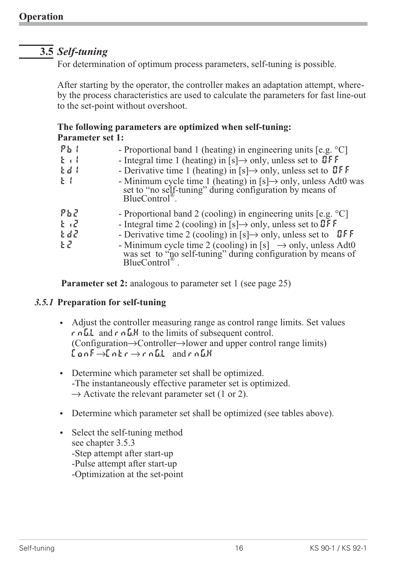## **3.5** *Self-tuning*

For determination of optimum process parameters, self-tuning is possible.

After starting by the operator, the controller makes an adaptation attempt, whereby the process characteristics are used to calculate the parameters for fast line-out to the set-point without overshoot.

#### **The following parameters are optimized when self-tuning: Parameter set 1:**

| ዖኤ                     | - Proportional band 1 (heating) in engineering units [e.g. °C]                                                                                                                                                                                                                                                                                                                                                   |
|------------------------|------------------------------------------------------------------------------------------------------------------------------------------------------------------------------------------------------------------------------------------------------------------------------------------------------------------------------------------------------------------------------------------------------------------|
| $k +$                  | - Integral time 1 (heating) in [s] $\rightarrow$ only, unless set to <b>OFF</b>                                                                                                                                                                                                                                                                                                                                  |
| Ed I                   | - Derivative time 1 (heating) in [s] $\rightarrow$ only, unless set to <b>QFF</b>                                                                                                                                                                                                                                                                                                                                |
| ŁΙ                     | - Minimum cycle time 1 (heating) in [s] $\rightarrow$ only, unless Adt0 was set to "no self-tuning" during configuration by means of BlueControl <sup>®</sup> .                                                                                                                                                                                                                                                  |
| ዖኔሪ<br>とば<br>Edd<br>ΕZ | - Proportional band 2 (cooling) in engineering units [e.g. $^{\circ}$ C]<br>- Integral time 2 (cooling) in [s] $\rightarrow$ only, unless set to UFF<br>- Derivative time 2 (cooling) in [s] $\rightarrow$ only, unless set to <b>UFF</b><br>- Minimum cycle time 2 (cooling) in [s] $\rightarrow$ only, unless Adt0 was set to "no self-tuning" during configuration by means of<br>$BlueControl^{\circledR}$ . |

**Parameter set 2:** analogous to parameter set 1 (see page 25)

#### *3.5.1* **Preparation for self-tuning**

- Adjust the controller measuring range as control range limits. Set values  $r \nabla \cdot L$  and  $r \nabla L$  to the limits of subsequent control.  $(Configuration \rightarrow Controler \rightarrow lower and upper control range limits)$  $\mathcal{L}$ on $\mathcal{F} \rightarrow \mathcal{L}$ ntr $\rightarrow$ rnG.L and rnG.H
- Determine which parameter set shall be optimized. -The instantaneously effective parameter set is optimized.  $\rightarrow$  Activate the relevant parameter set (1 or 2).
- Determine which parameter set shall be optimized (see tables above).
- Select the self-tuning method see chapter 3.5.3 -Step attempt after start-up -Pulse attempt after start-up -Optimization at the set-point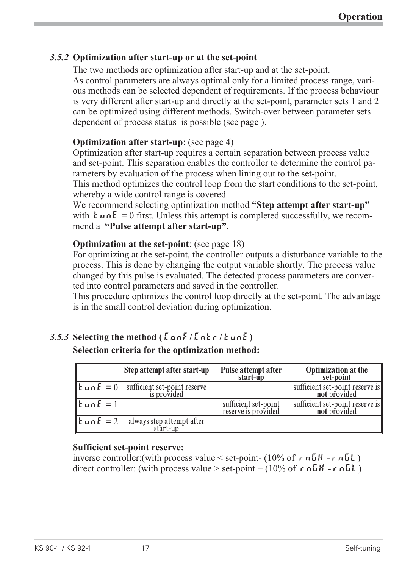#### *3.5.2* **Optimization after start-up or at the set-point**

The two methods are optimization after start-up and at the set-point. As control parameters are always optimal only for a limited process range, various methods can be selected dependent of requirements. If the process behaviour is very different after start-up and directly at the set-point, parameter sets 1 and 2 can be optimized using different methods. Switch-over between parameter sets dependent of process status is possible (see page ).

#### **Optimization after start-up**: (see page 4)

Optimization after start-up requires a certain separation between process value and set-point. This separation enables the controller to determine the control parameters by evaluation of the process when lining out to the set-point. This method optimizes the control loop from the start conditions to the set-point, whereby a wide control range is covered.

We recommend selecting optimization method **"Step attempt after start-up"** with  $\mathbf{E} \cup \mathbf{n} \mathbf{E} = 0$  first. Unless this attempt is completed successfully, we recommend a **"Pulse attempt after start-up"**.

#### **Optimization at the set-point**: (see page 18)

For optimizing at the set-point, the controller outputs a disturbance variable to the process. This is done by changing the output variable shortly. The process value changed by this pulse is evaluated. The detected process parameters are converted into control parameters and saved in the controller.

This procedure optimizes the control loop directly at the set-point. The advantage is in the small control deviation during optimization.

## $3.5.3$  **Selecting the method (** $\lceil \ln(5) \rceil$ **,**  $\lceil \ln(5) \rceil$ **)**

#### **Selection criteria for the optimization method:**

|                                              | Step attempt after start-up                 | <b>Pulse attempt after</b><br>start-up      | <b>Optimization at the</b><br>set-point                     |
|----------------------------------------------|---------------------------------------------|---------------------------------------------|-------------------------------------------------------------|
| $\ $ Łun $E=0$                               | sufficient set-point reserve<br>is provided |                                             | sufficient set-point reserve is $\parallel$<br>not provided |
| $\mathbf{E}$ un $\mathbf{E} = 1$             |                                             | sufficient set-point<br>reserve is provided | sufficient set-point reserve is<br>not provided             |
| $\mathbf{I}$ tun $\mathbf{E} = 2 \mathbf{I}$ | always step attempt after<br>start-up       |                                             |                                                             |

#### **Sufficient set-point reserve:**

inverse controller: (with process value  $\le$  set-point- (10% of r nGH - r nGL) direct controller: (with process value  $>$  set-point + (10% of r  $n \Delta H$  -r  $n \Delta L$ )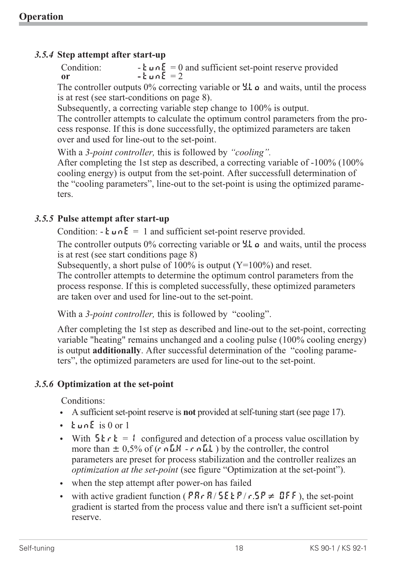#### *3.5.4* **Step attempt after start-up**

Condition:  $\mathbf{L} \cdot \mathbf{L} = 0$  and sufficient set-point reserve provided or  $\tanE = 2$ 

The controller outputs  $0\%$  correcting variable or  $\mathcal{L}$  and waits, until the process is at rest (see start-conditions on page 8).

Subsequently, a correcting variable step change to 100% is output.

The controller attempts to calculate the optimum control parameters from the process response. If this is done successfully, the optimized parameters are taken over and used for line-out to the set-point.

With a *3-point controller,* this is followed by *"cooling".*

After completing the 1st step as described, a correcting variable of -100% (100% cooling energy) is output from the set-point. After successfull determination of the "cooling parameters", line-out to the set-point is using the optimized parameters.

#### *3.5.5* **Pulse attempt after start-up**

Condition:  $\cdot$  **L**  $\cup$   $\cap$  **E** = 1 and sufficient set-point reserve provided.

The controller outputs  $0\%$  correcting variable or  $\sharp L \circ \sharp$  and waits, until the process is at rest (see start conditions page 8)

Subsequently, a short pulse of  $100\%$  is output (Y=100%) and reset.

The controller attempts to determine the optimum control parameters from the process response. If this is completed successfully, these optimized parameters are taken over and used for line-out to the set-point.

With a *3-point controller,* this is followed by "cooling".

After completing the 1st step as described and line-out to the set-point, correcting variable "heating" remains unchanged and a cooling pulse (100% cooling energy) is output **additionally**. After successful determination of the "cooling parameters", the optimized parameters are used for line-out to the set-point.

#### *3.5.6* **Optimization at the set-point**

Conditions:

- w A sufficient set-point reserve is **not** provided at self-tuning start (see page 17).
- w tunE is 0 or 1
- With  $5 \epsilon r \epsilon = 1$  configured and detection of a process value oscillation by more than  $\pm 0.5\%$  of (r nGH - r nGL) by the controller, the control parameters are preset for process stabilization and the controller realizes an *optimization at the set-point* (see figure "Optimization at the set-point").
- when the step attempt after power-on has failed
- with active gradient function ( $P R r R / 5E E P / r. 5P \neq \mathbb{Q} F F$ ), the set-point gradient is started from the process value and there isn't a sufficient set-point reserve.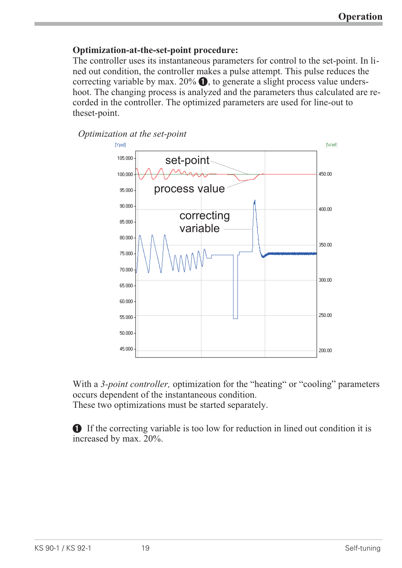#### **Optimization-at-the-set-point procedure:**

The controller uses its instantaneous parameters for control to the set-point. In lined out condition, the controller makes a pulse attempt. This pulse reduces the correcting variable by max.  $20\%$   $\bullet$ , to generate a slight process value undershoot. The changing process is analyzed and the parameters thus calculated are recorded in the controller. The optimized parameters are used for line-out to theset-point.



With a *3-point controller,* optimization for the "heating" or "cooling" parameters occurs dependent of the instantaneous condition. These two optimizations must be started separately.

1 If the correcting variable is too low for reduction in lined out condition it is increased by max. 20%.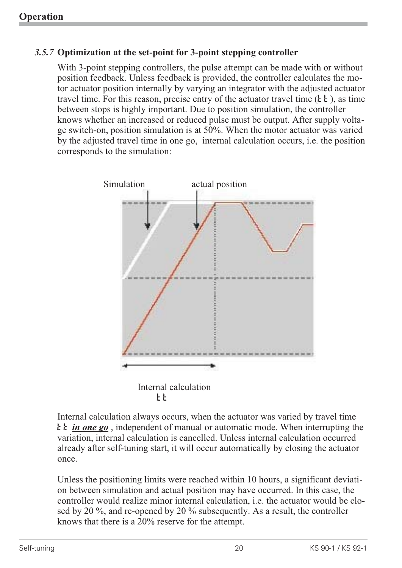#### *3.5.7* **Optimization at the set-point for 3-point stepping controller**

With 3-point stepping controllers, the pulse attempt can be made with or without position feedback. Unless feedback is provided, the controller calculates the motor actuator position internally by varying an integrator with the adjusted actuator travel time. For this reason, precise entry of the actuator travel time  $(\mathbf{k} \mathbf{k})$ , as time between stops is highly important. Due to position simulation, the controller knows whether an increased or reduced pulse must be output. After supply voltage switch-on, position simulation is at 50%. When the motor actuator was varied by the adjusted travel time in one go, internal calculation occurs, i.e. the position corresponds to the simulation:



Internal calculation always occurs, when the actuator was varied by travel time t **in one go**, independent of manual or automatic mode. When interrupting the variation, internal calculation is cancelled. Unless internal calculation occurred already after self-tuning start, it will occur automatically by closing the actuator once.

Unless the positioning limits were reached within 10 hours, a significant deviation between simulation and actual position may have occurred. In this case, the controller would realize minor internal calculation, i.e. the actuator would be closed by 20 %, and re-opened by 20 % subsequently. As a result, the controller knows that there is a 20% reserve for the attempt.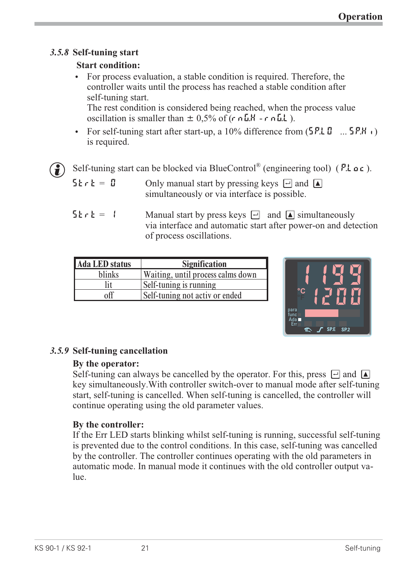### *3.5.8* **Self-tuning start**

#### **Start condition:**

w For process evaluation, a stable condition is required. Therefore, the controller waits until the process has reached a stable condition after self-tuning start.

The rest condition is considered being reached, when the process value oscillation is smaller than  $\pm$  0,5% of (r nGH - r nGL).

For self-tuning start after start-up, a 10% difference from  $(5P.L \mathbb{D} \dots 5P.H)$ is required.

G Self-tuning start can be blocked via BlueControl<sup>®</sup> (engineering tool) (P.Loc).<br>5 k c k =  $\[\mathbf{g}\]$  Only manual start by pressing keys  $\[\n\exists\]$  and  $\[\n\mathbf{g}\]$ 

Only manual start by pressing keys  $\Box$  and  $\Box$ simultaneously or via interface is possible.

 $5 \mathsf{tr} \mathsf{t} = 1$  Manual start by press keys  $\Box$  and  $\Box$  simultaneously via interface and automatic start after power-on and detection of process oscillations.

| <b>Signification</b><br>Ada LED status      |  |
|---------------------------------------------|--|
| blinks<br>Waiting, until process calms down |  |
| Self-tuning is running                      |  |
| Self-tuning not activ or ended              |  |



### *3.5.9* **Self-tuning cancellation**

#### **By the operator:**

Self-tuning can always be cancelled by the operator. For this, press  $\Box$  and  $\Box$ key simultaneously.With controller switch-over to manual mode after self-tuning start, self-tuning is cancelled. When self-tuning is cancelled, the controller will continue operating using the old parameter values.

#### **By the controller:**

If the Err LED starts blinking whilst self-tuning is running, successful self-tuning is prevented due to the control conditions. In this case, self-tuning was cancelled by the controller. The controller continues operating with the old parameters in automatic mode. In manual mode it continues with the old controller output value.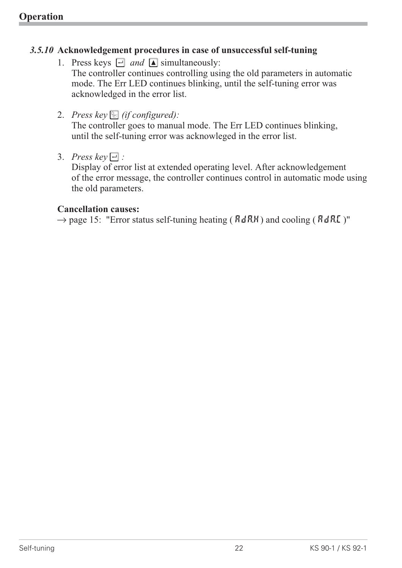#### *3.5.10* **Acknowledgement procedures in case of unsuccessful self-tuning**

- 1. Press keys  $\Box$  *and*  $\Box$  simultaneously: The controller continues controlling using the old parameters in automatic mode. The Err LED continues blinking, until the self-tuning error was acknowledged in the error list.
- 2. *Press key solution (if configured):*

The controller goes to manual mode. The Err LED continues blinking, until the self-tuning error was acknowleged in the error list.

3. *Press key*  $\Box$  *:* 

Display of error list at extended operating level. After acknowledgement of the error message, the controller continues control in automatic mode using the old parameters.

#### **Cancellation causes:**

 $\rightarrow$  page 15: "Error status self-tuning heating ( $RdRM$ ) and cooling ( $RdRL$ )"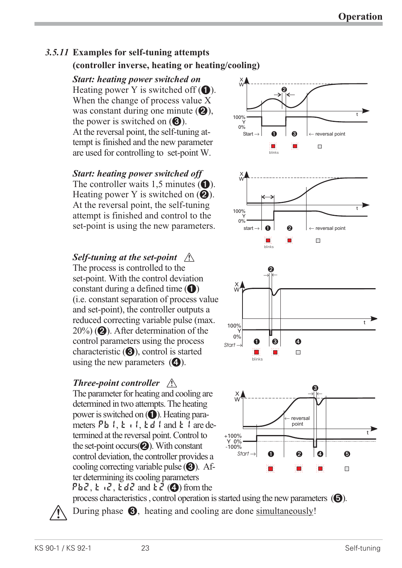### *3.5.11* **Examples for self-tuning attempts (controller inverse, heating or heating/cooling)**

*Start: heating power switched on* Heating power Y is switched off  $(1)$ . When the change of process value X was constant during one minute  $(2)$ , the power is switched on  $\Theta$ ). At the reversal point, the self-tuning attempt is finished and the new parameter are used for controlling to set-point W.

*Start: heating power switched off* The controller waits 1,5 minutes  $(①)$ . Heating power Y is switched on  $(Q)$ . At the reversal point, the self-tuning attempt is finished and control to the set-point is using the new parameters.

## *Self-tuning at the set-point*  $\bigwedge$

The process is controlled to the set-point. With the control deviation constant during a defined time  $(1)$ (i.e. constant separation of process value and set-point), the controller outputs a reduced correcting variable pulse (max.  $20\%$ ) (2). After determination of the control parameters using the process characteristic  $(\bigodot)$ , control is started using the new parameters  $\mathbf{\Theta}$ ).

### *Three-point controller*  $\bigwedge$

The parameter for heating and cooling are determined in two attempts. The heating power is switched on  $\left( \bigodot \right)$ . Heating parameters  $Pb1$ ,  $t1$ ,  $t d1$  and  $t1$  are determined at the reversal point. Control to the set-point occurs $(2)$ . With constant control deviation, the controller provides a cooling correcting variable pulse  $\Theta$ ). After determining its cooling parameters Pb2,  $k \in \mathbb{Z}$ ,  $k \notin \mathbb{Z}$  and  $k \in \mathbb{Q}$ ) from the









process characteristics, control operation is started using the new parameters  $\Theta$ ). During phase  $\Theta$ , heating and cooling are done simultaneously!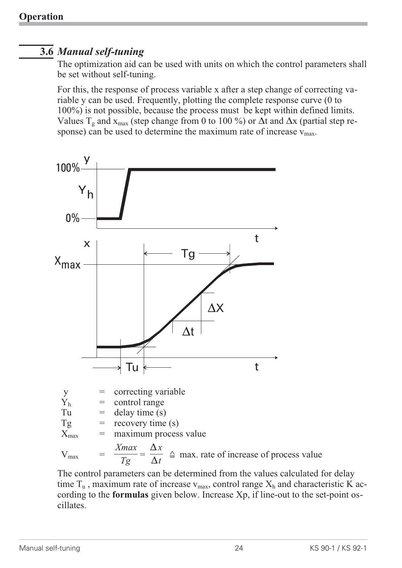## **3.6** *Manual self-tuning*

The optimization aid can be used with units on which the control parameters shall be set without self-tuning.

For this, the response of process variable x after a step change of correcting variable y can be used. Frequently, plotting the complete response curve (0 to 100%) is not possible, because the process must be kept within defined limits. Values  $T_g$  and  $x_{max}$  (step change from 0 to 100 %) or  $\Delta t$  and  $\Delta x$  (partial step response) can be used to determine the maximum rate of increase  $v_{\text{max}}$ .



The control parameters can be determined from the values calculated for delay time  $T_u$ , maximum rate of increase  $v_{max}$ , control range  $X_h$  and characteristic K according to the **formulas** given below. Increase Xp, if line-out to the set-point oscillates.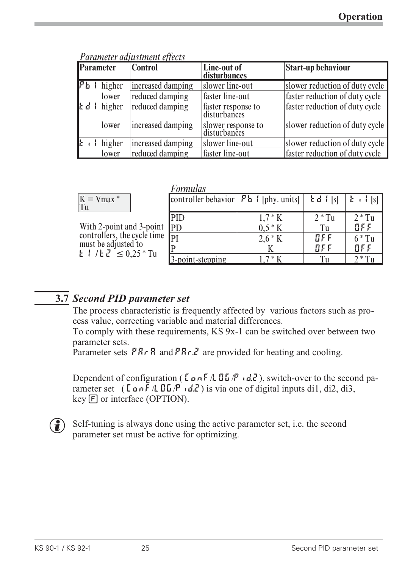| <b>Parameter</b>                 | <b>Control</b>    | Line-out of<br>disturbances        | <b>Start-up behaviour</b>      |
|----------------------------------|-------------------|------------------------------------|--------------------------------|
| $P_b$   higher                   | increased damping | slower line-out                    | slower reduction of duty cycle |
| lower                            | reduced damping   | faster line-out                    | faster reduction of duty cycle |
| $\mathbf{E} \mathbf{d}$ f higher | reduced damping   | faster response to<br>disturbances | faster reduction of duty cycle |
| lower                            | increased damping | slower response to<br>disturbances | slower reduction of duty cycle |
| $\mathbf{k}$ if higher           | increased damping | slower line-out                    | slower reduction of duty cycle |
| lower                            | reduced damping   | faster line-out                    | faster reduction of duty cycle |

*Parameter adjustment effects*

| $\Lambda$ |
|-----------|
|-----------|

With 2-point and 3-point controllers, the cycle time must be adjusted to  $t$  /  $t$   $\overline{c}$   $\leq$  0.25  $^{\circ}$  Tu

| <i>Formulas</i>                                                  |           |            |                                        |
|------------------------------------------------------------------|-----------|------------|----------------------------------------|
| controller behavior $\vert$ $P_{b}$ $\vert$ [phy. units] $\vert$ |           | $Ed$ $[s]$ | $\mathbf{L}$ $\mathbf{I}$ $\mathbf{S}$ |
| PID                                                              | $1.7 * K$ | $2 * Tu$   | $2 * Tu$                               |
| <b>IPD</b>                                                       | $0.5 * K$ | Tu         | BFF                                    |
| PI                                                               | $2.6 * K$ | BFE        | $6 * Tu$                               |
|                                                                  |           | BFE        | BFF                                    |
| 3-point-stepping                                                 | $*K$      | ľп         | $*T_{U}$                               |

## **3.7** *Second PID parameter set*

The process characteristic is frequently affected by various factors such as process value, correcting variable and material differences.

To comply with these requirements, KS 9x-1 can be switched over between two parameter sets.

Parameter sets  $PR \rightharpoonup R$  and  $PR \rightharpoonup R$  are provided for heating and cooling.

Dependent of configuration ( $\mathsf{L} \circ \mathsf{L} \circ \mathsf{L} \circ \mathsf{L} \circ \mathsf{L}$ ), switch-over to the second parameter set  $(\text{LonF/LBE/P i.d.}^2)$  is via one of digital inputs di1, di2, di3,  $key$   $F$  or interface (OPTION).



 $\binom{2}{k}$  Self-tuning is always done using the active parameter set, i.e. the second parameter set must be active for optimizing.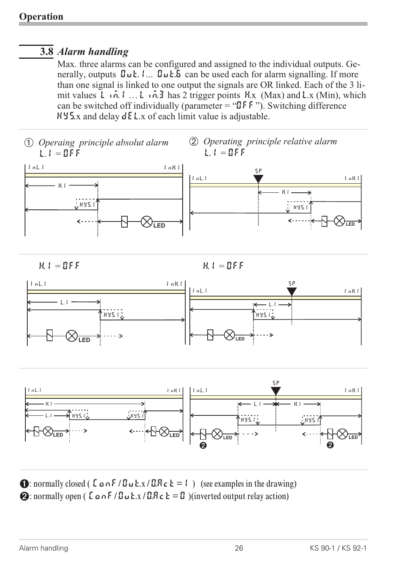## **3.8** *Alarm handling*

Max. three alarms can be configured and assigned to the individual outputs. Generally, outputs  $\mathbf{u}_1$ ....  $\mathbf{u}_2$ ....  $\mathbf{u}_3$  can be used each for alarm signalling. If more than one signal is linked to one output the signals are OR linked. Each of the 3 limit values L<sub>im.1</sub> … L<sub>im.</sub>3 has 2 trigger points H<sub>x</sub> (Max) and L<sub>x</sub> (Min), which can be switched off individually (parameter = " $\mathbb{I}$ FF"). Switching difference  $H Y_5$ .x and delay  $dE$ .x of each limit value is adjustable.



**1:** normally closed (  $\sum \varphi \circ F / \exists u \cdot k \cdot x / \exists R \in k = 1$  ) (see examples in the drawing) 2: normally open (  $\epsilon \propto \frac{1}{2}$   $\epsilon$   $\sim$   $\epsilon$  /  $\epsilon$   $\sim$   $\epsilon$   $\sim$   $\epsilon$   $\sim$   $\epsilon$   $\sim$   $\epsilon$   $\sim$   $\epsilon$   $\sim$   $\epsilon$   $\sim$   $\epsilon$   $\sim$   $\epsilon$   $\sim$   $\epsilon$   $\sim$   $\epsilon$   $\sim$   $\epsilon$   $\sim$   $\epsilon$   $\sim$   $\epsilon$   $\sim$   $\epsilon$   $\sim$   $\epsilon$   $\sim$   $\epsilon$   $\sim$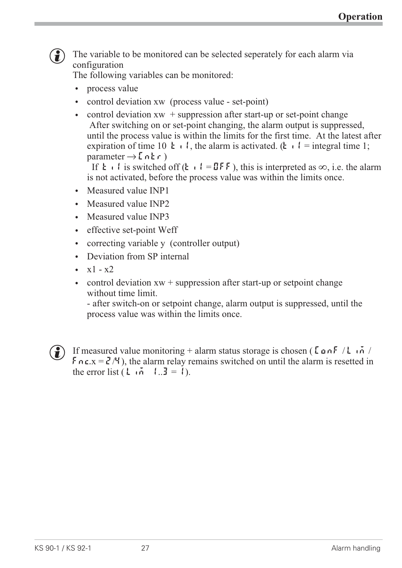

 $\left(\frac{1}{2}\right)$  The variable to be monitored can be selected seperately for each alarm via configuration

The following variables can be monitored:

- process value
- 
- control deviation xw (process value set-point)<br>• control deviation xw + suppression after start-up or set-point change w control deviation xw + suppression after start-up or set-point change After switching on or set-point changing, the alarm output is suppressed, until the process value is within the limits for the first time. At the latest after expiration of time 10  $\boldsymbol{t} \cdot \boldsymbol{l}$ , the alarm is activated. ( $\boldsymbol{t} \cdot \boldsymbol{l}$  = integral time 1; parameter  $\rightarrow$  [n k r)

If  $\mathbf{t} \cdot \mathbf{l}$  is switched off ( $\mathbf{t} \cdot \mathbf{l} = \mathbf{I} \mathbf{F} \mathbf{F}$ ), this is interpreted as  $\infty$ , i.e. the alarm is not activated, before the process value was within the limits once.

- Measured value **INP1**
- Measured value INP2
- Measured value INP3
- effective set-point Weff
- correcting variable y (controller output)<br>• Deviation from SP internal
- Deviation from SP internal
- $x1 x2$
- control deviation  $xw +$  suppression after start-up or setpoint change without time limit.

- after switch-on or setpoint change, alarm output is suppressed, until the process value was within the limits once.



(1) If measured value monitoring + alarm status storage is chosen ( $\zeta$ on $\zeta$  / Lim /  $\mathbf{F} \cap \mathbf{c} \times \mathbf{F} = \mathbf{c}^T / 4$ ), the alarm relay remains switched on until the alarm is resetted in the error list  $(L \tilde{n} \tilde{n} \tilde{n} = 1)$ .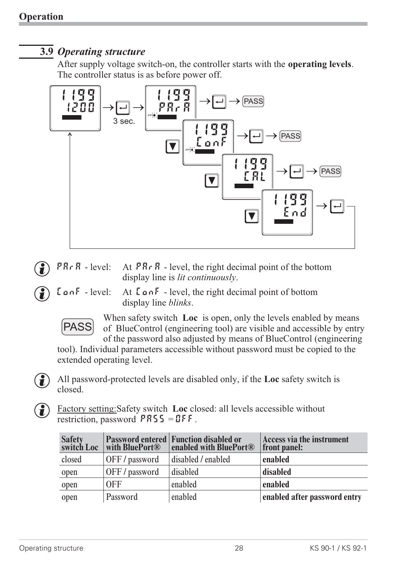### **3.9** *Operating structure*

After supply voltage switch-on, the controller starts with the **operating levels**. The controller status is as before power off.



- **PRr A** level: At **PRr A** level, the right decimal point of the bottom<br>display line is *lit continuously*.<br>**LanF** level: At **LanF** level, the right decimal point of bottom display line is *lit continuously*.
- 
- At  $\zeta$  on F level, the right decimal point of bottom display line *blinks*.



When safety switch **Loc** is open, only the levels enabled by means of BlueControl (engineering tool) are visible and accessible by entry of the password also adjusted by means of BlueControl (engineering

tool). Individual parameters accessible without password must be copied to the extended operating level.





g Factory setting:Safety switch **Loc** closed: all levels accessible without restriction, password  $PRS5 = DFF$ .

| Safety<br>switch Loc | <b>with BluePort®</b> | <b>Password entered Function disabled or</b><br>enabled with BluePort <sup>®</sup> | Access via the instrument<br>front panel: |
|----------------------|-----------------------|------------------------------------------------------------------------------------|-------------------------------------------|
| closed               | OFF/password          | disabled / enabled                                                                 | enabled                                   |
| open                 | OFF/password          | disabled                                                                           | disabled                                  |
| open                 | 0 <sub>FF</sub>       | enabled                                                                            | enabled                                   |
| open                 | Password              | enabled                                                                            | enabled after password entry              |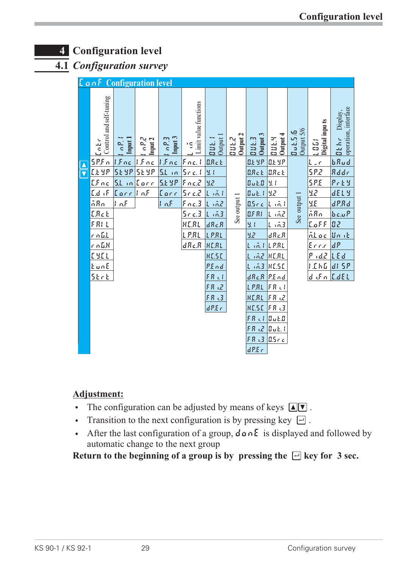## **4 Configuration level**

**4.1** *Configuration survey*

| <b>LanF</b> Configuration level |                               |                |                               |                             |                     |                          |                          |                         |                       |                               |                                          |
|---------------------------------|-------------------------------|----------------|-------------------------------|-----------------------------|---------------------|--------------------------|--------------------------|-------------------------|-----------------------|-------------------------------|------------------------------------------|
| Control and self-tuning<br>Entr | Input 1<br>$\sigma_{\rm s}^2$ | ρ2,<br>Input 2 | Input 3<br>$\sigma$ $\approx$ | Limit value functions<br>١Ş | Output<br>la u t.   | <b>DUL.2</b><br>Output 2 | Output 3<br><b>Dut.3</b> | Output 4<br><b>DUEN</b> | Output 5/6<br>Bul.5/6 | Digital inpu ts<br><b>EDD</b> | operation, interface<br>Display,<br>Dehr |
| SPFn                            | Ifnc                          | l.f.o.c        | $ f_{nc} $                    | Fnc.1                       | B.R.c.              |                          | <b>D.E Y.P</b>           | <b>D.E. Y.P.</b>        |                       | L<br>$\sim$ $\sqrt{ }$        | $b$ $Ru$ d                               |
| <u>EL 9P</u>                    | <b>SE 9P</b>                  | 51 YP          | $5L$ in                       | 5nc.1                       | 9.1                 |                          | B.R.c.                   | B.R.c.                  |                       | 5.22                          | Rddr                                     |
| $LF_{nc}$                       | $SL$ in Earr                  |                | 5.6 9 P                       | $Fnc.$ 2                    | 9,2                 |                          | 0.1.0                    | Ч. I                    |                       | <b>SP.E</b>                   | $P$ r E $\,$ Y                           |
| $L_d$ if                        | $[{\tt ker} ]$ of             |                | Eorr                          | $5 - c$ . $c$               | $L$ $\tilde{m}$ $l$ |                          | $B$ uk. I                | 9,2                     |                       | 9,2                           | <b>dELY</b>                              |
| ñRn                             | InF                           |                | $ 1 \rangle nF$               | Fnc.3                       | Line                | See output 1             | 0.5c c                   | Lind                    | See output 1          | y.g                           | $d$ $P.Rd$                               |
| <u>[Reb</u>                     |                               |                |                               | $5 - c$ .3                  | $L = 0.3$           |                          | C.F.R                    | L 162                   |                       | ñRn                           | bcuP                                     |
| FRI L                           |                               |                |                               | HERL                        | dRc.R               |                          | 9.4                      | $L \tilde{m}$           |                       | E.aFF                         | 82                                       |
| <u>n a G.L</u>                  |                               |                |                               | LPRL                        | LPRL                |                          | 9,2                      | dRc.R                   |                       | <u>nt oc</u>                  | Unit                                     |
| $r_0$ G.H                       |                               |                |                               | dRe.R                       | HERL                |                          | Lind                     | <u>L P.RL</u>           |                       | <u>Ennin</u>                  | dP                                       |
| ENEL                            |                               |                |                               |                             | <b>HESE</b>         |                          | 1.62                     | <b>HERL</b>             |                       | nd2<br>P                      | LEd                                      |
| <u>EunE</u>                     |                               |                |                               |                             | P.End               |                          | 1,5.3                    | RESE                    |                       | 1.5h5                         | di 5P                                    |
| SErE                            |                               |                |                               |                             | FR LI               |                          | dRc.R                    | P.E. n.d.               |                       | difn                          | E.dEL                                    |
|                                 |                               |                |                               |                             | FR UZ               |                          | LPRL                     | FR <sub>o</sub>         |                       |                               |                                          |
|                                 |                               |                |                               |                             | FR.3                |                          | HERL                     | F.R. LZ                 |                       |                               |                                          |
|                                 |                               |                |                               |                             | dP.E.c              |                          | <b>HESE</b>              | FR 3                    |                       |                               |                                          |
|                                 |                               |                |                               |                             |                     |                          | FR UL                    | 0.10                    |                       |                               |                                          |
|                                 |                               |                |                               |                             |                     |                          | $F.R \gtrsim$            | $B$ uk. I               |                       |                               |                                          |
|                                 |                               |                |                               |                             |                     |                          | FR <sub>43</sub>         | 0.5c c                  |                       |                               |                                          |
|                                 |                               |                |                               |                             |                     |                          | dP.E.c                   |                         |                       |                               |                                          |

#### **Adjustment:**

- The configuration can be adjusted by means of keys  $\boxed{\triangleleft}$ .<br>• Transition to the next configuration is by pressing key  $\boxed{\neg}$ .
- Transition to the next configuration is by pressing key  $\Box$ .
- After the last configuration of a group,  $d \cdot b \cdot E$  is displayed and followed by automatic change to the next group

**Return to the beginning of a group is by pressing the**  $\Box$  **key for 3 sec.**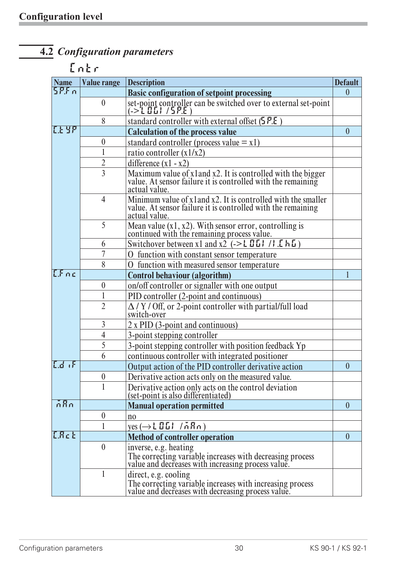# **4.2** *Configuration parameters*

## **Cntr**

| <b>Name</b>  | <b>Value range</b> | <b>Description</b>                                                                                                                           | <b>Default</b>   |
|--------------|--------------------|----------------------------------------------------------------------------------------------------------------------------------------------|------------------|
| 5P.F.n       |                    | <b>Basic configuration of setpoint processing</b>                                                                                            | $\theta$         |
|              | $\mathbf{0}$       | set-point controller can be switched over to external set-point<br>(-> $L \coprod L$ / $5$ P.E )                                             |                  |
|              | 8                  | standard controller with external offset $(5P.E)$                                                                                            |                  |
| <u>reyp</u>  |                    | <b>Calculation of the process value</b>                                                                                                      | $\overline{0}$   |
|              | $\boldsymbol{0}$   | standard controller (process value $= x1$ )                                                                                                  |                  |
|              | 1                  | ratio controller $(x1/x2)$                                                                                                                   |                  |
|              | $\overline{2}$     | difference $(x1 - x2)$                                                                                                                       |                  |
|              | $\overline{3}$     | Maximum value of x l and x 2. It is controlled with the bigger value. At sensor failure it is controlled with the remaining<br>actual value. |                  |
|              | $\overline{4}$     | Minimum value of x1 and x2. It is controlled with the smaller value. At sensor failure it is controlled with the remaining<br>actual value.  |                  |
|              | 5                  | Mean value $(x1, x2)$ . With sensor error, controlling is continued with the remaining process value.                                        |                  |
|              | 6                  | Switchover between x1 and x2 $(-\geq L \Box L)$ /: $[ h \Box )$                                                                              |                  |
|              | 7                  | function with constant sensor temperature                                                                                                    |                  |
|              | 8                  | O function with measured sensor temperature                                                                                                  |                  |
| LFac         |                    | <b>Control behaviour (algorithm)</b>                                                                                                         |                  |
|              | $\boldsymbol{0}$   | on/off controller or signaller with one output                                                                                               |                  |
|              |                    | PID controller (2-point and continuous)                                                                                                      |                  |
|              | $\overline{2}$     | $\Delta$ / Y / Off, or 2-point controller with partial/full load<br>switch-over                                                              |                  |
|              | $\overline{3}$     | $2 \times$ PID (3-point and continuous)                                                                                                      |                  |
|              | $\overline{4}$     | 3-point stepping controller                                                                                                                  |                  |
|              | 5                  | 3-point stepping controller with position feedback Yp                                                                                        |                  |
|              | 6                  | continuous controller with integrated positioner                                                                                             |                  |
| $L_d$ , $F$  |                    | Output action of the PID controller derivative action                                                                                        | $\mathbf{0}$     |
|              | $\boldsymbol{0}$   | Derivative action acts only on the measured value.                                                                                           |                  |
|              |                    | Derivative action only acts on the control deviation<br>(set-point is also differentiated)                                                   |                  |
| nRn          |                    | <b>Manual operation permitted</b>                                                                                                            | $\mathbf{0}$     |
|              | $\boldsymbol{0}$   | n <sub>0</sub>                                                                                                                               |                  |
|              |                    | $\gamma$ es $(\rightarrow$ [ 0.0 ] / n $R$ n )                                                                                               |                  |
| <b>C.Rct</b> |                    | <b>Method of controller operation</b>                                                                                                        | $\boldsymbol{0}$ |
|              | $\boldsymbol{0}$   | inverse, e.g. heating                                                                                                                        |                  |
|              |                    | The correcting variable increases with decreasing process<br>value and decreases with increasing process value.                              |                  |
|              | 1                  | direct, e.g. cooling<br>The correcting variable increases with increasing process<br>value and decreases with decreasing process value.      |                  |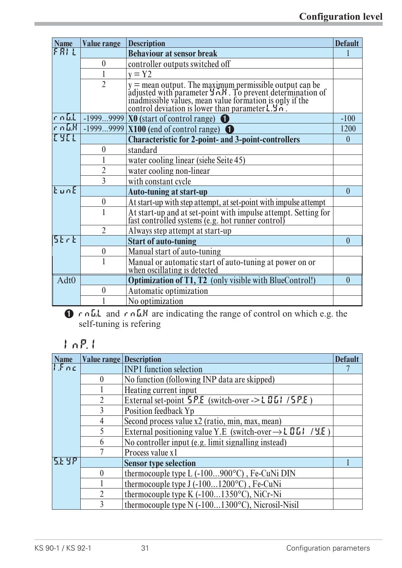| <b>Name</b> | <b>Value range</b> | <b>Description</b>                                                                                                                                                                                                                                       | <b>Default</b> |
|-------------|--------------------|----------------------------------------------------------------------------------------------------------------------------------------------------------------------------------------------------------------------------------------------------------|----------------|
| FRIL        |                    | <b>Behaviour at sensor break</b>                                                                                                                                                                                                                         |                |
|             | $\boldsymbol{0}$   | controller outputs switched off                                                                                                                                                                                                                          |                |
|             | 1                  | $y = Y2$                                                                                                                                                                                                                                                 |                |
|             | $\overline{2}$     | y = mean output. The maximum permissible output can be<br>adjusted with parameter $\exists n \cdot h$ . To prevent determination of<br>inadmissible values, mean value formation is only if the<br>control deviation is lower than parameter $\exists n$ |                |
| $r \cap L$  | $-19999999$        | $X0$ (start of control range) $\bigcirc$                                                                                                                                                                                                                 | $-100$         |
| $r_0 L$ K   |                    | $-19999999$ X100 (end of control range)                                                                                                                                                                                                                  | 1200           |
| <b>TYFL</b> |                    | <b>Characteristic for 2-point- and 3-point-controllers</b>                                                                                                                                                                                               | $\theta$       |
|             | $\boldsymbol{0}$   | standard                                                                                                                                                                                                                                                 |                |
|             |                    | water cooling linear (siehe Seite 45)                                                                                                                                                                                                                    |                |
|             | $\overline{2}$     | water cooling non-linear                                                                                                                                                                                                                                 |                |
|             | 3                  | with constant cycle                                                                                                                                                                                                                                      |                |
| $k$ un $E$  |                    | <b>Auto-tuning at start-up</b>                                                                                                                                                                                                                           | $\theta$       |
|             | $\boldsymbol{0}$   | At start-up with step attempt, at set-point with impulse attempt                                                                                                                                                                                         |                |
|             |                    | At start-up and at set-point with impulse attempt. Setting for<br>fast controlled systems (e.g. hot runner control)                                                                                                                                      |                |
|             | $\overline{2}$     | Always step attempt at start-up                                                                                                                                                                                                                          |                |
| 52 r E      |                    | <b>Start of auto-tuning</b>                                                                                                                                                                                                                              | $\theta$       |
|             | $\boldsymbol{0}$   | Manual start of auto-tuning                                                                                                                                                                                                                              |                |
|             |                    | Manual or automatic start of auto-tuning at power on or<br>when oscillating is detected                                                                                                                                                                  |                |
| Adt0        |                    | <b>Optimization of T1, T2</b> (only visible with BlueControl!)                                                                                                                                                                                           | $\theta$       |
|             | $\boldsymbol{0}$   | Automatic optimization                                                                                                                                                                                                                                   |                |
|             |                    | No optimization                                                                                                                                                                                                                                          |                |

1 rnG.L and rnG.H are indicating the range of control on which e.g. the self-tuning is refering

## **InP.1**

| <b>Name</b> | <b>Value range Description</b> |                                                                          | <b>Default</b> |
|-------------|--------------------------------|--------------------------------------------------------------------------|----------------|
| 1.5nc       |                                | <b>INP1</b> function selection                                           |                |
|             | $\mathbf{0}$                   | No function (following INP data are skipped)                             |                |
|             |                                | Heating current input                                                    |                |
|             | $\mathfrak{D}$                 | External set-point $5P.E$ (switch-over -> L 0 L 1 / 5 P.E)               |                |
|             |                                | Position feedback Yp                                                     |                |
|             | 4                              | Second process value x2 (ratio, min, max, mean)                          |                |
|             |                                | External positioning value Y.E (switch-over $\rightarrow$ L 0 L 1 / 4.E) |                |
|             | 6                              | No controller input (e.g. limit signalling instead)                      |                |
|             |                                | Process value x1                                                         |                |
| 5146        |                                | <b>Sensor type selection</b>                                             |                |
|             | $\theta$                       | thermocouple type $L(-100900^{\circ}C)$ , Fe-CuNi DIN                    |                |
|             |                                | thermocouple type J (-1001200°C), Fe-CuNi                                |                |
|             | $\mathcal{P}$                  | thermocouple type K (-1001350°C), NiCr-Ni                                |                |
|             |                                | thermocouple type N (-1001300°C), Nicrosil-Nisil                         |                |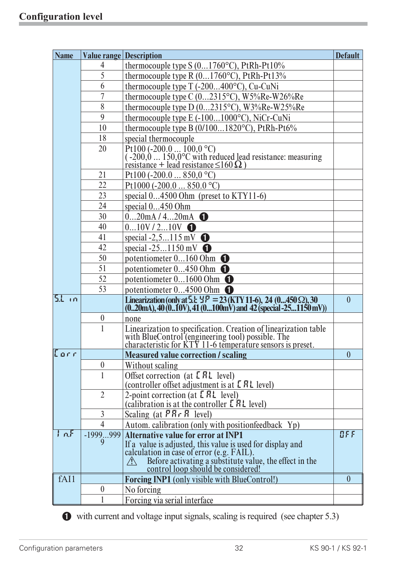| <b>Name</b> |                  | <b>Value range Description</b>                                                                                                                                                     | <b>Default</b> |
|-------------|------------------|------------------------------------------------------------------------------------------------------------------------------------------------------------------------------------|----------------|
|             | 4                | thermocouple type $S(01760^{\circ}C)$ , PtRh-Pt10%                                                                                                                                 |                |
|             | 5                | thermocouple type R $(01760^{\circ}C)$ , PtRh-Pt13%                                                                                                                                |                |
|             | 6                | thermocouple type T (-200400°C), Cu-CuNi                                                                                                                                           |                |
|             | $\overline{7}$   | thermocouple type C (02315°C), W5%Re-W26%Re                                                                                                                                        |                |
|             | 8                | thermocouple type D (02315°C), W3%Re-W25%Re                                                                                                                                        |                |
|             | 9                | thermocouple type E (-1001000°C), NiCr-CuNi                                                                                                                                        |                |
|             | 10               | thermocouple type B (0/1001820°C), PtRh-Pt6%                                                                                                                                       |                |
|             | 18               | special thermocouple                                                                                                                                                               |                |
|             | 20               | Pt100 (-200.0  100,0 °C)<br>(-200,0  150,0 °C with reduced lead resistance: measuring<br>resistance + lead resistance $\leq$ 160 $\Omega$ )                                        |                |
|             |                  |                                                                                                                                                                                    |                |
|             | 21               | Pt100 (-200.0  850,0 °C)                                                                                                                                                           |                |
|             | 22               | Pt1000 (-200.0  850.0 °C)                                                                                                                                                          |                |
|             | 23               | special 04500 Ohm (preset to KTY11-6)                                                                                                                                              |                |
|             | 24               | special 0450 Ohm                                                                                                                                                                   |                |
|             | 30               | $020$ mA / 420mA $\bullet$                                                                                                                                                         |                |
|             | 40               | $010V/210V$ $\bullet$                                                                                                                                                              |                |
|             | 41               | special $-2, 5115$ mV                                                                                                                                                              |                |
|             | 42               | special $-251150$ mV                                                                                                                                                               |                |
|             | 50               | potentiometer $0160$ Ohm $\bullet$                                                                                                                                                 |                |
|             | 51               | potentiometer $0450$ Ohm $\bullet$                                                                                                                                                 |                |
|             | 52               | potentiometer $01600$ Ohm $\bullet$                                                                                                                                                |                |
|             | 53               | potentiometer $04500$ Ohm $\bullet$                                                                                                                                                |                |
| $5.1$ in    |                  | Linearization (only at 5.1: $\frac{1}{2}P = 23$ (KTY 11-6), 24 (0450 $\Omega$ ), 30<br>$(020mA)$ , 40 $(010V)$ , 41 $(0100mV)$ and 42 $(Special -251150mV)$                        | $\mathbf{0}$   |
|             | $\boldsymbol{0}$ | none                                                                                                                                                                               |                |
|             | $\mathbf{1}$     | Linearization to specification. Creation of linearization table<br>with BlueControl (engineering tool) possible. The<br>characteristic for KTY 11-6 temperature sensors is preset. |                |
| Corr        |                  | <b>Measured value correction / scaling</b>                                                                                                                                         | $\theta$       |
|             | $\boldsymbol{0}$ | Without scaling                                                                                                                                                                    |                |
|             | 1                | Offset correction (at $E R L$ level)<br>(controller offset adjustment is at <b>L RL</b> level)                                                                                     |                |
|             | $\overline{2}$   | 2-point correction (at $E R$ level)<br>(calibration is at the controller $E H L$ level)                                                                                            |                |
|             | $\overline{3}$   | Scaling (at $\overline{PR} \cdot \overline{R}$ level)                                                                                                                              |                |
|             | $\overline{4}$   | Autom. calibration (only with position feedback Yp)                                                                                                                                |                |
| In.5        | $-1999999$       | <b>Alternative value for error at INP1</b>                                                                                                                                         | BFF            |
|             | 9                | If a value is adjusted, this value is used for display and<br>calculation in case of error (e.g. FAIL).                                                                            |                |
|             |                  |                                                                                                                                                                                    |                |
|             |                  | Before activating a substitute value, the effect in the<br>control loop should be considered!<br>$\bigwedge$                                                                       |                |
| fAI1        |                  | <b>Forcing INP1</b> (only visible with BlueControl!)                                                                                                                               | $\mathbf{0}$   |
|             | $\boldsymbol{0}$ | No forcing                                                                                                                                                                         |                |
|             |                  | Forcing via serial interface                                                                                                                                                       |                |

with current and voltage input signals,scaling is required (see chapter 5.3)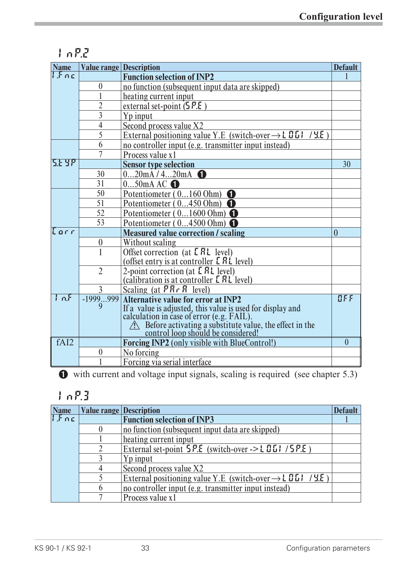## **InP.2**

| <b>Name</b> | <b>Value range Description</b> |                                                                                                      | <b>Default</b> |
|-------------|--------------------------------|------------------------------------------------------------------------------------------------------|----------------|
| 1.5nc       |                                | <b>Function selection of INP2</b>                                                                    |                |
|             | $\boldsymbol{0}$               | no function (subsequent input data are skipped)                                                      |                |
|             |                                | heating current input                                                                                |                |
|             | $\overline{2}$                 | external set-point $(5P.E)$                                                                          |                |
|             | $\overline{3}$                 | Yp input                                                                                             |                |
|             | $\overline{4}$                 | Second process value X2                                                                              |                |
|             | $\overline{5}$                 | External positioning value Y.E (switch-over $\rightarrow$ L 0 L l<br>/9E                             |                |
|             | 6                              | no controller input (e.g. transmitter input instead)                                                 |                |
|             |                                | Process value x1                                                                                     |                |
| 5.2 9 P     |                                | <b>Sensor type selection</b>                                                                         | 30             |
|             | 30                             | $020$ mA / 420mA $\bigodot$                                                                          |                |
|             | 31                             | $050$ mAAC $\bigodot$                                                                                |                |
|             | 50                             | Potentiometer (0160 Ohm)                                                                             |                |
|             | 51                             | Potentiometer $(0450$ Ohm)                                                                           |                |
|             | 52                             | Potentiometer (01600 Ohm)                                                                            |                |
|             | 53                             | Potentiometer (04500 Ohm)                                                                            |                |
| Earr        |                                | <b>Measured value correction / scaling</b>                                                           | $\theta$       |
|             | $\boldsymbol{0}$               | Without scaling                                                                                      |                |
|             |                                | Offset correction (at E RL level)                                                                    |                |
|             |                                | (offset entry is at controller $E R L$ level)                                                        |                |
|             | $\overline{2}$                 | 2-point correction (at E AL level)                                                                   |                |
|             |                                | (calibration is at controller <b>[RL</b> level)                                                      |                |
|             | 3                              | Scaling (at $\overline{PR} \cdot \overline{R}$ level)                                                |                |
| tan F       | $-1999999$<br>9                | <b>Alternative value for error at INP2</b>                                                           | BFE            |
|             |                                | If a value is adjusted, this value is used for display and calculation in case of error (e.g. FAIL). |                |
|             |                                |                                                                                                      |                |
|             |                                | A Before activating a substitute value, the effect in the control loop should be considered!         |                |
| fAI2        |                                | <b>Forcing INP2</b> (only visible with BlueControl!)                                                 | $\overline{0}$ |
|             | $\boldsymbol{0}$               | No forcing                                                                                           |                |
|             |                                | Forcing via serial interface                                                                         |                |

1 with current and voltage input signals, scaling is required (see chapter 5.3)

## **InP.3**

| <b>Name</b>           | <b>Value range Description</b> |                                                                         | <b>Default</b> |
|-----------------------|--------------------------------|-------------------------------------------------------------------------|----------------|
| $\prod_{i=1}^{n} n_i$ |                                | <b>Function selection of INP3</b>                                       |                |
|                       |                                | no function (subsequent input data are skipped)                         |                |
|                       |                                | heating current input                                                   |                |
|                       |                                | External set-point $5P.E$ (switch-over -> L 0.1 / 5 $P.E$ )             |                |
|                       |                                | Yp input                                                                |                |
|                       |                                | Second process value X2                                                 |                |
|                       |                                | External positioning value Y.E (switch-over $\rightarrow$ L 0.61 / 4.8) |                |
|                       |                                | no controller input (e.g. transmitter input instead)                    |                |
|                       |                                | Process value x1                                                        |                |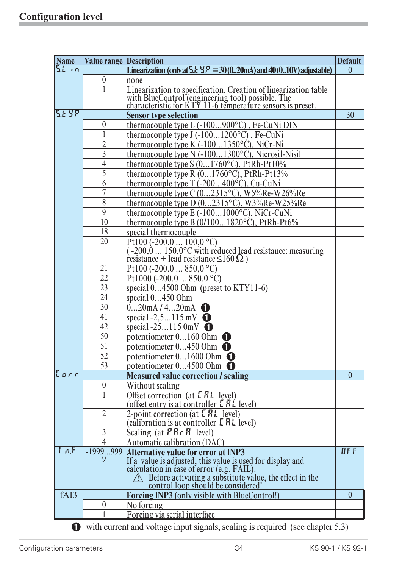| <b>Name</b> | <b>Value range Description</b> |                                                                                                                                                                                    | <b>Default</b> |
|-------------|--------------------------------|------------------------------------------------------------------------------------------------------------------------------------------------------------------------------------|----------------|
| 51 in       |                                | Linearization (only at $5.1 \pm 9 = 30(0.20)$ and 40 (010V) adjustable)                                                                                                            | $\theta$       |
|             | $\boldsymbol{0}$               | none                                                                                                                                                                               |                |
|             | $\mathbf{1}$                   |                                                                                                                                                                                    |                |
|             |                                | Linearization to specification. Creation of linearization table<br>with BlueControl (engineering tool) possible. The<br>characteristic for KTY 11-6 temperature sensors is preset. |                |
|             |                                |                                                                                                                                                                                    |                |
| 5.E Y.P     |                                | <b>Sensor type selection</b>                                                                                                                                                       | 30             |
|             | $\boldsymbol{0}$               | thermocouple type L (-100900°C), Fe-CuNi DIN                                                                                                                                       |                |
|             | 1                              | thermocouple type J (-1001200°C), Fe-CuNi                                                                                                                                          |                |
|             | $\overline{2}$                 | thermocouple type K (-1001350°C), NiCr-Ni                                                                                                                                          |                |
|             | $\overline{3}$                 | thermocouple type N (-1001300°C), Nicrosil-Nisil                                                                                                                                   |                |
|             | $\overline{4}$                 | thermocouple type S (01760°C), PtRh-Pt10%                                                                                                                                          |                |
|             | 5                              | thermocouple type R (01760°C), PtRh-Pt13%                                                                                                                                          |                |
|             | 6                              | thermocouple type T (-200400°C), Cu-CuNi                                                                                                                                           |                |
|             | $\overline{7}$                 | thermocouple type C $(02315^{\circ}C)$ , W5%Re-W26%Re                                                                                                                              |                |
|             | 8                              | thermocouple type D (02315°C), W3%Re-W25%Re                                                                                                                                        |                |
|             | 9                              | thermocouple type E (-1001000°C), NiCr-CuNi                                                                                                                                        |                |
|             | 10                             | thermocouple type B (0/1001820°C), PtRh-Pt6%                                                                                                                                       |                |
|             | 18                             | special thermocouple                                                                                                                                                               |                |
|             | 20                             | $\text{Pt100}$ (-200.0  100,0 °C)                                                                                                                                                  |                |
|             |                                | $(-200, 0  150, 0^{\circ}C)$ with reduced lead resistance: measuring<br>resistance + lead resistance $\leq$ 160 $\Omega$ )                                                         |                |
|             |                                |                                                                                                                                                                                    |                |
|             | 21                             | Pt100 (-200.0  850,0 °C)                                                                                                                                                           |                |
|             | 22                             | Pt1000 (-200.0  850.0 °C)                                                                                                                                                          |                |
|             | 23                             | special $04500$ Ohm (preset to KTY11-6)                                                                                                                                            |                |
|             | 24                             | special 0450 Ohm                                                                                                                                                                   |                |
|             | 30                             | $020$ mA / 420mA $\bullet$                                                                                                                                                         |                |
|             | 41                             | special $-2, 5115$ mV                                                                                                                                                              |                |
|             | 42                             | special $-25115$ 0mV                                                                                                                                                               |                |
|             | 50                             | potentiometer $0160$ Ohm $\bullet$                                                                                                                                                 |                |
|             | 51                             | potentiometer $0450$ Ohm $\bullet$                                                                                                                                                 |                |
|             | 52                             | potentiometer 01600 Ohm                                                                                                                                                            |                |
|             | 53                             | potentiometer $04500$ Ohm $\bullet$                                                                                                                                                |                |
| Earr        |                                | <b>Measured value correction / scaling</b>                                                                                                                                         | $\theta$       |
|             | $\boldsymbol{0}$               | Without scaling                                                                                                                                                                    |                |
|             | 1                              | Offset correction (at <b>ERL</b> level)                                                                                                                                            |                |
|             |                                | (offset entry is at controller [ R L level)                                                                                                                                        |                |
|             | $\overline{2}$                 | 2-point correction (at E RL level)                                                                                                                                                 |                |
|             |                                | (calibration is at controller <b>E</b> RL level)                                                                                                                                   |                |
|             | $\mathfrak{Z}$                 | Scaling (at $PR \nI R$ level)                                                                                                                                                      |                |
|             | $\overline{\mathcal{A}}$       | <b>Automatic calibration (DAC)</b>                                                                                                                                                 |                |
| 上元氏         | $-1999999$                     | <b>Alternative value for error at INP3</b>                                                                                                                                         | BFF            |
|             | 9                              | If a value is adjusted, this value is used for display and calculation in case of error (e.g. FAIL).                                                                               |                |
|             |                                |                                                                                                                                                                                    |                |
|             |                                | Before activating a substitute value, the effect in the<br>control loop should be considered!                                                                                      |                |
|             |                                |                                                                                                                                                                                    |                |
| fAI3        |                                | <b>Forcing INP3 (only visible with BlueControl!)</b>                                                                                                                               | $\theta$       |
|             | $\boldsymbol{0}$               | No forcing                                                                                                                                                                         |                |
|             |                                | Forcing via serial interface                                                                                                                                                       |                |
|             |                                | $\bullet$ with current and voltage input signals, scaling is required (see chapter 5.3)                                                                                            |                |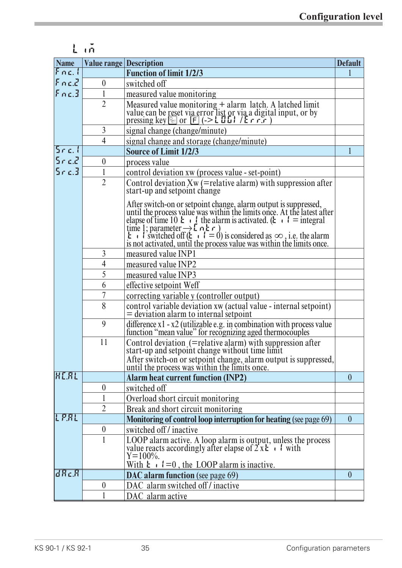## **Lim**

| <b>Name</b>            |                  | <b>Value range Description</b>                                                                                                                                                                                                                                        | <b>Default</b> |
|------------------------|------------------|-----------------------------------------------------------------------------------------------------------------------------------------------------------------------------------------------------------------------------------------------------------------------|----------------|
| Fnc.                   |                  | <b>Function of limit 1/2/3</b>                                                                                                                                                                                                                                        |                |
| Fnc. Z                 | $\boldsymbol{0}$ | switched off                                                                                                                                                                                                                                                          |                |
| Fnc.3                  | 1                | measured value monitoring                                                                                                                                                                                                                                             |                |
|                        | $\overline{2}$   | Measured value monitoring + alarm latch. A latched limit<br>value can be reset via error list or via a digital input, or by<br>pressing key $\circled{=}$ or $\circled{F}$ (-> L II L   / E r r r                                                                     |                |
|                        | $\mathfrak{Z}$   | signal change (change/minute)                                                                                                                                                                                                                                         |                |
|                        | $\overline{4}$   | signal change and storage (change/minute)                                                                                                                                                                                                                             |                |
| $5$ r c. l             |                  | <b>Source of Limit 1/2/3</b>                                                                                                                                                                                                                                          | $\overline{1}$ |
| $5 - c.2$              | $\boldsymbol{0}$ | process value                                                                                                                                                                                                                                                         |                |
| $5 - c.3$              | 1                | control deviation xw (process value - set-point)                                                                                                                                                                                                                      |                |
|                        | $\overline{2}$   | Control deviation $Xw$ (= relative alarm) with suppression after<br>start-up and setpoint change                                                                                                                                                                      |                |
|                        |                  | After switch-on or setpoint change, alarm output is suppressed,<br>until the process value was within the limits once. At the latest after<br>elapse of time 10 $\mathbf{k} \cdot \mathbf{l}$ the alarm is activated. ( $\mathbf{k} \cdot \mathbf{l}$ = integral<br>t |                |
|                        | $\overline{3}$   | measured value INP1                                                                                                                                                                                                                                                   |                |
|                        | $\overline{4}$   | measured value INP2                                                                                                                                                                                                                                                   |                |
|                        | 5                | measured value INP3                                                                                                                                                                                                                                                   |                |
|                        | 6                | effective setpoint Weff                                                                                                                                                                                                                                               |                |
|                        | 7                | correcting variable y (controller output)                                                                                                                                                                                                                             |                |
|                        | 8                | control variable deviation $xw$ (actual value - internal setpoint)<br>= deviation alarm to internal setpoint                                                                                                                                                          |                |
|                        | 9                | difference $x1 - x2$ (utilizable e.g. in combination with process value function "mean value" for recognizing aged thermocouples                                                                                                                                      |                |
|                        | 11               | Control deviation (=relative alarm) with suppression after<br>start-up and setpoint change without time limit<br>After switch-on or setpoint change, alarm output is suppressed, until the process was within the limits once.                                        |                |
| <b>HEAL</b>            |                  | <b>Alarm heat current function (INP2)</b>                                                                                                                                                                                                                             | $\theta$       |
|                        | $\boldsymbol{0}$ | switched off                                                                                                                                                                                                                                                          |                |
|                        | 1                | Overload short circuit monitoring                                                                                                                                                                                                                                     |                |
|                        | $\overline{2}$   | Break and short circuit monitoring                                                                                                                                                                                                                                    |                |
| LPRL                   |                  | Monitoring of control loop interruption for heating (see page 69)                                                                                                                                                                                                     | $\mathbf{0}$   |
|                        | $\boldsymbol{0}$ | switched off/inactive                                                                                                                                                                                                                                                 |                |
|                        | $\mathbf{1}$     |                                                                                                                                                                                                                                                                       |                |
|                        |                  | LOOP alarm active. A loop alarm is output, unless the process<br>value reacts accordingly after elapse of $2 \times 2 \cdot 1$ with<br>Y=100%.                                                                                                                        |                |
|                        |                  | With $\mathbf{t} \cdot \mathbf{l} = 0$ , the LOOP alarm is inactive.                                                                                                                                                                                                  |                |
| $\overline{d}R$ c. $R$ |                  | <b>DAC</b> alarm function (see page 69)                                                                                                                                                                                                                               | $\theta$       |
|                        | $\boldsymbol{0}$ | DAC alarm switched off / inactive                                                                                                                                                                                                                                     |                |
|                        | 1                | DAC alarm active                                                                                                                                                                                                                                                      |                |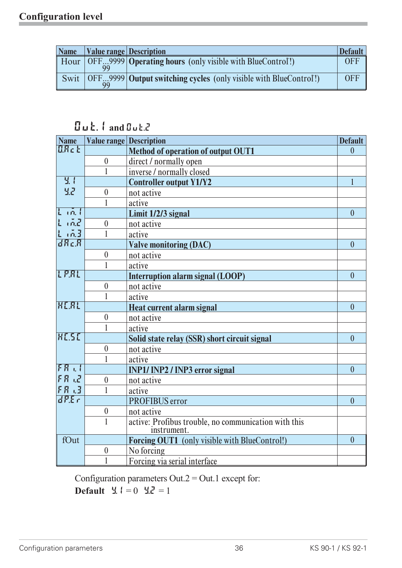| <b>Name</b> | Value range Description |                                                                                                                 | <b>Default</b> |
|-------------|-------------------------|-----------------------------------------------------------------------------------------------------------------|----------------|
|             |                         | $\parallel$ Hour $\vert$ OFF9999 <b>Operating hours</b> (only visible with BlueControl!)                        | <b>OFF</b>     |
| Swit        | 99                      | $\vert$ OFF <sub><math>\ldots</math></sub> 9999 <b>Output switching cycles</b> (only visible with BlueControl!) | <b>OFF</b>     |

## **Out.1 and Out.2**

| <b>Name</b>                              |                  | <b>Value range Description</b>                                      | <b>Default</b> |
|------------------------------------------|------------------|---------------------------------------------------------------------|----------------|
| <b>ARcE</b>                              |                  | <b>Method of operation of output OUT1</b>                           | $\theta$       |
|                                          | $\boldsymbol{0}$ | direct / normally open                                              |                |
|                                          | 1                | inverse / normally closed                                           |                |
| $\overline{3}$ .<br>32                   |                  | <b>Controller output Y1/Y2</b>                                      | $\mathbf{1}$   |
|                                          | $\mathbf{0}$     | not active                                                          |                |
|                                          | 1                | active                                                              |                |
| $\mathsf{L}$ in $\mathsf{L}$<br>$L$ $mZ$ |                  | Limit 1/2/3 signal                                                  | $\overline{0}$ |
|                                          | $\mathbf{0}$     | not active                                                          |                |
| $\sqrt{0.3}$                             | $\mathbf{1}$     | active                                                              |                |
| dReR                                     |                  | <b>Valve monitoring (DAC)</b>                                       | $\theta$       |
|                                          | $\boldsymbol{0}$ | not active                                                          |                |
|                                          | 1                | active                                                              |                |
| LPRL                                     |                  | <b>Interruption alarm signal (LOOP)</b>                             | $\overline{0}$ |
|                                          | $\boldsymbol{0}$ | not active                                                          |                |
|                                          | $\mathbf{1}$     | active                                                              |                |
| HERL                                     |                  | <b>Heat current alarm signal</b>                                    | $\overline{0}$ |
|                                          | $\mathbf{0}$     | not active                                                          |                |
|                                          | 1                | active                                                              |                |
| <b>HESE</b>                              |                  | Solid state relay (SSR) short circuit signal                        | $\overline{0}$ |
|                                          | $\boldsymbol{0}$ | not active                                                          |                |
|                                          | $\mathbf{1}$     | active                                                              |                |
| $FA$ , $l$<br>FR LZ                      |                  | <b>INP1/INP2/INP3</b> error signal                                  | $\overline{0}$ |
|                                          | $\theta$         | not active                                                          |                |
| FR.3                                     | $\mathbf{1}$     | active                                                              |                |
| dP.Er                                    |                  | <b>PROFIBUS</b> error                                               | $\theta$       |
|                                          | $\boldsymbol{0}$ | not active                                                          |                |
|                                          | $\mathbf{1}$     | active: Profibus trouble, no communication with this<br>instrument. |                |
| fOut                                     |                  | Forcing OUT1 (only visible with BlueControl!)                       | $\overline{0}$ |
|                                          | $\boldsymbol{0}$ | No forcing                                                          |                |
|                                          | 1                | Forcing via serial interface                                        |                |

Configuration parameters Out. $2 =$ Out.1 except for:

**Default**  $\frac{9}{2}$ ,  $1 = 0$   $\frac{9}{2}$ ,  $\frac{7}{2} = 1$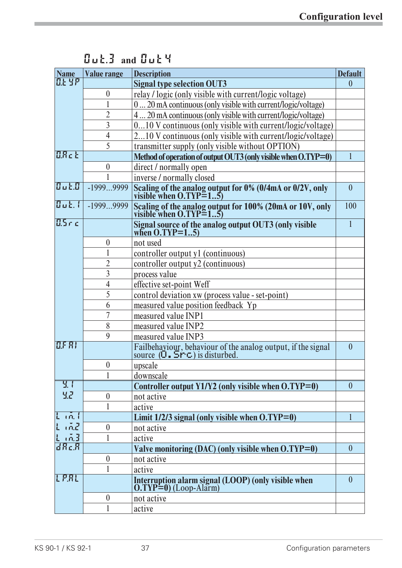| <b>Name</b>     | <b>Value range</b> | <b>Description</b><br><b>Default</b>                                                                                                          |                |  |
|-----------------|--------------------|-----------------------------------------------------------------------------------------------------------------------------------------------|----------------|--|
| <b>D.E. Y.P</b> |                    | <b>Signal type selection OUT3</b>                                                                                                             | $\mathbf{0}$   |  |
|                 | $\boldsymbol{0}$   | relay / logic (only visible with current/logic voltage)                                                                                       |                |  |
|                 |                    | 0 20 mA continuous (only visible with current/logic/voltage)                                                                                  |                |  |
|                 | $\overline{2}$     | 4 20 mA continuous (only visible with current/logic/voltage)                                                                                  |                |  |
|                 | $\overline{3}$     | 010 V continuous (only visible with current/logic/voltage)                                                                                    |                |  |
|                 | $\overline{4}$     | 210 V continuous (only visible with current/logic/voltage)                                                                                    |                |  |
|                 | 5                  | transmitter supply (only visible without OPTION)                                                                                              |                |  |
| <b>D.R.E.</b>   |                    | Method of operation of output OUT3 (only visible when O.TYP=0)                                                                                | $\mathbf{1}$   |  |
|                 | $\boldsymbol{0}$   | direct / normally open                                                                                                                        |                |  |
|                 |                    | inverse / normally closed                                                                                                                     |                |  |
| 8.1             | $-19999999$        | Scaling of the analog output for 0% (0/4mA or 0/2V, only visible when O.TYP=15)                                                               | $\theta$       |  |
| $B$ ut. (       | -19999999          | Scaling of the analog output for 100% (20mA or 10V, only visible when O.TYP=15)                                                               | 100            |  |
| <b>BSrc</b>     |                    | Signal source of the analog output OUT3 (only visible<br>when O.TYP=15)                                                                       | $\mathbf{1}$   |  |
|                 | $\boldsymbol{0}$   | not used                                                                                                                                      |                |  |
|                 | 1                  | controller output y1 (continuous)                                                                                                             |                |  |
|                 | $\overline{2}$     | controller output y2 (continuous)                                                                                                             |                |  |
|                 | 3                  | process value                                                                                                                                 |                |  |
|                 | 4                  | effective set-point Weff                                                                                                                      |                |  |
|                 | 5                  | control deviation xw (process value - set-point)                                                                                              |                |  |
|                 | 6                  | measured value position feedback Yp                                                                                                           |                |  |
|                 | 7                  | measured value INP1                                                                                                                           |                |  |
|                 | 8                  | measured value INP2                                                                                                                           |                |  |
|                 | 9                  | measured value INP3                                                                                                                           |                |  |
| BFR             |                    | Failbehaviour, behaviour of the analog output, if the signal source $(\mathbf{0} \cdot \mathbf{S} \mathbf{r} \cdot \mathbf{c})$ is disturbed. | $\overline{0}$ |  |
|                 | $\boldsymbol{0}$   | upscale                                                                                                                                       |                |  |
|                 | 1                  | downscale                                                                                                                                     |                |  |
| <u>प्र ।</u>    |                    | Controller output $Y1/Y2$ (only visible when $O. TYP=0$ )                                                                                     | $\theta$       |  |
| 55              | $\boldsymbol{0}$   | not active                                                                                                                                    |                |  |
|                 | 1                  | active                                                                                                                                        |                |  |
| $L$ in $l$      |                    | Limit $1/2/3$ signal (only visible when $0. TYP=0$ )                                                                                          |                |  |
| 上前足             | $\boldsymbol{0}$   | not active                                                                                                                                    |                |  |
| 1, m, 3         |                    | active                                                                                                                                        |                |  |
| $dR$ c. $R$     |                    | Valve monitoring (DAC) (only visible when O.TYP=0)                                                                                            | $\overline{0}$ |  |
|                 | $\mathbf{0}$       | not active                                                                                                                                    |                |  |
|                 |                    | active                                                                                                                                        |                |  |
| LPAL            |                    | Interruption alarm signal (LOOP) (only visible when<br>O.TYP=0) (Loop-Alarm)                                                                  | $\overline{0}$ |  |
|                 | $\mathbf{0}$       | not active                                                                                                                                    |                |  |
|                 |                    | active                                                                                                                                        |                |  |

**Out.3 and Out4**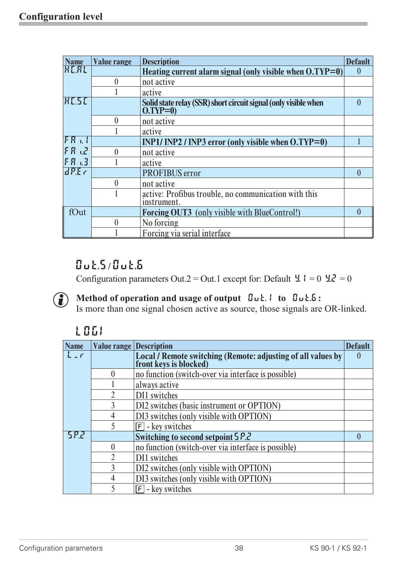| <b>Name</b>     | <b>Value range</b> | <b>Description</b>                                                            | <b>Default</b> |
|-----------------|--------------------|-------------------------------------------------------------------------------|----------------|
| <b>HEAL</b>     |                    | Heating current alarm signal (only visible when O.TYP=0)                      | $\theta$       |
|                 | $\overline{0}$     | not active                                                                    |                |
|                 |                    | active                                                                        |                |
| <b>HESE</b>     |                    | Solid state relay (SSR) short circuit signal (only visible when<br>$O(TYP=0)$ | $\mathbf{0}$   |
|                 | 0                  | not active                                                                    |                |
|                 |                    | active                                                                        |                |
| FA <sub>1</sub> |                    | INP1/INP2 / INP3 error (only visible when $O(TYP=0)$                          |                |
| $FA$ $2$        | 0                  | not active                                                                    |                |
| FR.3            |                    | active                                                                        |                |
| dP.E.c          |                    | PROFIBUS error                                                                | $\bf{0}$       |
|                 | $\theta$           | not active                                                                    |                |
|                 |                    | active: Profibus trouble, no communication with this<br>instrument.           |                |
| fOut            |                    | <b>Forcing OUT3</b> (only visible with BlueControl!)                          | 0              |
|                 | 0                  | No forcing                                                                    |                |
|                 |                    | Forcing via serial interface                                                  |                |

## **Out.5/ Out.6**

Configuration parameters Out.2 = Out.1 except for: Default  $\ddot{ }$   $\dot{ }$   $\dot{ }$  = 0  $\dot{ }$   $\dot{ }$   $\dot{ }$  = 0

## g **Method of operation and usage of output Out.1 to Out.6:**

Is more than one signal chosen active as source, those signals are OR-linked.

## **LOGI**

| <b>Name</b>  | <b>Value range Description</b> |                                                                                     | <b>Default</b> |
|--------------|--------------------------------|-------------------------------------------------------------------------------------|----------------|
| $L \times r$ |                                | Local / Remote switching (Remote: adjusting of all values by front keys is blocked) |                |
|              | $\theta$                       | no function (switch-over via interface is possible)                                 |                |
|              |                                | always active                                                                       |                |
|              |                                | DI1 switches                                                                        |                |
|              | 3                              | DI2 switches (basic instrument or OPTION)                                           |                |
|              | 4                              | DI3 switches (only visible with OPTION)                                             |                |
|              |                                | $\boxed{\mathsf{F}}$ - key switches                                                 |                |
| 582          |                                | Switching to second setpoint 5 P.2                                                  |                |
|              | 0                              | no function (switch-over via interface is possible)                                 |                |
|              | $\mathfrak{D}$                 | DI1 switches                                                                        |                |
|              | 3                              | DI2 switches (only visible with OPTION)                                             |                |
|              |                                | DI3 switches (only visible with OPTION)                                             |                |
|              |                                | $[F]$ - key switches                                                                |                |
|              |                                |                                                                                     |                |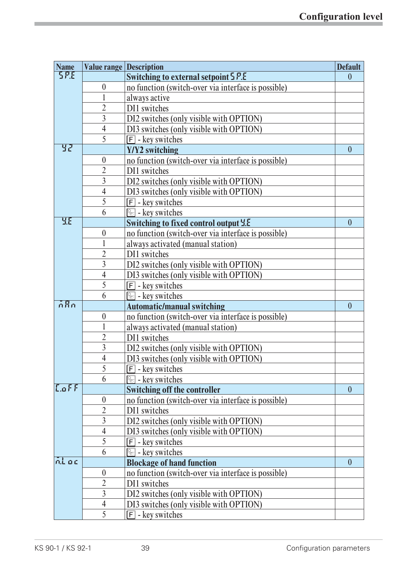| <b>Name</b>      |                  | <b>Value range Description</b><br><b>Default</b>    |                |  |  |
|------------------|------------------|-----------------------------------------------------|----------------|--|--|
| <b>SP.E</b>      |                  | Switching to external setpoint 5 P.E                | $\theta$       |  |  |
|                  | $\boldsymbol{0}$ | no function (switch-over via interface is possible) |                |  |  |
|                  | $\mathbf{1}$     | always active                                       |                |  |  |
|                  | $\overline{2}$   | DI1 switches                                        |                |  |  |
|                  | $\overline{3}$   | DI2 switches (only visible with OPTION)             |                |  |  |
|                  | $\overline{4}$   | DI3 switches (only visible with OPTION)             |                |  |  |
|                  | 5                | $\boxed{\mathsf{F}}$ - key switches                 |                |  |  |
| पुर              |                  | Y/Y2 switching                                      | $\theta$       |  |  |
|                  | $\boldsymbol{0}$ | no function (switch-over via interface is possible) |                |  |  |
|                  | $\overline{2}$   | DI1 switches                                        |                |  |  |
|                  | $\overline{3}$   | DI2 switches (only visible with OPTION)             |                |  |  |
|                  | $\overline{4}$   | DI3 switches (only visible with OPTION)             |                |  |  |
|                  | 5                | $\boxed{\mathsf{F}}$ - key switches                 |                |  |  |
|                  | 6                | $\boxed{\circledcirc}$ - key switches               |                |  |  |
| <b>YE</b>        |                  | <b>Switching to fixed control output Y.E</b>        | $\mathbf{0}$   |  |  |
|                  | $\boldsymbol{0}$ | no function (switch-over via interface is possible) |                |  |  |
|                  | $\mathbf{1}$     | always activated (manual station)                   |                |  |  |
|                  | $\overline{2}$   | DI1 switches                                        |                |  |  |
|                  | $\overline{3}$   | DI2 switches (only visible with OPTION)             |                |  |  |
|                  | $\overline{4}$   | DI3 switches (only visible with OPTION)             |                |  |  |
|                  | 5                | $\boxed{F}$ - key switches                          |                |  |  |
|                  | 6                | $\boxed{\circledcirc}$ - key switches               |                |  |  |
| $\overline{ABn}$ |                  | <b>Automatic/manual switching</b>                   | $\theta$       |  |  |
|                  | $\boldsymbol{0}$ | no function (switch-over via interface is possible) |                |  |  |
|                  | 1                | always activated (manual station)                   |                |  |  |
|                  | $\overline{2}$   | DI1 switches                                        |                |  |  |
|                  | $\overline{3}$   | DI2 switches (only visible with OPTION)             |                |  |  |
|                  | $\overline{4}$   | DI3 switches (only visible with OPTION)             |                |  |  |
|                  | 5                | $\boxed{\mathsf{F}}$ - key switches                 |                |  |  |
|                  | 6                | $\sqrt{2}$ - key switches                           |                |  |  |
| $L$ off          |                  | <b>Switching off the controller</b>                 | $\overline{0}$ |  |  |
|                  | $\boldsymbol{0}$ | no function (switch-over via interface is possible) |                |  |  |
|                  | $\overline{2}$   | DI1 switches                                        |                |  |  |
|                  | $\overline{3}$   | DI2 switches (only visible with OPTION)             |                |  |  |
|                  | $\overline{4}$   | DI3 switches (only visible with OPTION)             |                |  |  |
|                  | 5                | $[F]$ - key switches                                |                |  |  |
|                  | 6                | $\sqrt{2}$ - key switches                           |                |  |  |
| ni ac            |                  | <b>Blockage of hand function</b>                    | $\mathbf{0}$   |  |  |
|                  | $\boldsymbol{0}$ | no function (switch-over via interface is possible) |                |  |  |
|                  | $\overline{2}$   | DI1 switches                                        |                |  |  |
|                  | $\overline{3}$   | DI2 switches (only visible with OPTION)             |                |  |  |
|                  | $\overline{4}$   | DI3 switches (only visible with OPTION)             |                |  |  |
|                  | 5                | $\boxed{\mathsf{F}}$ - key switches                 |                |  |  |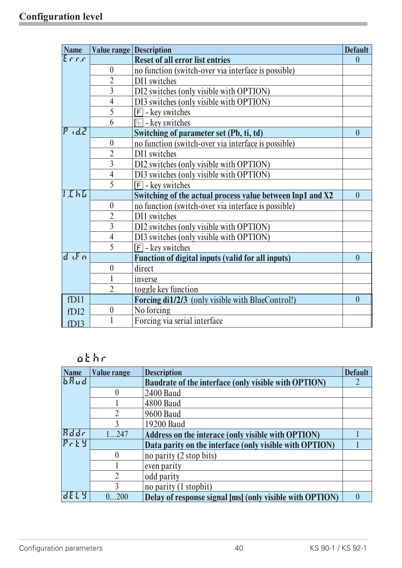| <b>Name</b>           | <b>Value range Description</b> |                                                           | <b>Default</b> |
|-----------------------|--------------------------------|-----------------------------------------------------------|----------------|
| Errr                  |                                | <b>Reset of all error list entries</b>                    | $\theta$       |
|                       | $\boldsymbol{0}$               | no function (switch-over via interface is possible)       |                |
|                       | $\overline{2}$                 | DI1 switches                                              |                |
|                       | $\overline{3}$                 | DI2 switches (only visible with OPTION)                   |                |
|                       | $\overline{4}$                 | DI3 switches (only visible with OPTION)                   |                |
|                       | 5                              | $\boxed{\mathsf{F}}$ - key switches                       |                |
|                       | 6                              | $\circled{2}$ - key switches                              |                |
| nd2                   |                                | Switching of parameter set (Pb, ti, td)                   | $\theta$       |
|                       | $\boldsymbol{0}$               | no function (switch-over via interface is possible)       |                |
|                       | $\overline{2}$                 | DI1 switches                                              |                |
|                       | $\overline{3}$                 | DI2 switches (only visible with OPTION)                   |                |
|                       | $\overline{4}$                 | DI3 switches (only visible with OPTION)                   |                |
|                       | 5                              | $\boxed{\mathsf{F}}$ - key switches                       |                |
| 1.EK5                 |                                | Switching of the actual process value between Inp1 and X2 | $\overline{0}$ |
|                       | $\boldsymbol{0}$               | no function (switch-over via interface is possible)       |                |
|                       | $\overline{2}$                 | DI1 switches                                              |                |
|                       | $\overline{3}$                 | DI2 switches (only visible with OPTION)                   |                |
|                       | $\overline{4}$                 | DI3 switches (only visible with OPTION)                   |                |
|                       | 5                              | $\boxed{F}$ - key switches                                |                |
| $d \sqrt{r}$ $\alpha$ |                                | <b>Function of digital inputs (valid for all inputs)</b>  | $\theta$       |
|                       | $\boldsymbol{0}$               | direct                                                    |                |
|                       | $\mathbf{1}$                   | inverse                                                   |                |
|                       | $\overline{2}$                 | toggle key function                                       |                |
| fDI1                  |                                | Forcing di1/2/3 (only visible with BlueControl!)          | $\mathbf{0}$   |
| f <sub>D</sub> 12     | $\boldsymbol{0}$               | No forcing                                                |                |
| fDI3                  |                                | Forcing via serial interface                              |                |

## **othr**

| <b>Name</b> | <b>Value range</b> | <b>Description</b>                                          | <b>Default</b> |
|-------------|--------------------|-------------------------------------------------------------|----------------|
| bRud        |                    | <b>Baudrate of the interface (only visible with OPTION)</b> |                |
|             |                    | <b>2400 Baud</b>                                            |                |
|             |                    | <b>4800 Baud</b>                                            |                |
|             |                    | <b>9600 Baud</b>                                            |                |
|             |                    | 19200 Baud                                                  |                |
| Rddr        | 1247               | Address on the interace (only visible with OPTION)          |                |
| ይራኑሃ        |                    | Data parity on the interface (only visible with OPTION)     |                |
|             |                    | no parity (2 stop bits)                                     |                |
|             |                    | even parity                                                 |                |
|             |                    | odd parity                                                  |                |
|             |                    | no parity (1 stopbit)                                       |                |
| 12 E L 4    | 0200               | Delay of response signal [ms] (only visible with OPTION)    |                |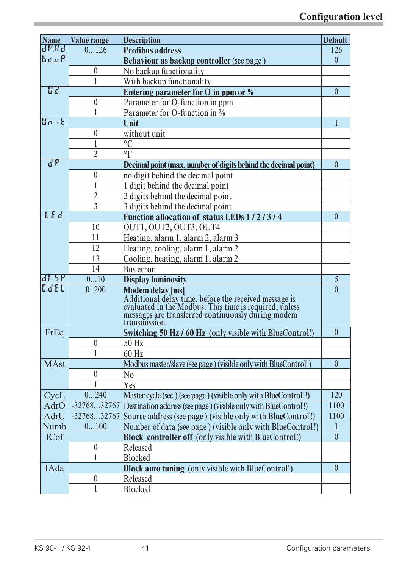| <b>Name</b>     | <b>Value range</b> | <b>Description</b><br><b>Default</b>                                                                                                                                  |                |  |  |
|-----------------|--------------------|-----------------------------------------------------------------------------------------------------------------------------------------------------------------------|----------------|--|--|
| dP.Rd           | 0126               | <b>Profibus address</b>                                                                                                                                               | 126            |  |  |
| $b$ c.u $P$     |                    | Behaviour as backup controller (see page)                                                                                                                             | $\theta$       |  |  |
|                 | $\boldsymbol{0}$   | No backup functionality                                                                                                                                               |                |  |  |
|                 | 1                  | With backup functionality                                                                                                                                             |                |  |  |
| पर              |                    | Entering parameter for O in ppm or %                                                                                                                                  | $\mathbf{0}$   |  |  |
|                 | $\boldsymbol{0}$   | Parameter for O-function in ppm                                                                                                                                       |                |  |  |
|                 |                    | Parameter for O-function in %                                                                                                                                         |                |  |  |
| $\ln k$         |                    | Unit                                                                                                                                                                  |                |  |  |
|                 | $\boldsymbol{0}$   | without unit                                                                                                                                                          |                |  |  |
|                 |                    | $\rm ^{\circ}C$                                                                                                                                                       |                |  |  |
|                 | $\overline{2}$     | $\mathrm{P}$                                                                                                                                                          |                |  |  |
| $\overline{dP}$ |                    | Decimal point (max. number of digits behind the decimal point)                                                                                                        | $\mathbf{0}$   |  |  |
|                 | $\boldsymbol{0}$   | no digit behind the decimal point                                                                                                                                     |                |  |  |
|                 | 1                  | 1 digit behind the decimal point                                                                                                                                      |                |  |  |
|                 | $\overline{2}$     | 2 digits behind the decimal point                                                                                                                                     |                |  |  |
|                 | $\overline{3}$     | 3 digits behind the decimal point                                                                                                                                     |                |  |  |
| LEd             |                    | Function allocation of status LEDs 1/2/3/4                                                                                                                            | $\overline{0}$ |  |  |
|                 | 10                 | OUT1, OUT2, OUT3, OUT4                                                                                                                                                |                |  |  |
|                 | 11                 | Heating, alarm 1, alarm 2, alarm 3                                                                                                                                    |                |  |  |
|                 | 12                 | Heating, cooling, alarm 1, alarm 2                                                                                                                                    |                |  |  |
|                 | 13                 | Cooling, heating, alarm 1, alarm 2                                                                                                                                    |                |  |  |
|                 | 14                 | Bus error                                                                                                                                                             |                |  |  |
| <u>ri 26</u>    | 010                | <b>Display luminosity</b>                                                                                                                                             | 5              |  |  |
| LdEL            | 0.200              | <b>Modem delay [ms]</b>                                                                                                                                               | $\overline{0}$ |  |  |
|                 |                    |                                                                                                                                                                       |                |  |  |
|                 |                    | Additional delay time, before the received message is<br>evaluated in the Modbus. This time is required, unless<br>messages are transferred continuously during modem |                |  |  |
|                 |                    | transmission.                                                                                                                                                         |                |  |  |
| FrEq            |                    | Switching 50 Hz / 60 Hz (only visible with BlueControl!)                                                                                                              | $\mathbf{0}$   |  |  |
|                 | $\boldsymbol{0}$   | 50 Hz                                                                                                                                                                 |                |  |  |
|                 |                    | 60 Hz                                                                                                                                                                 |                |  |  |
| <b>MAst</b>     |                    | Modbus master/slave (see page) (visible only with BlueControl)                                                                                                        | $\mathbf{0}$   |  |  |
|                 | $\boldsymbol{0}$   | N <sub>0</sub>                                                                                                                                                        |                |  |  |
|                 |                    | Yes                                                                                                                                                                   |                |  |  |
| CycL            | 0240               | Master cycle (sec.) (see page) (visible only with BlueControl!)                                                                                                       | 120            |  |  |
| AdrO            | $-3276832767$      | Destination address (see page) (visible only with BlueControl!)                                                                                                       | 1100           |  |  |
| AdrU            | $-3276832767$      | Source address (see page) (visible only with BlueControl!)                                                                                                            | 1100           |  |  |
| Numb            | 0100               | Number of data (see page) (visible only with BlueControl!)                                                                                                            | 1              |  |  |
| <b>ICof</b>     |                    | <b>Block controller off</b> (only visible with BlueControl!)                                                                                                          | $\mathbf{0}$   |  |  |
|                 | $\boldsymbol{0}$   | Released                                                                                                                                                              |                |  |  |
|                 |                    | <b>Blocked</b>                                                                                                                                                        |                |  |  |
| IAda            |                    | <b>Block auto tuning</b> (only visible with BlueControl!)                                                                                                             | $\mathbf{0}$   |  |  |
|                 | $\boldsymbol{0}$   | Released                                                                                                                                                              |                |  |  |
|                 |                    |                                                                                                                                                                       |                |  |  |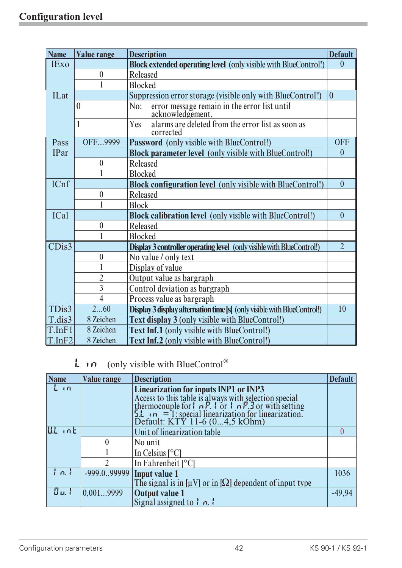| <b>Name</b>        | <b>Value range</b> | <b>Description</b>                                                             | <b>Default</b> |
|--------------------|--------------------|--------------------------------------------------------------------------------|----------------|
| <b>IExo</b>        |                    | <b>Block extended operating level</b> (only visible with BlueControl!)         | $\overline{0}$ |
|                    | $\boldsymbol{0}$   | Released                                                                       |                |
|                    |                    | <b>Blocked</b>                                                                 |                |
| <b>ILat</b>        |                    | Suppression error storage (visible only with BlueControl!)                     | $\mathbf{0}$   |
|                    | $\theta$           | error message remain in the error list until<br>acknowledgement.<br>No:        |                |
|                    | 1                  | alarms are deleted from the error list as soon as<br>Yes<br>corrected          |                |
| Pass               | OFF9999            | Password (only visible with BlueControl!)                                      | <b>OFF</b>     |
| <b>IPar</b>        |                    | <b>Block parameter level</b> (only visible with BlueControl!)                  | $\theta$       |
|                    | $\boldsymbol{0}$   | Released                                                                       |                |
|                    |                    | <b>Blocked</b>                                                                 |                |
| ICnf               |                    | <b>Block configuration level</b> (only visible with BlueControl!)              | $\mathbf{0}$   |
|                    | $\boldsymbol{0}$   | Released                                                                       |                |
|                    |                    | <b>Block</b>                                                                   |                |
| <b>ICal</b>        |                    | <b>Block calibration level</b> (only visible with BlueControl!)                | $\overline{0}$ |
|                    | $\theta$           | Released                                                                       |                |
|                    |                    | <b>Blocked</b>                                                                 |                |
| CDis3              |                    | <b>Display 3 controller operating level</b> (only visible with BlueControl!)   | $\overline{2}$ |
|                    | $\theta$           | No value / only text                                                           |                |
|                    |                    | Display of value                                                               |                |
|                    | $\overline{2}$     | Output value as bargraph                                                       |                |
|                    | $\overline{3}$     | Control deviation as bargraph                                                  |                |
|                    | $\overline{4}$     | Process value as bargraph                                                      |                |
| TDis3              | 260                | <b>Display 3 display alternation time [s]</b> (only visible with BlueControl!) | 10             |
| T.dis3             | 8 Zeichen          | Text display 3 (only visible with BlueControl!)                                |                |
| T.InF1             | 8 Zeichen          | <b>Text Inf.1</b> (only visible with BlueControl!)                             |                |
| T <sub>Im</sub> F2 | 8 Zeichen          | <b>Text Inf.2 (only visible with BlueControl!)</b>                             |                |

 $\mathsf{L}$  in (only visible with BlueControl®

| <b>Name</b> | <b>Value range</b>          | <b>Description</b>                                                                                                                                                                                                           | <b>Default</b> |  |  |
|-------------|-----------------------------|------------------------------------------------------------------------------------------------------------------------------------------------------------------------------------------------------------------------------|----------------|--|--|
| $L \cap$    |                             | <b>Linearization for inputs INP1 or INP3</b>                                                                                                                                                                                 |                |  |  |
|             |                             |                                                                                                                                                                                                                              |                |  |  |
|             |                             |                                                                                                                                                                                                                              |                |  |  |
|             |                             | Access to this table is always with selection special<br>thermocouple for $\ln P$ . $\ln P$ or $\ln P$ . $\ln P$ or with setting<br>5.1 $\ln$ = 1: special linearization for linearization.<br>Default: KTY 11-6 (04,5 kOhm) |                |  |  |
| LLL int     |                             | Unit of linearization table                                                                                                                                                                                                  |                |  |  |
|             | $\theta$                    | No unit                                                                                                                                                                                                                      |                |  |  |
|             |                             | In Celsius $[°C]$                                                                                                                                                                                                            |                |  |  |
|             | 2                           | In Fahrenheit $[°C]$                                                                                                                                                                                                         |                |  |  |
| l n. l      | -999.099999   Input value 1 |                                                                                                                                                                                                                              | 1036           |  |  |
|             |                             | The signal is in $\left[\mu V\right]$ or in $\left[\Omega\right]$ dependent of input type                                                                                                                                    |                |  |  |
| $B$ at $I$  | 0,0019999                   | <b>Output value 1</b>                                                                                                                                                                                                        | $-49,94$       |  |  |
|             |                             | Signal assigned to $\ln l$                                                                                                                                                                                                   |                |  |  |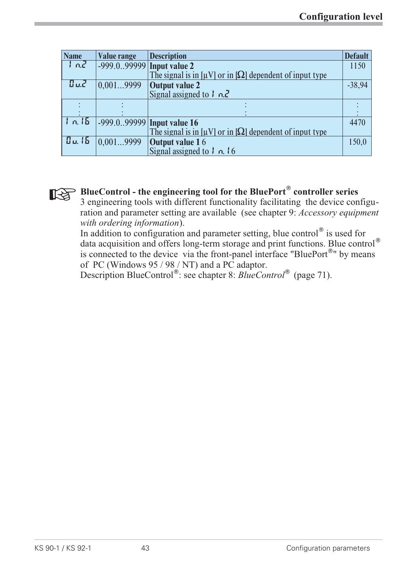| <b>Name</b>   | <b>Value range</b>           | <b>Description</b>                                                                          | <b>Default</b> |
|---------------|------------------------------|---------------------------------------------------------------------------------------------|----------------|
| $tan^2$       | $-999.0.99999$ Input value 2 |                                                                                             | 1150           |
|               |                              | The signal is in $\lceil \mu V \rceil$ or in $\lceil \Omega \rceil$ dependent of input type |                |
| BuJ           | $\vert 0.0019999 \vert$      |                                                                                             | $-38,94$       |
|               |                              | <b>Output value 2</b><br>Signal assigned to $\frac{1}{2}$ n.2                               |                |
|               |                              |                                                                                             |                |
|               |                              |                                                                                             |                |
| 1n.15         |                              | $-999.0.99999$ Input value 16                                                               | 4470           |
|               |                              | The signal is in $\lceil \mu V \rceil$ or in $\lceil \Omega \rceil$ dependent of input type |                |
| <b>Du. 15</b> | 0.0019999                    |                                                                                             | 150,0          |
|               |                              | <b>Output value 1</b> 6<br>Signal assigned to $\frac{1}{2}$ $n$ , 16                        |                |



**BlueControl - the engineering tool for the BluePort<sup>®</sup> controller series**<br>
3 engineering tools with different functionality facilitating the device contrient and nonpretent estimating are symilable. (see abouter 0) decono 3 engineering tools with different functionality facilitating the device configuration and parameter setting are available (see chapter 9: *Accessory equipment with ordering information*).

In addition to configuration and parameter setting, blue control<sup>®</sup> is used for data acquisition and offers long-term storage and print functions. Blue control is connected to the device via the front-panel interface "BluePort<sup>®</sup>" by means of PC (Windows 95 / 98 / NT) and a PC adaptor.

Description BlueControl<sup>®</sup>: see chapter 8: *BlueControl*<sup>®</sup> (page 71).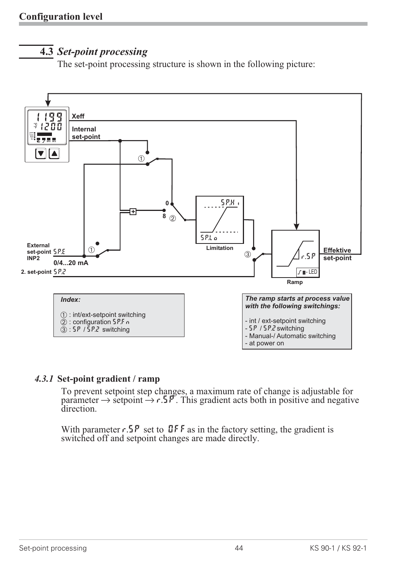## **4.3** *Set-point processing*

The set-point processing structure is shown in the following picture:



#### *4.3.1* **Set-point gradient / ramp**

To prevent setpoint step changes, a maximum rate of change is adjustable for parameter  $\rightarrow$  setpoint  $\rightarrow$  r.5P. This gradient acts both in positive and negative direction. direction.

With parameter  $r.5P$  set to DFF as in the factory setting, the gradient is switched off and setpoint changes are made directly.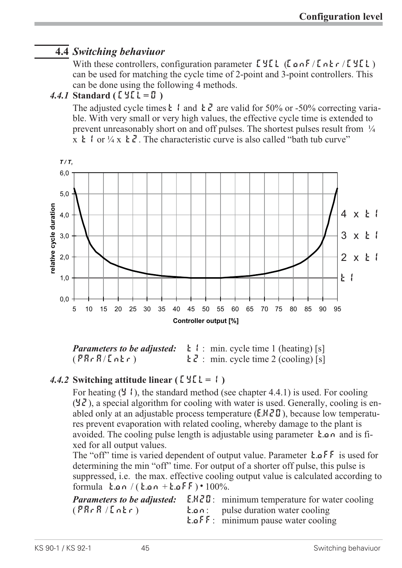## **4.4** *Switching behaviuor*

With these controllers, configuration parameter  $E YEL$  (Lone / Lone / CYCL) can be used for matching the cycle time of 2-point and 3-point controllers. This can be done using the following 4 methods.

#### *4.4.1* **Standard ( CyCl= 0 )**

The adjusted cycle times  $\frac{1}{2}$  and  $\frac{1}{2}$  are valid for 50% or -50% correcting variable. With very small or very high values, the effective cycle time is extended to prevent unreasonably short on and off pulses. The shortest pulses result from  $\frac{1}{4}$  $x \t{t}$  or  $\frac{1}{4}x \t{t}$ . The characteristic curve is also called "bath tub curve"



*Parameters to be adjusted:*  $\mathbf{k}$  : min. cycle time 1 (heating) [s]  $(\overline{PRr}R/\overline{LRr})$  t  $\overline{Z}$  : min. cycle time 2 (cooling) [s]

#### *4.4.2* **Switching attitude linear ( CyCl= 1 )**

For heating  $(Y, \cdot)$ , the standard method (see chapter 4.4.1) is used. For cooling  $(\frac{4}{5})$ , a special algorithm for cooling with water is used. Generally, cooling is enabled only at an adjustable process temperature  $(E.HZI)$ , because low temperatures prevent evaporation with related cooling, whereby damage to the plant is avoided. The cooling pulse length is adjustable using parameter  $\mathbf{h} \cdot \mathbf{a}$  and is fixed for all output values.

The "off" time is varied dependent of output value. Parameter  $\mathbf{t} \cdot \mathbf{a}$  FF is used for determining the min "off" time. For output of a shorter off pulse, this pulse is suppressed, i.e. the max. effective cooling output value is calculated according to formula  $\tan/(k \cdot \omega n + k \cdot \omega F) \cdot 100\%.$ 

|             | <b>Parameters to be adjusted:</b> E.H.Z.D: minimum temperature for water cooling |
|-------------|----------------------------------------------------------------------------------|
| (PRrR/LnEr) | <b>E.o.</b> pulse duration water cooling                                         |
|             | <b>E.</b> $\alpha$ $\beta$ $\beta$ : minimum pause water cooling                 |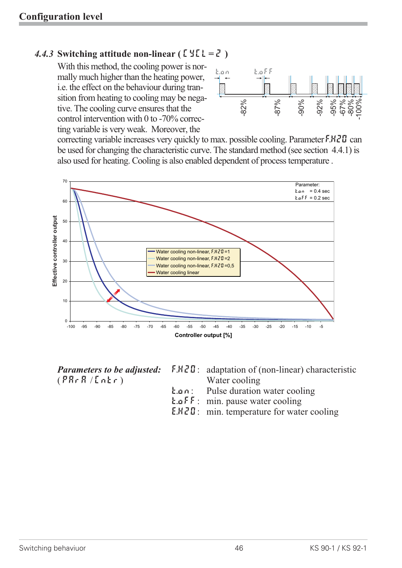#### 4.4.3 Switching attitude non-linear  $(E \leq \ell = \ell)$

With this method, the cooling power is normally much higher than the heating power, i.e. the effect on the behaviour during transition from heating to cooling may be negative. The cooling curve ensures that the control intervention with 0 to -70% correcting variable is very weak. Moreover, the



correcting variable increases very quickly to max. possible cooling. Parameter  $F.HZU$  can be used for changing the characteristic curve. The standard method (see section 4.4.1) is also used for heating. Cooling is also enabled dependent of process temperature .



 $(PR \cdot R / L \cdot k)$  Water cooling

- *Parameters to be adjusted:* F.H2O: adaptation of (non-linear) characteristic
	- t.on: Pulse duration water cooling
	- t.off: min. pause water cooling
	- E.H2O: min. temperature for water cooling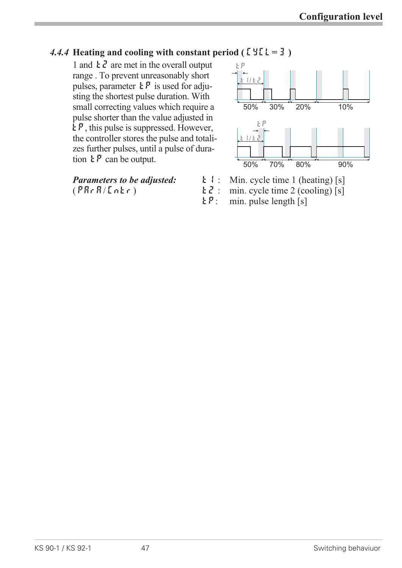#### *4.4.4* **Heating and cooling with constant period (** $\lceil \frac{1}{2}\rceil = 3$ **)**

1 and  $\frac{1}{2}$  are met in the overall output range . To prevent unreasonably short pulses, parameter  $\mathbf{E} \mathbf{P}$  is used for adjusting the shortest pulse duration. With small correcting values which require a pulse shorter than the value adjusted in  $E_{\mathcal{P}}$ , this pulse is suppressed. However, the controller stores the pulse and totalizes further pulses, until a pulse of duration  $\mathbf{E} \mathbf{P}$  can be output.

*Parameters to be adjusted:*  $\begin{array}{ll} \n\text{L1:} & \text{Min. cycle time 1 (heating) [s]} \\
\text{(PRr R/Lnkr)} & \text{L2:} & \text{min. cycle time 2 (cooling) [s]} \\
\end{array}$ 



- 
- $\mathbf{E} \cdot \mathbf{Z}$ : min. cycle time 2 (cooling) [s]<br> $\mathbf{E} \cdot \mathbf{P}$ : min. pulse length [s]
	- $min.$  pulse length  $[s]$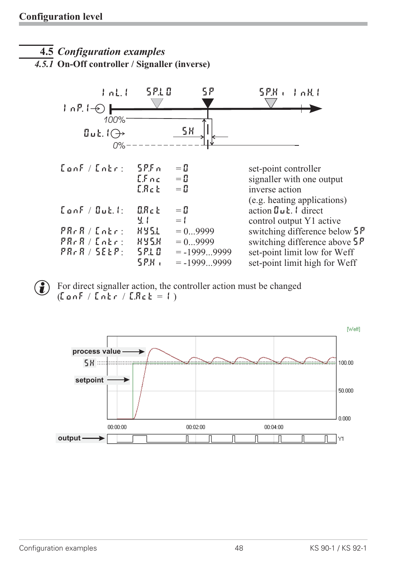## **4.5** *Configuration examples*

*4.5.1* **On-Off controller / Signaller (inverse)**



 $\left( \widehat{\mathbf{f}}\right)$  For direct signaller action, the controller action must be changed  $(ConF / Iner / E. ReE = 1)$ 

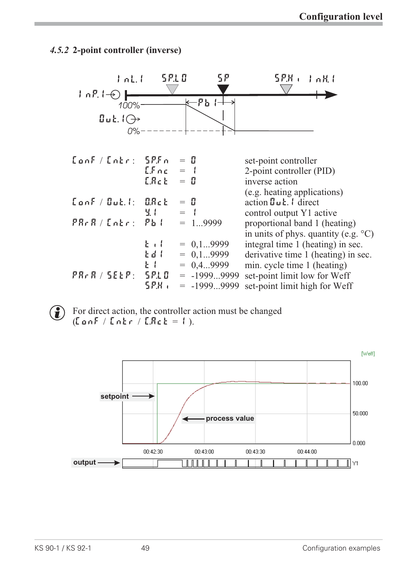#### *4.5.2* **2-point controller (inverse)**



 $\left( \begin{array}{c} \bullet \end{array} \right)$  For direct action, the controller action must be changed  $(ConF / Inter / E. ReE = 1).$ 

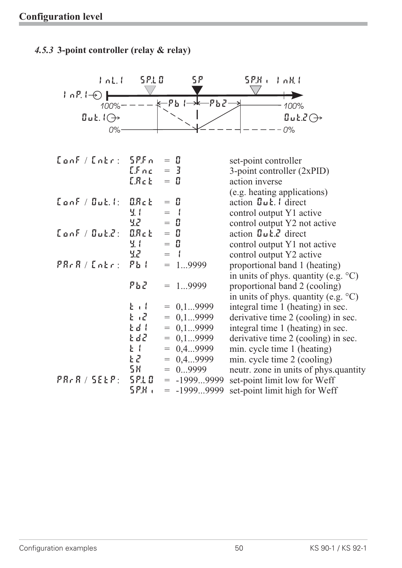# *4.5.3* **3-point controller (relay & relay)** InL.1 SP.LO SP. SP.H. InH.1



| ${{\sf CanF}} / {{\sf Entr}}$ : ${{\sf SPF}}$ n |                     | $=$ H         | set-point controller                                    |
|-------------------------------------------------|---------------------|---------------|---------------------------------------------------------|
|                                                 | $E.$ $F \nc$        | $=$ 3         | 3-point controller (2xPID)                              |
|                                                 | E.R.c.t.            | $=$ H         | action inverse                                          |
|                                                 |                     |               | (e.g. heating applications)                             |
| $\tt {C}$ and $\tt /$ $\tt {D}$ at $\tt {C}$    | <b>ORct</b>         | $=$ H         | action $\mathbf{u}$ $\mathbf{L}$ $\mathbf{l}$ direct    |
|                                                 | М. I                | $=$           | control output Y1 active                                |
|                                                 | 55                  | $=$ H         | control output Y2 not active                            |
| $\tt {Cont} / \t {But}$ $\mathcal{C}$ :         | $\mathfrak{A}R$ c E | $=$ H         | action $\mathbf{u} \mathbf{L}$ . $\mathbf{v}$ direct    |
|                                                 | <u>ч. н</u>         | $=$ H         | control output Y1 not active                            |
|                                                 |                     | - 1<br>$=$    | control output Y2 active                                |
| PRrR / Lnkr: Pb!                                |                     | $= 19999$     | proportional band 1 (heating)                           |
|                                                 |                     |               | in units of phys. quantity (e.g. $\rm{^{\circ}C}$ )     |
|                                                 | ዖኔ21                | $= 19999$     | proportional band 2 (cooling)                           |
|                                                 |                     |               | in units of phys. quantity (e.g. $\mathrm{^{\circ}C}$ ) |
|                                                 | $k + l$             | $= 0, 19999$  | integral time 1 (heating) in sec.                       |
|                                                 | $E \cdot E$         | $= 0, 19999$  | derivative time 2 (cooling) in sec.                     |
|                                                 | Edd                 | $= 0, 19999$  | integral time 1 (heating) in sec.                       |
|                                                 | t d2 -              | $= 0, 19999$  | derivative time 2 (cooling) in sec.                     |
|                                                 | $\mathbf{E}$        | $= 0, 49999$  | min. cycle time 1 (heating)                             |
|                                                 | ኔረ                  | $= 0, 49999$  | min. cycle time 2 (cooling)                             |
|                                                 | 5X -                | $= 09999$     | neutr. zone in units of phys.quantity                   |
| $PAR$ $R$ / <code>SELP: SPLO</code>             |                     | $= -19999999$ | set-point limit low for Weff                            |
|                                                 | 5 P.H.,             | $= -19999999$ | set-point limit high for Weff                           |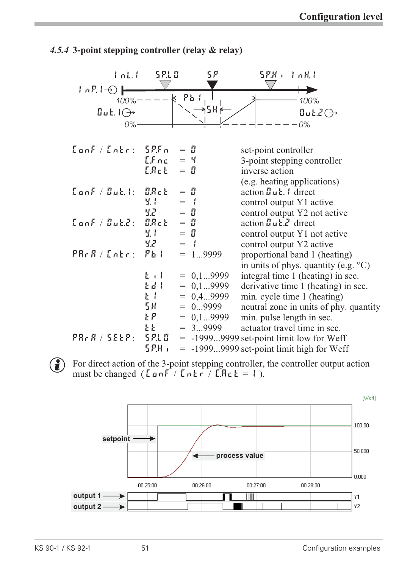

#### *4.5.4* **3-point stepping controller (relay & relay)**

 $\left( \bullet \right)$  For direct action of the 3-point stepping controller, the controller output action must be changed ( $\text{LanF}$  /  $\text{Lahr}$  /  $\text{LRe} k = 1$ ).

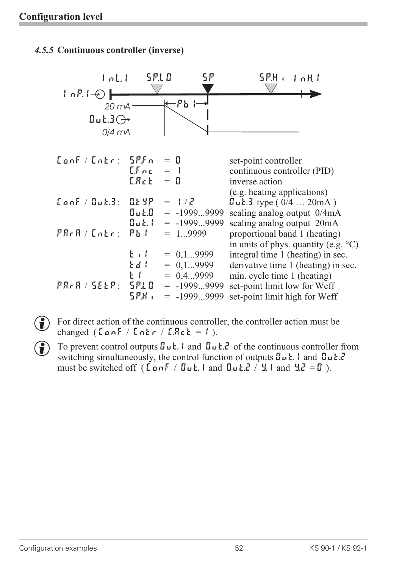#### *4.5.5* **Continuous controller (inverse)**



- $\left( \widehat{\mathbf{f}} \right)$  For direct action of the continuous controller, the controller action must be changed ( $\text{Conf}$  /  $\text{Left}$  /  $\text{Left}$  = 1).
- To prevent control outputs  $\mathbf{I} \cup \mathbf{E}$ . I and  $\mathbf{I} \cup \mathbf{E}$ . I of the continuous controller from switching simultaneously, the control function of outputs  $\mathbf{0}$   $\mu$  **L**. 1 and  $\mathbf{0}$   $\mu$  **L.** 2 must be switched off ( $\vec{L}$  on F / Out. 1 and Out. 2 / Y. 1 and Y. 2 = O ).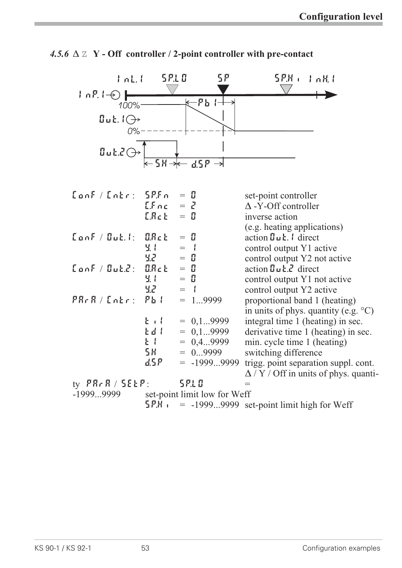

|  |  |  |  |  |  | 4.5.6 $\triangle$ $\mathbb{Z}$ Y - Off controller / 2-point controller with pre-contact |
|--|--|--|--|--|--|-----------------------------------------------------------------------------------------|
|--|--|--|--|--|--|-----------------------------------------------------------------------------------------|

| $\tanh /$ $\text{Loh}$ : $5P$ . $Fn$ |             | $=$ H                        | set-point controller                                        |
|--------------------------------------|-------------|------------------------------|-------------------------------------------------------------|
|                                      | $LEnc = Z$  |                              | $\Delta$ -Y-Off controller                                  |
|                                      | $L R$ c $E$ | $=$ H                        | inverse action                                              |
|                                      |             |                              | (e.g. heating applications)                                 |
| $\tt$ onf / Out. $:$ $\tt$ O.Ret     |             | $=$ $\mathbb{I}$             | action $\mathbf{g}_{\mathbf{u}}$ <b>t</b> . I direct        |
|                                      | H. I        | $=$ $\pm$                    | control output Y1 active                                    |
|                                      | 55          | $=$ H                        | control output Y2 not active                                |
| $\tt Conf / GukZ:$                   | <b>ORct</b> | $=$ H                        | action $\mathbf{I} \cup \mathbf{k}$ . direct                |
|                                      | М. I        | $=$ H                        | control output Y1 not active                                |
|                                      | 52 - 10     | $=$ $\left  \right $         | control output Y2 active                                    |
| PRrR / [nEr:                         | $Pb$ (      | $= 19999$                    | proportional band 1 (heating)                               |
|                                      |             |                              | in units of phys. quantity (e.g. $\mathrm{^{\circ}C}$ )     |
|                                      | $E + I$     | $= 0, 19999$                 | integral time 1 (heating) in sec.                           |
|                                      | Edd I       | $= 0, 19999$                 | derivative time 1 (heating) in sec.                         |
|                                      | $k +$       | $= 0, 49999$                 | min. cycle time 1 (heating)                                 |
|                                      | 58 -        | $= 09999$                    | switching difference                                        |
|                                      | d.5 P       | $= -19999999$                | trigg. point separation suppl. cont.                        |
|                                      |             |                              | $\Delta$ / Y / Off in units of phys. quanti-                |
| ty $PR \nmid R / SEEP$ :             |             | 5 P.L 0                      |                                                             |
| -19999999                            |             | set-point limit low for Weff |                                                             |
|                                      |             |                              | $5P.H$ $\epsilon$ = -19999999 set-point limit high for Weff |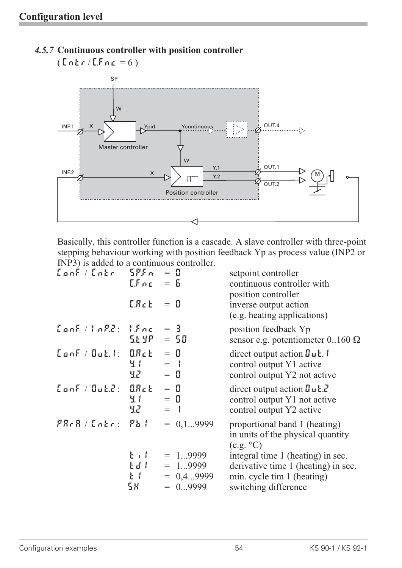

*4.5.7* **Continuous controller with position controller**

Basically, this controller function is a cascade. A slave controller with three-point stepping behaviour working with position feedback Yp as process value (INP2 or INP3) is added to a continuous controller.

| ${{\sf CanF}/{{\sf Ent}} = {\sf SPF}}$ n = 0 | $LFnc = 5$          |                                                    | setpoint controller<br>continuous controller with<br>position controller                                              |
|----------------------------------------------|---------------------|----------------------------------------------------|-----------------------------------------------------------------------------------------------------------------------|
|                                              | E.R.c. E            | $=$ H                                              | inverse output action<br>(e.g. heating applications)                                                                  |
| $\tanh /lnP.E:$ $\tan 5$                     | 56 9 P              | $=$ 3<br>$= 50$                                    | position feedback Yp<br>sensor e.g. potentiometer $0.160 \Omega$                                                      |
| $\tt {LonF / Guk.}$ : $\tt {BRck}$           | 9.1<br>52 - 1       | $=$ H<br>$=$ $\left  \right $<br>$=$ H             | direct output action $\mathbf{u} \mathbf{u}$ .<br>control output Y1 active<br>control output Y2 not active            |
| $\tt$ onf / Out.2: $\tt$ O.Ret               | М. I<br>5.2 Million | $=$ $\mathbb{I}$<br>$=$ H<br>$=$ $\left\{ \right.$ | direct output action $\mathbf{u} \mathbf{u} \mathbf{k}$ .<br>control output Y1 not active<br>control output Y2 active |
| PRrR / LnEr: Pb!                             |                     | $= 0.19999$                                        | proportional band 1 (heating)<br>in units of the physical quantity<br>(e.g. °C)                                       |
|                                              | $k + l$             | $= 19999$                                          | integral time 1 (heating) in sec.                                                                                     |
|                                              | Edd                 | $= 19999$                                          | derivative time 1 (heating) in sec.                                                                                   |
|                                              | $E = 1$             | $= 0, 49999$                                       | min. cycle tim 1 (heating)                                                                                            |
|                                              | 58                  | $= 09999$                                          | switching difference                                                                                                  |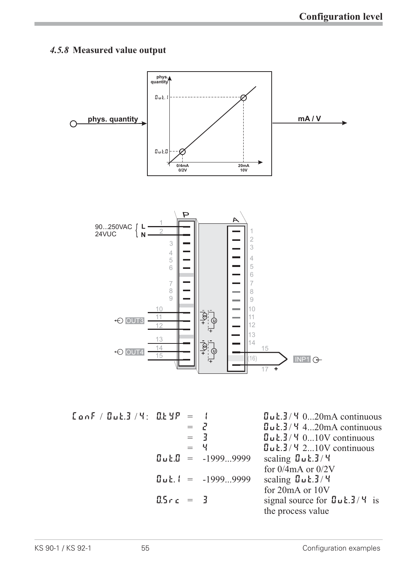#### *4.5.8* **Measured value output**



 $\begin{array}{rcl} \text{L} \text{ on } F \text{ /} \text{ G} \text{ of } G \text{ in } G \text{ in } G \text{ in } G \text{ in } G \text{ in } G \text{ in } G \text{ in } G \text{ in } G \text{ in } G \text{ in } G \text{ in } G \text{ in } G \text{ in } G \text{ in } G \text{ in } G \text{ in } G \text{ in } G \text{ in } G \text{ in } G \text{ in } G \text{ in } G \text{ in } G \text{ in } G \text{ in } G \text{ in } G \text{ in } G \text{ in } G \text{ in } G \text{ in } G \text{ in } G \text{ in }$  $=$   $\frac{7}{3}$   $=$   $\frac{8}{3}$   $\frac{8}{3}$   $\frac{11}{3}$   $\frac{4}{3}$   $\frac{4}{3}$   $\frac{10}{3}$   $\frac{10}{3}$  continuous  $=$  3  $=$   $\frac{6}{10}$   $\frac{13}{4}$   $\frac{4}{2}$   $\frac{10V}{2}$  continuous  $=$  4  $\frac{d}{dx}$   $\frac{d}{dx}$   $\frac{d}{dx}$   $\frac{d}{dx}$   $\frac{d}{dx}$   $\frac{d}{dx}$   $\frac{d}{dx}$   $\frac{d}{dx}$   $\frac{d}{dx}$   $\frac{d}{dx}$   $\frac{d}{dx}$   $\frac{d}{dx}$   $\frac{d}{dx}$   $\frac{d}{dx}$   $\frac{d}{dx}$   $\frac{d}{dx}$   $\frac{d}{dx}$   $\frac{d}{dx}$   $\frac{d}{dx}$   $\frac{d}{dx}$   $\frac{d}{dx}$   $\frac{d$  $\text{Quk.D}$  = -1999...9999 scaling  $\text{Quk.3}/4$ for 0/4mA or 0/2V  $\text{Out.1} = -1999...9999$  scaling  $\text{Out.3}/\text{4}$ for 20mA or 10V  $0.5r c = 3$  signal source for  $0u \cdot 3/4$  is the process value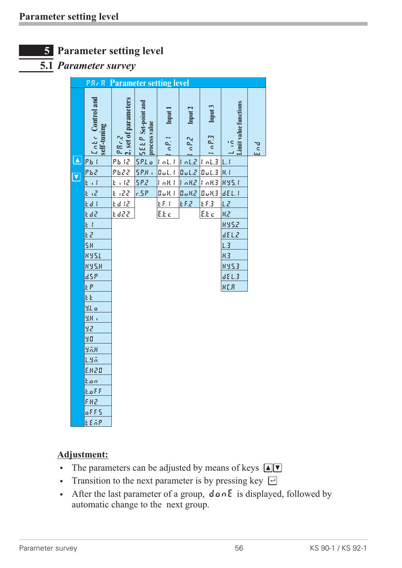

#### **5.1** *Parameter survey*

|                            | <b>PR. R</b> Parameter setting level                                   |                              |                                            |                       |                  |                            |                                        |        |
|----------------------------|------------------------------------------------------------------------|------------------------------|--------------------------------------------|-----------------------|------------------|----------------------------|----------------------------------------|--------|
|                            | $\begin{bmatrix} c & b \\ c & d \end{bmatrix}$ control and self-tuning | 2. set of parameters<br>3.48 | <b>5ELP</b> Set-point and<br>process value | Input 1<br>$\sim P$ . | Input 2<br>n P.Z | Input 3<br>10 <sup>1</sup> | Limit value functions<br>$\frac{1}{2}$ | p<br>S |
| $\boxed{\color{blue}\Box}$ | $Pb$ (                                                                 | <u>Pb 12</u>                 | 5P.Lo                                      | InL.1                 | 10L <sub>2</sub> | 1 nL.3                     | L, l                                   |        |
| $\overline{\textbf{v}}$    | <u>рьг</u>                                                             | 625                          | <b>SP.H.</b>                               | $B$ uL. (             | $5.1 \times 10$  | 0.13                       | H <sub>1</sub>                         |        |
|                            | $k + l$                                                                | 21.12                        | <u>5P.2</u>                                | 1 nRt                 | 10R2             | $ 1 \n0.113 $              | 895.1                                  |        |
|                            | E (2                                                                   | E (22                        | r.5P                                       | B u R                 | 0.012            | $\overline{u}$ uK3         | dEL.1                                  |        |
|                            | Ed I                                                                   | <u>Ed 12</u>                 |                                            | E.51                  | E F.2            | E.5.3                      | L2                                     |        |
|                            | <u>Ed2</u>                                                             | £d22                         |                                            | <u>E.E.c.</u>         |                  | E.E.c                      | R.Z                                    |        |
|                            | E I                                                                    |                              |                                            |                       |                  |                            | 895.2                                  |        |
|                            | 53                                                                     |                              |                                            |                       |                  |                            | 8.13b                                  |        |
|                            | <b>5H</b>                                                              |                              |                                            |                       |                  |                            | L.3                                    |        |
|                            | <b>HY5.L</b>                                                           |                              |                                            |                       |                  |                            | H <sub>2</sub>                         |        |
|                            | <b>HYSH</b>                                                            |                              |                                            |                       |                  |                            | 8953                                   |        |
|                            | dSP                                                                    |                              |                                            |                       |                  |                            | dE L.3                                 |        |
|                            | ŁΡ                                                                     |                              |                                            |                       |                  |                            | <b>HER</b>                             |        |
|                            | ŁŁ                                                                     |                              |                                            |                       |                  |                            |                                        |        |
|                            | 9.1.0                                                                  |                              |                                            |                       |                  |                            |                                        |        |
|                            | ЧΗ,                                                                    |                              |                                            |                       |                  |                            |                                        |        |
|                            | 92                                                                     |                              |                                            |                       |                  |                            |                                        |        |
|                            | 90                                                                     |                              |                                            |                       |                  |                            |                                        |        |
|                            | yax                                                                    |                              |                                            |                       |                  |                            |                                        |        |
|                            | LYA                                                                    |                              |                                            |                       |                  |                            |                                        |        |
|                            | E.H.20                                                                 |                              |                                            |                       |                  |                            |                                        |        |
|                            | <u>k.on</u>                                                            |                              |                                            |                       |                  |                            |                                        |        |
|                            | E.aFF                                                                  |                              |                                            |                       |                  |                            |                                        |        |
|                            | FR2                                                                    |                              |                                            |                       |                  |                            |                                        |        |
|                            | oFF5                                                                   |                              |                                            |                       |                  |                            |                                        |        |

#### **Adjustment:**

tEmp

- The parameters can be adjusted by means of keys  $\Box \Box$
- Transition to the next parameter is by pressing key  $\Box$
- After the last parameter of a group,  $\text{d}$  an E is displayed, followed by automatic change to the next group.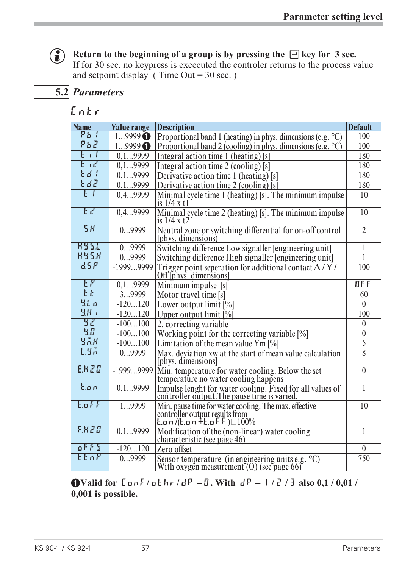## **(c)** Return to the beginning of a group is by pressing the  $\Box$  key for 3 sec.

If for 30 sec. no keypress is excecuted the controler returns to the process value and setpoint display (Time Out =  $30$  sec.)

## **5.2** *Parameters*

### **Cntr**

| <b>Name</b>     | Value range       | <b>Description</b>                                                                                                                   | <b>Default</b>           |
|-----------------|-------------------|--------------------------------------------------------------------------------------------------------------------------------------|--------------------------|
| <u>የኤ (</u>     | $19999$ $\bullet$ | Proportional band 1 (heating) in phys. dimensions (e.g. $\degree$ C)                                                                 | 100                      |
| ምኔም             | 19999             | Proportional band 2 (cooling) in phys. dimensions (e.g. $\degree$ C)                                                                 | 100                      |
| $E + I$         | 0,19999           | Integral action time 1 (heating) [s]                                                                                                 | 180                      |
| k <sup>2</sup>  | 0, 19999          | Integral action time 2 (cooling) [s]                                                                                                 | 180                      |
| $kd$ $l$        | 0, 19999          | Derivative action time 1 (heating) [s]                                                                                               | 180                      |
| t de'           | 0.19999           | Derivative action time 2 (cooling) [s]                                                                                               | 180                      |
| F               | 0,49999           | Minimal cycle time 1 (heating) [s]. The minimum impulse<br>is $1/4x$ t1                                                              | 10                       |
| E               | 0,49999           | Minimal cycle time 2 (heating) [s]. The minimum impulse<br>is $1/4$ x t2                                                             | 10                       |
| 58              | 09999             | Neutral zone or switching differential for on-off control<br>(phys. dimensions)                                                      | $\overline{2}$           |
| <b>HY51</b>     | 09999             | Switching difference Low signaller [engineering unit]                                                                                | 1                        |
| <b>HY5.K</b>    | 09999             | Switching difference High signaller [engineering unit]                                                                               | $\mathbf{1}$             |
| dSP             | $-19999999$       | Trigger point seperation for additional contact $\Delta$ / Y /<br>Off <i>Tphys.</i> dimensions                                       | 100                      |
| $F_{\rm h}$     | 0, 19999          | Minimum impulse [s]                                                                                                                  | $\overline{\mathbb{C}F}$ |
| k               | 39999             | Motor travel time [s]                                                                                                                | 60                       |
| $9.1\sigma$     | $-120120$         | Lower output limit $[\%]$                                                                                                            | $\mathbf{0}$             |
| 38 (            | $-120120$         | Upper output limit $[\%]$                                                                                                            | 100                      |
| 32.             | $-100100$         | 2. correcting variable                                                                                                               | $\theta$                 |
| 30              | $-100100$         | Working point for the correcting variable [%]                                                                                        | $\boldsymbol{0}$         |
| YAK             | $-100100$         | Limitation of the mean value Ym $[\%]$                                                                                               | $\overline{5}$           |
| 1.95            | 09999             | Max. deviation xw at the start of mean value calculation<br>[phys. dimensions]                                                       | 8                        |
| EXZO            | $-19999999$       | Min. temperature for water cooling. Below the set<br>temperature no water cooling happens                                            | $\theta$                 |
| tan             | 0.19999           | Impulse lenght for water cooling. Fixed for all values of<br>controller output. The pause time is varied.                            | $\mathbf{1}$             |
| $E \circ FF$    | 19999             | Min. pause time for water cooling. The max. effective<br>controller output results from<br>$\tan/($ c.on $+$ c.of $F$ ) $\Box 100\%$ | 10                       |
| F.H.Z.O         | 0, 19999          | Modification of the (non-linear) water cooling<br>characteristic (see page 46)                                                       | $\mathbf{1}$             |
| $0$ $F$ $F$ $S$ | $-120120$         | Zero offset                                                                                                                          | $\mathbf{0}$             |
| <b>FEVA</b>     | 09999             | Sensor temperature (in engineering units e.g. $^{\circ}$ C)<br>With oxygen measurement $(0)$ (see page 66)                           | 750                      |

**11Valid for**  $\lceil \frac{1}{2} \rceil$  **d**  $\lceil \frac{1}{2} \rceil$  **d**  $\lceil \frac{1}{2} \rceil$  **d**  $\lceil \frac{1}{2} \rceil$  **d**  $\lceil \frac{1}{2} \rceil$  **d**  $\lceil \frac{1}{2} \rceil$  **d**  $\lceil \frac{1}{2} \rceil$  **d**  $\lceil \frac{1}{2} \rceil$  **d**  $\lceil \frac{1}{2} \rceil$  **d**  $\lceil \frac{1}{2} \rceil$  **d**  $\l$ **0,001 is possible.**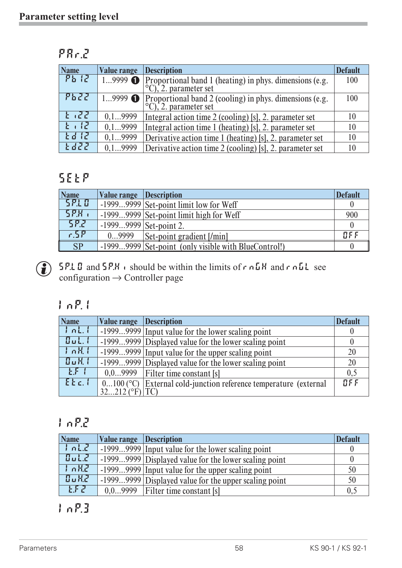| пп | AГ 1 |  |
|----|------|--|
|    |      |  |

| <b>Name</b> | <b>Value range</b> | <b>Description</b>                                                                                   | <b>Default</b> |
|-------------|--------------------|------------------------------------------------------------------------------------------------------|----------------|
| $Pb$ $l$    | $19999$ $\bullet$  | Proportional band 1 (heating) in phys. dimensions (e.g. <sup>o</sup> C), 2. parameter set            | 100            |
| PbZZ        |                    | 19999 $\bullet$ Proportional band 2 (cooling) in phys. dimensions (e.g. $\circ$ C), 2. parameter set | 100            |
| $1 - 27$    | 0, 19999           | Integral action time 2 (cooling) [s], 2. parameter set                                               | 10             |
| $1 - 12$    | 0, 19999           | Integral action time 1 (heating) [s], 2. parameter set                                               | 10             |
| E d R       | 0, 19999           | Derivative action time 1 (heating) [s], 2. parameter set                                             | 10             |
| E dZZ       | 0.19999            | Derivative action time 2 (cooling) [s], 2. parameter set                                             | 10             |

## **SEtP**

| Name      | Value range Description  |                                                      | <b>Default</b> |
|-----------|--------------------------|------------------------------------------------------|----------------|
| 5210      |                          | $-19999999$ Set-point limit low for Weff             |                |
| 5P.       |                          | $-19999999$ Set-point limit high for Weff            | 900            |
| 582       | $-19999999$ Set-point 2. |                                                      |                |
| r.5P      | 09999                    | Set-point gradient [/min]                            | B F F          |
| <b>SP</b> |                          | -19999999 Set-point (only visible with BlueControl!) |                |



**G** SP.L D and SP.H is should be within the limits of r nGH and r nGL see configuration  $\rightarrow$  Controller page

## **InP.1**

| <b>Name</b> | Value range Description |                                                        | <b>Default</b> |
|-------------|-------------------------|--------------------------------------------------------|----------------|
| JnLL        |                         | -19999999 Input value for the lower scaling point      |                |
| Bult.1      |                         | -19999999 Displayed value for the lower scaling point  |                |
| JnR         |                         | -19999999 Input value for the upper scaling point      | 20             |
| 86K (       |                         | -19999999 Displayed value for the lower scaling point  | 20             |
| EFT         |                         | $0.09999$   Filter time constant [s]                   | 0,5            |
| $E_{E}$ .   | $0100$ (°C)             | External cold-junction reference temperature (external | BFE            |
|             | $32212$ (°F) TC)        |                                                        |                |

## **InP.2**

| <b>Name</b> | <b>Value range Description</b> |                                                       | <b>Default</b> |
|-------------|--------------------------------|-------------------------------------------------------|----------------|
| Ind.        |                                | -19999999 Input value for the lower scaling point     |                |
| Bult.       |                                | -19999999 Displayed value for the lower scaling point |                |
| l nH2       |                                | -19999999 Input value for the upper scaling point     | 50             |
| <b>OuK2</b> |                                | -19999999 Displayed value for the upper scaling point | 50             |
| <b>EFZ</b>  |                                | $0.09999$   Filter time constant [s]                  | 0.5            |

**InP.3**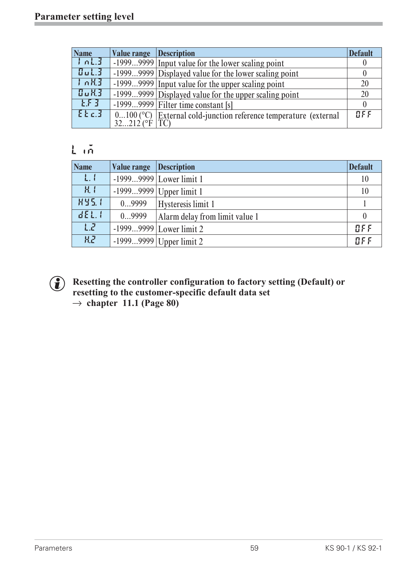| <b>Name</b> | <b>Value range Description</b> |                                                                    | <b>Default</b> |
|-------------|--------------------------------|--------------------------------------------------------------------|----------------|
| JnL3        |                                | 19999999 Input value for the lower scaling point                   |                |
| Bult.3      |                                | -19999999 Displayed value for the lower scaling point              |                |
| $J_0RJ$     |                                | -19999999 Input value for the upper scaling point                  | 20             |
| 8.K3        |                                | -19999999 Displayed value for the upper scaling point              | 20             |
| EFT         |                                | $-19999999$ Filter time constant [s]                               |                |
| $E_{k,d}$   |                                | $0100$ (°C) External cold-junction reference temperature (external | BFE            |
|             | $32212$ (°F   TC)              |                                                                    |                |

## **Lim**

| <b>Name</b>    | Value range | <b>Description</b>             | <b>Default</b> |
|----------------|-------------|--------------------------------|----------------|
| L, I           |             | $-19999999$ Lower limit 1      | 10             |
| H <sub>1</sub> |             | $-19999999$ Upper limit 1      | 10             |
| <b>HY5.1</b>   | 09999       | Hysteresis limit 1             |                |
| dEL.1          | 09999       | Alarm delay from limit value 1 | $\theta$       |
| LZ             |             | $-19999999$ Lower limit 2      | BFF            |
| <b>H.2</b>     |             | $-19999999$ Upper limit 2      | BFF            |



#### Resetting the controller configuration to factory setting (Default) or<br>resetting to the customer-specific default data set<br> $\rightarrow$  chanter 11 1 (Page 80) **resetting to the customer-specific default data set**  $\rightarrow$  chapter 11.1 (Page 80)<sup></sup>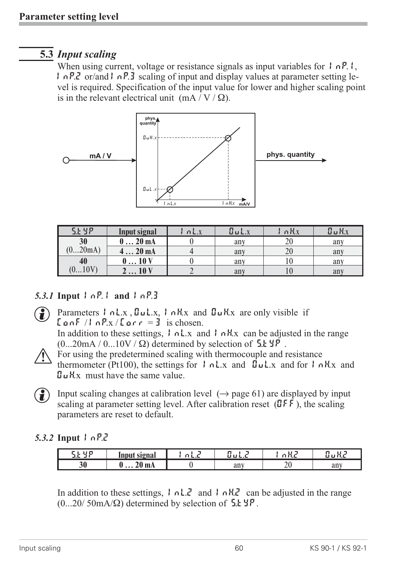## **5.3** *Input scaling*

When using current, voltage or resistance signals as input variables for  $\vert \cdot \vert nP. \vert$ , InP.2 or/and InP.3 scaling of input and display values at parameter setting level is required. Specification of the input value for lower and higher scaling point is in the relevant electrical unit (mA/V/ $\Omega$ ).



| 5.29P | Input signal    | $\bigcap L.X$ | $\Box$ $L$ .x | 直邑X | 0.14x |
|-------|-----------------|---------------|---------------|-----|-------|
| 30    | 20 <sub>m</sub> |               | any           | ∠∪  | any   |
| 20mA  | 420mA           |               | any           | 20  | any   |
| 40    | 010V            |               | any           |     | any   |
| 010   | 10V             |               | any           |     | any   |

#### *5.3.1* **Input Inp.1 and InP.3**

Parameters  $\int$  nLx,  $\int$ uLx,  $\int$  nHx and  $\int$ uHx are only visible if  $\text{LanF}/\text{LanP.x}/\text{Lar}r = 3$  is chosen.

In addition to these settings,  $\vert \cdot \vert$   $\vert nL \cdot x \vert$  and  $\vert \cdot \vert nH \cdot x \vert$  can be adjusted in the range  $(0...20mA/0...10V/\Omega)$  determined by selection of  $5.1 \text{ yr}$ .

For using the predetermined scaling with thermocouple and resistance<br>thermometer (Pt100), the settings for  $\int nL \cdot x$  and  $\int uL \cdot x$  and for  $\int nL \cdot x$  and for  $\int nL \cdot x$ thermometer (Pt100), the settings for  $| \cdot nL \times \text{ and } \mathbf{u} \cdot \mathbf{L} \times \text{ and for } |\cdot nH \times \text{ and } \mathbf{u} \cdot \mathbf{L} \times \text{ and for } |\cdot nH \times \text{ and } \mathbf{u} \cdot \mathbf{L} \times \text{ and for } |\cdot nH \times \text{ and for } |\cdot nH \times \text{ and for } |\cdot nH \times \text{ and for } |\cdot nH \times \text{ and for } |\cdot nH \times \text{ and for } |\cdot nH \times \text{ and for } |\cdot nH \times \text{ and$  $\mathbf{I}$ u H $\mathbf{x}$  must have the same value.



( $\bullet$ ) Input scaling changes at calibration level ( $\rightarrow$  page 61) are displayed by input scaling at parameter setting level. After calibration reset  $(\mathbb{J} \mathsf{F} \mathsf{F})$ , the scaling parameters are reset to default.

#### *5.3.2* **Input InP.2**

| $\sim$<br>-- | 'nput signal<br>mput                                  | -<br>. | .   | <b>1.2</b>    | .   |
|--------------|-------------------------------------------------------|--------|-----|---------------|-----|
| 30           | $\sim$<br><b>mA</b><br>4V.<br>$\bullet\bullet\bullet$ |        | any | $\sim$ $\vee$ | any |

In addition to these settings,  $\vert \cdot \vert n \vert$ .  $\vert \cdot \vert n \vert$ .  $\vert \cdot \vert n \vert$ .  $\vert \cdot \vert n \vert$ .  $\vert \cdot \vert \cdot \vert n \vert$  can be adjusted in the range  $(0...20/50mA/\Omega)$  determined by selection of  $5.1 \text{ YP}$ .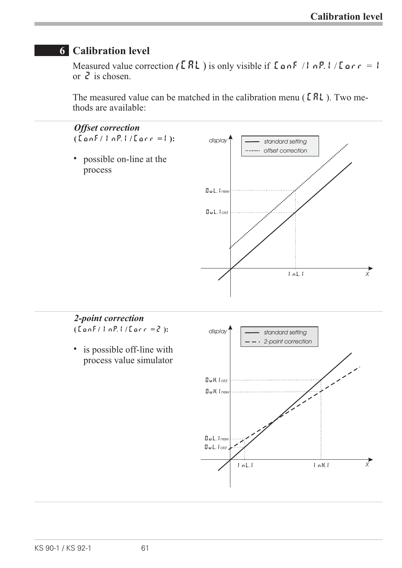*X*

InL.1 InH.1

## **6 Calibration level**

Measured value correction  $(ERL)$  is only visible if  $L$  on F / I n P. I / L or  $r = 1$ or  $\vec{e}$  is chosen.

The measured value can be matched in the calibration menu ( $\textsf{[FR]}$ ). Two methods are available:



OuL.1*old*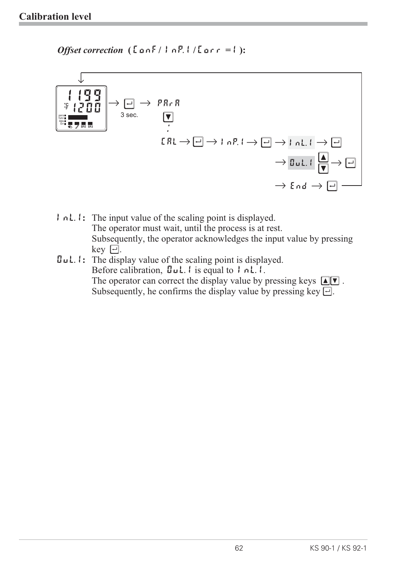*Offset correction* **( ConF/ InP.1 / Corr =1 ):**



- **InL.1:** The input value of the scaling point is displayed. The operator must wait, until the process is at rest. Subsequently, the operator acknowledges the input value by pressing key  $\overline{\Box}$ .
- **OuL.1:** The display value of the scaling point is displayed. Before calibration,  $\mathbf{I} \cup \mathbf{L}$ . I is equal to  $\mathbf{I} \cap \mathbf{L}$ . The operator can correct the display value by pressing keys  $\boxed{\blacktriangle$   $\blacktriangledown$ . Subsequently, he confirms the display value by pressing key  $\Box$ .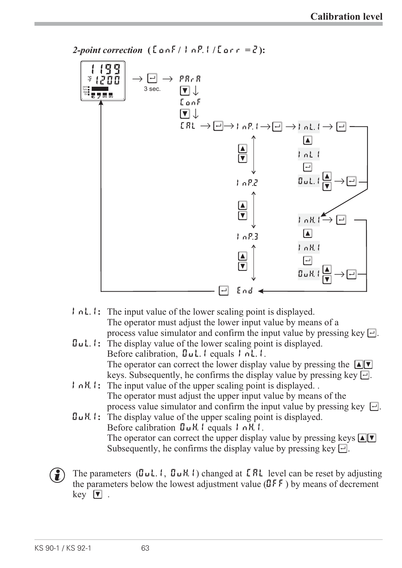

*2-point correction* **( ConF/ InP.1 / Corr = 2):**

- **InL.1:** The input value of the lower scaling point is displayed. The operator must adjust the lower input value by means of a process value simulator and confirm the input value by pressing key  $\Box$ .
- **OuL.1:** The display value of the lower scaling point is displayed. Before calibration, UuL.1 equals 1 nL.1. The operator can correct the lower display value by pressing the  $\blacksquare$ keys. Subsequently, he confirms the display value by pressing key  $\Box$ .
- **I**  $nH$ **!**: The input value of the upper scaling point is displayed. The operator must adjust the upper input value by means of the process value simulator and confirm the input value by pressing key  $\Box$ .
- OuH.1**:** The display value of the upper scaling point is displayed. Before calibration  $\mathbf{Q}_\mu$ H. I equals *InH. I.* The operator can correct the upper display value by pressing keys  $\blacksquare$ Subsequently, he confirms the display value by pressing key  $\Box$ .
- (a) The parameters ( $\mathbf{G} \cup \mathbf{L}$ . I,  $\mathbf{G} \cup \mathbf{H}$ . I) changed at **LAL** level can be reset by adjusting the parameters below the lowest adjustment value  $(\mathbb{J}^{\mathsf{F}} \mathbb{F})$  by means of decrement  $key$   $\boxed{\bullet}$ .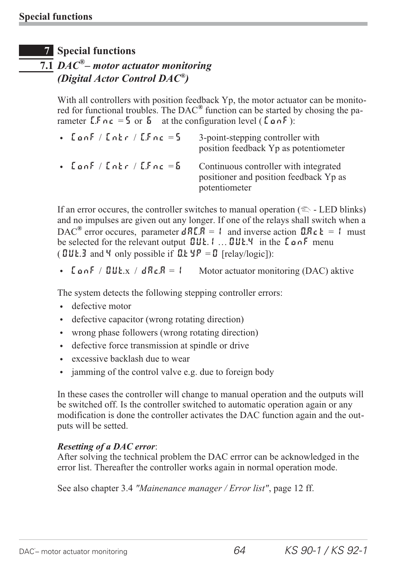#### **7 Special functions**

## **7.1** *DAC®– motor actuator monitoring (Digital Actor Control DAC®)*

With all controllers with position feedback Yp, the motor actuator can be monitored for functional troubles. The DAC*®* function can be started by chosing the parameter  $\mathbf{L} \cdot \mathbf{r} = 5$  or  $\mathbf{5}$  at the configuration level ( $\mathbf{L} \cdot \mathbf{r} = \mathbf{r} \cdot \mathbf{r}$ ):

| $\bullet$ [anf / [ntr / [ $F$ nc = 5] | 3-point-stepping controller with<br>position feedback Yp as potentiometer                        |
|---------------------------------------|--------------------------------------------------------------------------------------------------|
| $\bullet$ [anf / [ntr / [fnc = $5$    | Continuous controller with integrated<br>positioner and position feedback Yp as<br>potentiometer |

If an error occures, the controller switches to manual operation ( $\mathbb{R}$  - LED blinks) and no impulses are given out any longer. If one of the relays shall switch when a DAC<sup>®</sup> error occures, parameter  $dRLR = 1$  and inverse action  $\Box R c \underline{b} = 1$  must be selected for the relevant output **OUT.** 1 ... **OUT.** 4 in the LonF menu (  $UUE.3$  and 4 only possible if  $U.E YP = U$  [relay/logic]):

• LonF / OUt.x /  $dRcR = 1$  Motor actuator monitoring (DAC) aktive

The system detects the following stepping controller errors:

- $\cdot$  defective motor
- defective capacitor (wrong rotating direction)
- wrong phase followers (wrong rotating direction)
- defective force transmission at spindle or drive
- excessive backlash due to wear
- $\cdot$  jamming of the control valve e.g. due to foreign body

In these cases the controller will change to manual operation and the outputs will be switched off. Is the controller switched to automatic operation again or any modification is done the controller activates the DAC function again and the outputs will be setted.

#### *Resetting of a DAC error*:

After solving the technical problem the DAC errror can be acknowledged in the error list. Thereafter the controller works again in normal operation mode.

See also chapter 3.4 *"Mainenance manager / Error list"*, page 12 ff.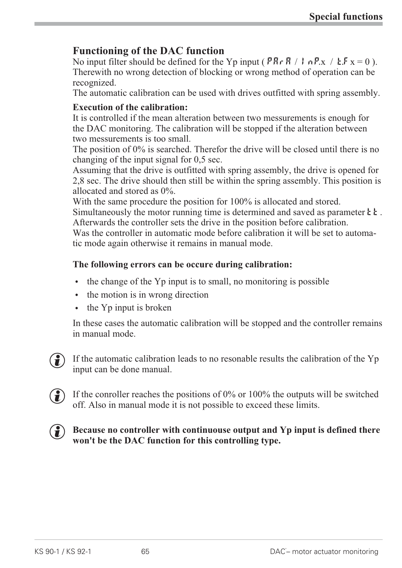#### **Functioning of the DAC function**

No input filter should be defined for the Yp input ( $P R r R / I n P x / L F x = 0$ ). Therewith no wrong detection of blocking or wrong method of operation can be recognized.

The automatic calibration can be used with drives outfitted with spring assembly.

#### **Execution of the calibration:**

It is controlled if the mean alteration between two messurements is enough for the DAC monitoring. The calibration will be stopped if the alteration between two messurements is too small.

The position of 0% is searched. Therefor the drive will be closed until there is no changing of the input signal for 0,5 sec.

Assuming that the drive is outfitted with spring assembly, the drive is opened for 2,8 sec. The drive should then still be within the spring assembly. This position is allocated and stored as 0%.

With the same procedure the position for  $100\%$  is allocated and stored.

Simultaneously the motor running time is determined and saved as parameter  $\mathbf{E} \cdot \mathbf{E}$ . Afterwards the controller sets the drive in the position before calibration. Was the controller in automatic mode before calibration it will be set to automatic mode again otherwise it remains in manual mode.

#### **The following errors can be occure during calibration:**

- $\bullet$  the change of the Yp input is to small, no monitoring is possible
- the motion is in wrong direction<br>• the Yp input is broken
- the Yp input is broken

In these cases the automatic calibration will be stopped and the controller remains in manual mode.

 $\left(\begin{matrix} \bullet \\ \bullet \end{matrix}\right)$  If the automatic calibration leads to no resonable results the calibration of the Yp input can be done manual.

 $\left(\frac{1}{2}\right)$  If the conroller reaches the positions of 0% or 100% the outputs will be switched off. Also in manual mode it is not possible to exceed these limits.



**(2)** Because no controller with continuouse output and Yp input is defined there **won't be the DAC function for this controlling type.**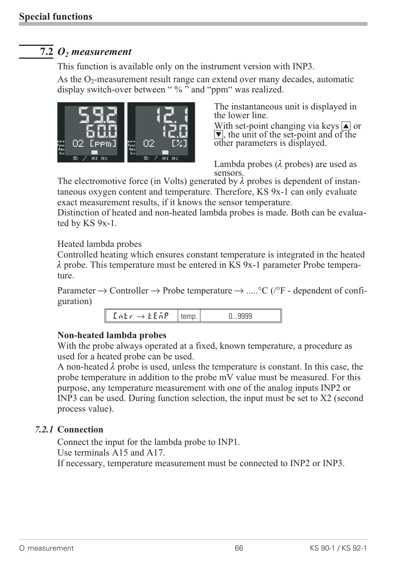## **7.2** *O2 measurement*

This function is available only on the instrument version with INP3.

As the  $O_2$ -measurement result range can extend over many decades, automatic display switch-over between " % " and "ppm" was realized.



The instantaneous unit is displayed in the lower line.

With set-point changing via keys  $\boxed{\blacktriangle}$  or  $\blacktriangledown$ , the unit of the set-point and of the other parameters is displayed.

Lambda probes  $(\lambda)$  probes) are used as sensors.

The electromotive force (in Volts) generated by  $\lambda$  probes is dependent of instantaneous oxygen content and temperature. Therefore, KS 9x-1 can only evaluate exact measurement results, if it knows the sensor temperature.

Distinction of heated and non-heated lambda probes is made. Both can be evaluated by KS 9x-1.

Heated lambda probes

Controlled heating which ensures constant temperature is integrated in the heated  $\lambda$  probe. This temperature must be entered in KS 9x-1 parameter Probe temperature.

Parameter  $\rightarrow$  Controller  $\rightarrow$  Probe temperature  $\rightarrow$  .....°C (/°F - dependent of configuration)

|  | $LnE r \rightarrow LE AP$ |  |  |
|--|---------------------------|--|--|
|--|---------------------------|--|--|

#### **Non-heated lambda probes**

With the probe always operated at a fixed, known temperature, a procedure as used for a heated probe can be used.

A non-heated  $\lambda$  probe is used, unless the temperature is constant. In this case, the probe temperature in addition to the probe mV value must be measured. For this purpose, any temperature measurement with one of the analog inputs INP2 or INP3 can be used. During function selection, the input must be set to X2 (second process value).

#### *7.2.1* **Connection**

Connect the input for the lambda probe to INP1.

Use terminals A15 and A17.

If necessary, temperature measurement must be connected to INP2 or INP3.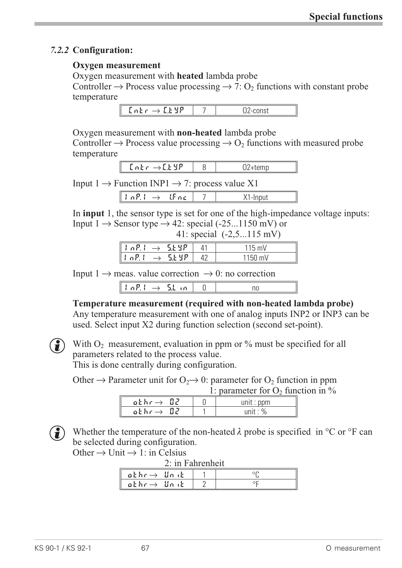#### *7.2.2* **Configuration:**

#### **Oxygen measurement**

Oxygen measurement with **heated** lambda probe

Controller  $\rightarrow$  Process value processing  $\rightarrow$  7: O<sub>2</sub> functions with constant probe temperature

| and i<br>$\sim$ |  |
|-----------------|--|
|                 |  |

Oxygen measurement with **non-heated** lambda probe

Controller  $\rightarrow$  Process value processing  $\rightarrow$  O<sub>2</sub> functions with measured probe temperature

| $\overline{\phantom{0}}$<br>$\overline{a}$ |  |
|--------------------------------------------|--|
|                                            |  |

Input  $1 \rightarrow$  Function INP1  $\rightarrow$  7: process value X1

| $\overline{\phantom{a}}$ |  |  |
|--------------------------|--|--|
|                          |  |  |

In **input** 1, the sensor type is set for one of the high-impedance voltage inputs: Input  $1 \rightarrow$  Sensor type  $\rightarrow$  42: special (-25...1150 mV) or  $41 \cdot \text{special}$  (-2.5..115 mV)

|                                                                   |  | $T1.9pcc$ and $(2,9119)$ in v |
|-------------------------------------------------------------------|--|-------------------------------|
| $\parallel$   nP.( $\rightarrow$ 5.69P)                           |  | $115 \text{ mV}$              |
| $\parallel$ la $\textsf{P}\!,\textsf{L}\rightarrow\parallel$ SEYP |  | 1150 mV                       |
|                                                                   |  |                               |

Input  $1 \rightarrow$  meas. value correction  $\rightarrow$  0: no correction

|--|--|--|--|

**Temperature measurement (required with non-heated lambda probe)**

Any temperature measurement with one of analog inputs INP2 or INP3 can be used. Select input X2 during function selection (second set-point).



With  $O_2$  measurement, evaluation in ppm or % must be specified for all parameters related to the process value. This is done centrally during configuration.

Other  $\rightarrow$  Parameter unit for O<sub>2</sub> $\rightarrow$  0: parameter for O<sub>2</sub> function in ppm

1: parameter for  $O_2$  function in  $\%$ 

| othr $\rightarrow$ 02. |  | unit : $ppm$ |
|------------------------|--|--------------|
| othr $\rightarrow$ 02  |  | unit : $%$   |
|                        |  |              |

( $\bullet$ ) Whether the temperature of the non-heated  $\lambda$  probe is specified in °C or °F can be selected during configuration.

Other  $\rightarrow$  Unit  $\rightarrow$  1: in Celsius

| 2: in Fahrenheit        |  |
|-------------------------|--|
| $akhr \rightarrow$ Unit |  |
| $akhr \rightarrow Unik$ |  |
|                         |  |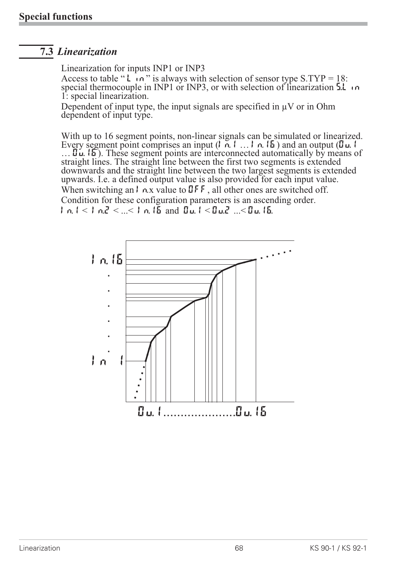### **7.3** *Linearization*

Linearization for inputs INP1 or INP3

Access to table " $\bf{L}$  in" is always with selection of sensor type S.TYP = 18: special thermocouple in INP1 or INP3, or with selection of linearization  $5.1 \cdot n$ 1: special linearization.

Dependent of input type, the input signals are specified in  $\mu$ V or in Ohm dependent of input type.

With up to 16 segment points, non-linear signals can be simulated or linearized.<br>Every segment point comprises an input  $(1, 0, 1, \ldots, 1, 0, 15)$  and an output  $(0, 1, 1)$  $\overline{B}$  .  $\overline{B}$  . These segment points are interconnected automatically by means of straight lines. The straight line between the first two segments is extended downwards and the straight line between the two largest segments is extended upwards. I.e. a defined output value is also provided for each input value. When switching an  $\vert \cdot$   $\rho$ , x value to  $\mathbb{J}$  F  $\mathsf{F}$ , all other ones are switched off. Condition for these configuration parameters is an ascending order.  $|n_1| < |n_2| < ... < |n_1|$  is and  $|n_2| < |n_3|$ ....  $|n_4|$  is  $|n_5|$ .

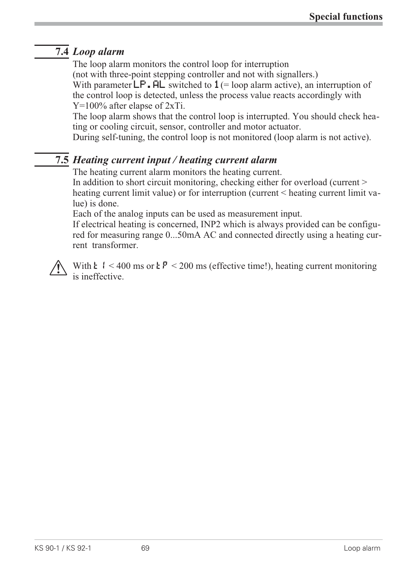## **7.4** *Loop alarm*

The loop alarm monitors the control loop for interruption (not with three-point stepping controller and not with signallers.) With parameter  $\mathsf{LP}$ .  $\mathsf{PL}$  switched to  $\mathbf{1}$  (= loop alarm active), an interruption of the control loop is detected, unless the process value reacts accordingly with Y=100% after elapse of 2xTi.

The loop alarm shows that the control loop is interrupted. You should check heating or cooling circuit, sensor, controller and motor actuator.

During self-tuning, the control loop is not monitored (loop alarm is not active).

## **7.5** *Heating current input / heating current alarm*

The heating current alarm monitors the heating current.

In addition to short circuit monitoring, checking either for overload (current > heating current limit value) or for interruption (current < heating current limit value) is done.

Each of the analog inputs can be used as measurement input.

If electrical heating is concerned, INP2 which is always provided can be configured for measuring range 0...50mA AC and connected directly using a heating current transformer.



With  $\epsilon$  1 < 400 ms or  $\epsilon P$  < 200 ms (effective time!), heating current monitoring is ineffective.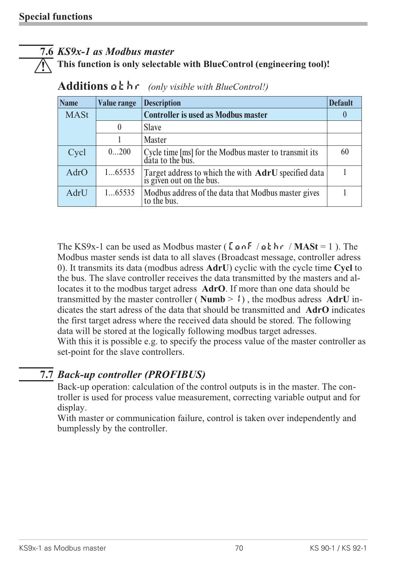#### **7.6** *KS9x-1 as Modbus master*

a **This function is only selectable with BlueControl (engineering tool)!**

| <b>Name</b> | <b>Value range</b> | <b>Description</b>                                                                   | <b>Default</b> |
|-------------|--------------------|--------------------------------------------------------------------------------------|----------------|
| <b>MASt</b> |                    | <b>Controller is used as Modbus master</b>                                           | $\theta$       |
|             |                    | <b>Slave</b>                                                                         |                |
|             |                    | <b>Master</b>                                                                        |                |
| Cycl        | 0200               | Cycle time [ms] for the Modbus master to transmit its<br>data to the bus.            | 60             |
| AdrO        | 165535             | Target address to which the with <b>AdrU</b> specified data is given out on the bus. |                |
| AdrU        | 165535             | Modbus address of the data that Modbus master gives<br>to the bus.                   |                |

|  | Additions $a \in h \cap$ (only visible with BlueControl!) |
|--|-----------------------------------------------------------|
|--|-----------------------------------------------------------|

The KS9x-1 can be used as Modbus master ( $\[\text{LonF}/\text{aE}\]$  hr / **MASt** = 1). The Modbus master sends ist data to all slaves (Broadcast message, controller adress 0). It transmits its data (modbus adress **AdrU**) cyclic with the cycle time **Cycl** to the bus. The slave controller receives the data transmitted by the masters and allocates it to the modbus target adress **AdrO**. If more than one data should be transmitted by the master controller ( **Numb** > 1) , the modbus adress **AdrU** indicates the start adress of the data that should be transmitted and **AdrO** indicates the first target adress where the received data should be stored. The following data will be stored at the logically following modbus target adresses. With this it is possible e.g. to specify the process value of the master controller as set-point for the slave controllers.

### **7.7** *Back-up controller (PROFIBUS)*

Back-up operation: calculation of the control outputs is in the master. The controller is used for process value measurement, correcting variable output and for display.

With master or communication failure, control is taken over independently and bumplessly by the controller.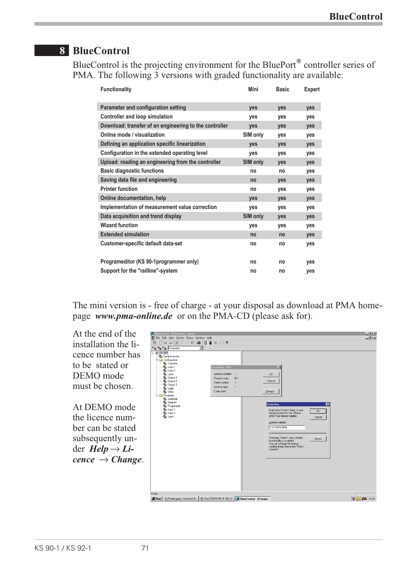## **8 BlueControl**

BlueControl is the projecting environment for the BluePort<sup>®</sup> controller series of PMA. The following 3 versions with graded functionality are available:

| <b>Functionality</b>                                   | <b>Mini</b>     | <b>Basic</b> | <b>Expert</b> |
|--------------------------------------------------------|-----------------|--------------|---------------|
| <b>Parameter and configuration setting</b>             | <b>ves</b>      | yes          | yes           |
| <b>Controller and loop simulation</b>                  | <b>ves</b>      | yes          | yes           |
| Download: transfer of an engineering to the controller | yes             | yes          | yes           |
| Online mode / visualization                            | SIM only        | <b>ves</b>   | <b>ves</b>    |
| Defining an application specific linearization         | <b>ves</b>      | <b>ves</b>   | <b>ves</b>    |
| Configuration in the extended operating level          | yes             | yes          | yes           |
| Upload: reading an engineering from the controller     | <b>SIM only</b> | yes          | yes           |
| <b>Basic diagnostic functions</b>                      | no              | no           | yes           |
| Saving data file and engineering                       | no              | <b>ves</b>   | yes           |
| <b>Printer function</b>                                | no              | yes          | yes           |
| <b>Online documentation, help</b>                      | <b>ves</b>      | yes          | yes           |
| Implementation of measurement value correction         | <b>ves</b>      | <b>ves</b>   | <b>ves</b>    |
| Data acquisition and trend display                     | <b>SIM only</b> | <b>ves</b>   | yes           |
| <b>Wizard function</b>                                 | yes             | yes          | <b>ves</b>    |
| <b>Extended simulation</b>                             | no              | no           | yes           |
| Customer-specific default data-set                     | no              | no           | yes           |
| Programeditor (KS 90-1programmer only)                 | no              | no           | yes           |
| Support for the "railline"-system                      | no              | no           | yes           |

The mini version is - free of charge - at your disposal as download at PMA homepage *www.pma-online.de* or on the PMA-CD (please ask for).

At the end of the installation the licence number has to be stated or DEMO mode must be chosen.

At DEMO mode the licence number can be stated subsequently under  $Help \rightarrow Li$  $cence \rightarrow Change.$ 

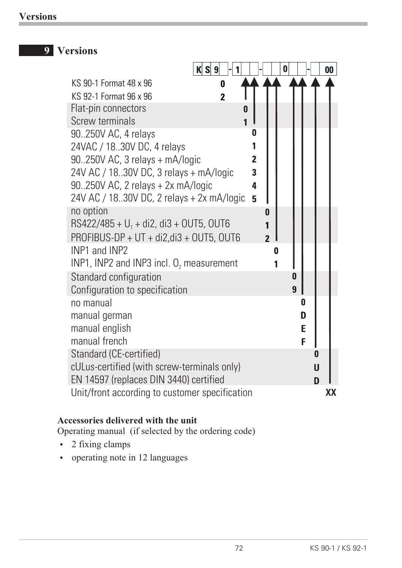## **9 Versions**

|                                                | K S 9          |                | $\bf{0}$ |   | $\boldsymbol{00}$ |
|------------------------------------------------|----------------|----------------|----------|---|-------------------|
| KS 90-1 Format 48 x 96                         | 0              |                |          |   |                   |
| KS 92-1 Format 96 x 96                         | $\overline{2}$ |                |          |   |                   |
| Flat-pin connectors                            | 0              |                |          |   |                   |
| <b>Screw terminals</b>                         |                | $\mathbf{1}$   |          |   |                   |
| 90.250V AC, 4 relays                           |                | 0              |          |   |                   |
| 24VAC / 18.30V DC, 4 relays                    |                |                |          |   |                   |
| $90250V$ AC, 3 relays + mA/logic               |                | $\overline{2}$ |          |   |                   |
| 24V AC / 18.30V DC, 3 relays + mA/logic        |                | 3              |          |   |                   |
| $90.250V$ AC, 2 relays + 2x mA/logic           |                | 4              |          |   |                   |
| 24V AC / 18.30V DC, 2 relays + 2x mA/logic     |                | 5              |          |   |                   |
| no option                                      |                | 0              |          |   |                   |
| RS422/485 + $U_T$ + di2, di3 + OUT5, OUT6      |                | 1              |          |   |                   |
| $PROFIBUS-DP + UT + di2, di3 + OUT5, OUT6$     |                | $\overline{2}$ |          |   |                   |
| INP1 and INP2                                  |                |                | 0        |   |                   |
| INP1, INP2 and INP3 incl. $O_2$ measurement    |                |                |          |   |                   |
| Standard configuration                         |                |                | $\bf{0}$ |   |                   |
| Configuration to specification                 |                |                | 9        |   |                   |
| no manual                                      |                |                |          | 0 |                   |
| manual german                                  |                |                |          | D |                   |
| manual english                                 |                |                |          | E |                   |
| manual french                                  |                |                |          | F |                   |
| Standard (CE-certified)                        |                |                |          | 0 |                   |
| cULus-certified (with screw-terminals only)    |                |                |          | U |                   |
| EN 14597 (replaces DIN 3440) certified         |                |                |          | D |                   |
| Unit/front according to customer specification |                |                |          |   | XX                |

#### **Accessories delivered with the unit**

Operating manual (if selected by the ordering code)

- $\cdot$  2 fixing clamps
- operating note in 12 languages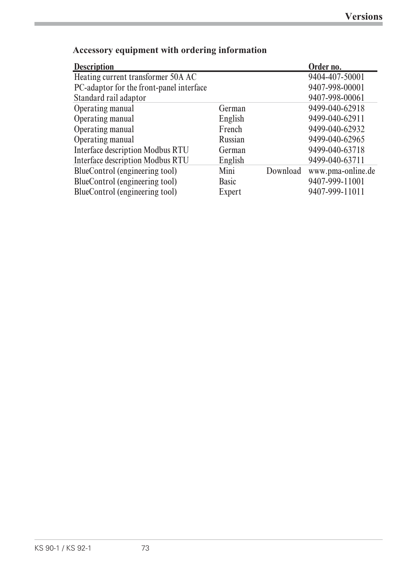| <b>Description</b>                       |              |          | Order no.         |
|------------------------------------------|--------------|----------|-------------------|
| Heating current transformer 50A AC       |              |          | 9404-407-50001    |
| PC-adaptor for the front-panel interface |              |          | 9407-998-00001    |
| Standard rail adaptor                    |              |          | 9407-998-00061    |
| Operating manual                         | German       |          | 9499-040-62918    |
| Operating manual                         | English      |          | 9499-040-62911    |
| Operating manual                         | French       |          | 9499-040-62932    |
| Operating manual                         | Russian      |          | 9499-040-62965    |
| <b>Interface description Modbus RTU</b>  | German       |          | 9499-040-63718    |
| <b>Interface description Modbus RTU</b>  | English      |          | 9499-040-63711    |
| BlueControl (engineering tool)           | Mini         | Download | www.pma-online.de |
| BlueControl (engineering tool)           | <b>Basic</b> |          | 9407-999-11001    |
| BlueControl (engineering tool)           | Expert       |          | 9407-999-11011    |

# **Accessory equipment with ordering information**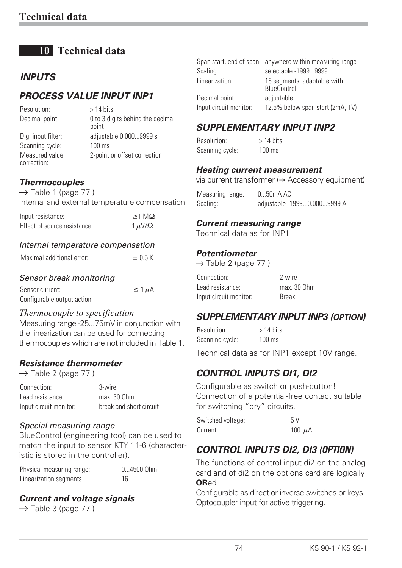# **10 Technical data**

## *INPUTS*

## *PROCESS VALUE INPUT INP1*

| Resolution:                   | $>$ 14 bits                               |
|-------------------------------|-------------------------------------------|
| Decimal point:                | 0 to 3 digits behind the decimal<br>point |
| Dig. input filter:            | adjustable 0,0009999 s                    |
| Scanning cycle:               | $100 \text{ ms}$                          |
| Measured value<br>correction: | 2-point or offset correction              |

## *Thermocouples*

 $\rightarrow$  Table 1 (page 77)

Internal and external temperature compensation

| Input resistance:            | $\geq 1$ M $\Omega$ |
|------------------------------|---------------------|
| Effect of source resistance: | $1 \mu V/\Omega$    |

#### *Internal temperature compensation*

#### *Sensor break monitoring*

| Sensor current:            | $\leq 1 \mu A$ |
|----------------------------|----------------|
| Configurable output action |                |

#### *Thermocouple to specification*

Measuring range -25...75mV in conjunction with the linearization can be used for connecting thermocouples which are not included in Table 1.

#### *Resistance thermometer*

 $\rightarrow$  Table 2 (page 77)

| Connection:            | 3-wire                  |
|------------------------|-------------------------|
| Lead resistance:       | max. 30 Ohm             |
| Input circuit monitor: | break and short circuit |

#### *Special measuring range*

BlueControl (engineering tool) can be used to match the input to sensor KTY 11-6 (characteristic is stored in the controller).

| Physical measuring range: | 04500 Ohm |
|---------------------------|-----------|
| Linearization segments    | 16        |

#### *Current and voltage signals*

 $\rightarrow$  Table 3 (page 77)

|                        | Span start, end of span: anywhere within measuring range |
|------------------------|----------------------------------------------------------|
| Scaling:               | selectable -19999999                                     |
| Linearization:         | 16 segments, adaptable with<br>BlueControl               |
| Decimal point:         | adjustable                                               |
| Input circuit monitor: | 12.5% below span start (2mA, 1V)                         |

## *SUPPLEMENTARY INPUT INP2*

 $Resolution:$  > 14 hits Scanning cycle: 100 ms

#### *Heating current measurement*

via current transformer ( $\rightarrow$  Accessory equipment)

Measuring range: 0...50mA AC Scaling: adjustable -1999...0.000...9999 A

#### *Current measuring range*

Technical data as for INP1

#### *Potentiometer*

|  | $\rightarrow$ Table 2 (page 77) |  |
|--|---------------------------------|--|
|  |                                 |  |

| Connection:            | 2-wire       |
|------------------------|--------------|
| Lead resistance:       | max. 30 Ohm  |
| Input circuit monitor: | <b>Break</b> |

### *SUPPLEMENTARY INPUT INP3 (OPTION)*

 $Resolution:$  > 14 hits Scanning cycle: 100 ms

Technical data as for INP1 except 10V range.

## *CONTROL INPUTS DI1, DI2*

Configurable as switch or push-button! Connection of a potential-free contact suitable for switching "dry" circuits.

| Switched voltage: | 5V          |
|-------------------|-------------|
| Current:          | 100 $\mu$ A |

## *CONTROL INPUTS DI2, DI3 (OPTION)*

The functions of control input di2 on the analog card and of di2 on the options card are logically **OR**ed.

Configurable as direct or inverse switches or keys. Optocoupler input for active triggering.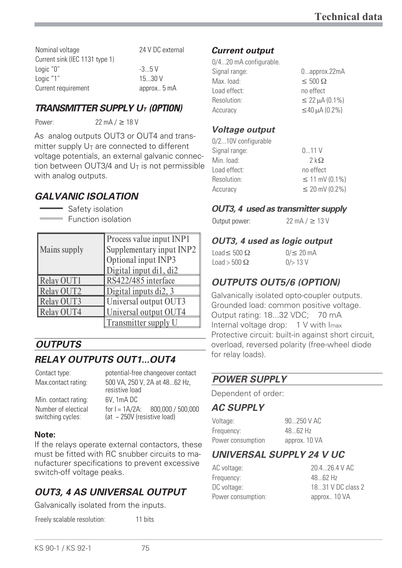Nominal voltage 24 V DC external Current sink (IEC 1131 type 1) Logic "0"  $-3...5$  V Logic "1" 15...30 V Current requirement approx.. 5 mA

## *TRANSMITTER SUPPLY UT (OPTION)*

Power:  $22 \text{ mA} / \geq 18 \text{ V}$ 

As analog outputs OUT3 or OUT4 and transmitter supply  $U_T$  are connected to different voltage potentials, an external galvanic connection between OUT3/4 and  $U_T$  is not permissible with analog outputs.

## *GALVANIC ISOLATION*

Safety isolation Function isolation

| <b>Mains supply</b> | Process value input INP1<br>Supplementary input INP2<br>Optional input INP3<br>Digital input di1, di2 |
|---------------------|-------------------------------------------------------------------------------------------------------|
| <b>Relay OUT1</b>   | RS422/485 interface                                                                                   |
| Relay OUT2          | Digital inputs di2, 3                                                                                 |
| <b>Relay OUT3</b>   | Universal output OUT3                                                                                 |
| Relay OUT4          | Universal output OUT4                                                                                 |
|                     | Transmitter supply U                                                                                  |

# *OUTPUTS*

# *RELAY OUTPUTS OUT1...OUT4*

Contact type: potential-free changeover contact

Min. contact rating: 6V, 1mA DC Number of electical switching cycles:

Max.contact rating: 500 VA, 250 V, 2A at 48...62 Hz, resistive load for  $I = 1A/2A$ : 800,000 / 500,000 (at ~ 250V (resistive load)

#### **Note:**

If the relays operate external contactors, these must be fitted with RC snubber circuits to manufacturer specifications to prevent excessive switch-off voltage peaks.

# *OUT3, 4 AS UNIVERSAL OUTPUT*

Galvanically isolated from the inputs.

Freely scalable resolution: 11 bits

#### *Current output*

| 0/420 mA configurable. |                     |
|------------------------|---------------------|
| Signal range:          | 0approx.22mA        |
| Max. load:             | $\leq 500 \Omega$   |
| Load effect:           | no effect           |
| Resolution:            | $\leq$ 22 µA (0.1%) |
| Accuracy               | $\leq$ 40 µA (0.2%) |
|                        |                     |

### *Voltage output*

| 0/210V configurable |                         |
|---------------------|-------------------------|
| Signal range:       | 011V                    |
| Min. load:          | $2 \, \mathrm{k}\Omega$ |
| Load effect:        | no effect               |
| Resolution:         | $\leq$ 11 mV (0.1%)     |
| Accuracy            | $\leq$ 20 mV (0.2%)     |
|                     |                         |

### *OUT3, 4 used as transmitter supply*

Output power:  $22 \text{ mA} / \geq 13 \text{ V}$ 

## *OUT3, 4 used as logic output*

Load  $\leq$  500  $\Omega$  0/  $\leq$  20 mA  $Load > 500 \Omega$  0/> 13 V

# *OUTPUTS OUT5/6 (OPTION)*

Galvanically isolated opto-coupler outputs. Grounded load: common positive voltage. Output rating: 18...32 VDC; 70 mA Internal voltage drop: 1 V with Imax Protective circuit: built-in against short circuit, overload, reversed polarity (free-wheel diode for relay loads).

## *POWER SUPPLY*

Dependent of order:

### *AC SUPPLY*

| Voltage:          | 90250 V AC    |
|-------------------|---------------|
| Frequency:        | 4862 Hz       |
| Power consumption | approx. 10 VA |

## *UNIVERSAL SUPPLY 24 V UC*

AC voltage: 20.4...26.4 V AC Frequency: 48...62 Hz DC voltage:  $18...31$  V DC class 2 Power consumption: approx.. 10 VA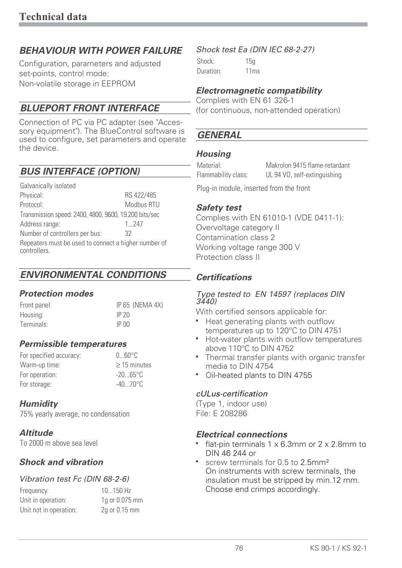## *BEHAVIOUR WITH POWER FAILURE*

Configuration, parameters and adjusted set-points, control mode: Non-volatile storage in EEPROM

## *BLUEPORT FRONT INTERFACE*

Connection of PC via PC adapter (see "Accessory equipment"). The BlueControl software is used to configure, set parameters and operate the device.

## *BUS INTERFACE (OPTION)*

Galvanically isolated Physical: RS 422/485 Protocol: Modbus RTU Transmission speed: 2400, 4800, 9600, 19.200 bits/sec Address range: 1...247 Number of controllers per bus: 32 Repeaters must be used to connect a higher number of controllers.

## *ENVIRONMENTAL CONDITIONS*

#### *Protection modes*

Front panel: IP 65 (NEMA 4X) Housing: IP 20 Terminals: IP 00

### *Permissible temperatures*

For specified accuracy: 0...60°C Warm-up time:  $\geq 15$  minutes For operation:  $-20...65$ °C For storage:  $-40...70^{\circ}$ C

### *Humidity*

75% yearly average, no condensation

#### *Altitude*

To 2000 m above sea level

### *Shock and vibration*

#### *Vibration test Fc (DIN 68-2-6)*

| Frequency:             | $10150$ Hz     |
|------------------------|----------------|
| Unit in operation:     | 1g or 0.075 mm |
| Unit not in operation: | 2g or 0.15 mm  |

#### *Shock test Ea (DIN IEC 68-2-27)*

Shock: 15g Duration: 11ms

#### *Electromagnetic compatibility*

Complies with EN 61 326-1 (for continuous, non-attended operation)

## *GENERAL*

#### *Housing*

Material: Makrolon 9415 flame-retardant Flammability class: UL 94 VO, self-extinguishing

Plug-in module, inserted from the front

#### *Safety test*

Complies with EN 61010-1 (VDE 0411-1): Overvoltage category II Contamination class 2 Working voltage range 300 V Protection class II

#### *Certifications*

#### *Type tested to EN 14597 (replaces DIN 3440)*

With certified sensors applicable for:

- Heat generating plants with outflow<br>temperatures up to 120°C to DIN 47 temperatures up to 120°C to DIN 4751
- Hot-water plants with outflow temperatures above 110°C to DIN 4752
- Thermal transfer plants with organic transfer media to DIN 4754
- Oil-heated plants to DIN 4755

#### *cULus-certification*

(Type 1, indoor use) File: E 208286

## **Electrical connections**

- flat-pin terminals  $1 \times 6.3$ mm or  $2 \times 2.8$ mm to DIN 46 244 or
- screw terminals for 0.5 to 2.5mm<sup>2</sup> On instruments with screw terminals, the insulation must be stripped by min.12 mm. Choose end crimps accordingly.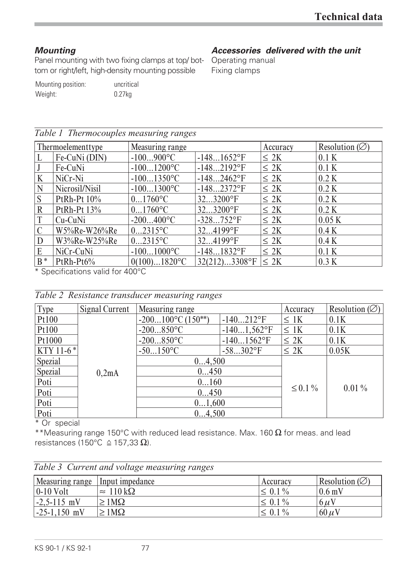## *Mounting*

Panel mounting with two fixing clamps at top/ bot-Operating manual tom or right/left, high-density mounting possible

# *Accessories delivered with the unit*

Fixing clamps

| Mounting position: | uncritical |
|--------------------|------------|
| Weight:            | $0.27$ kg  |

| Table 1 Thermocouples measuring ranges |                                  |                           |                  |           |                          |  |  |  |  |
|----------------------------------------|----------------------------------|---------------------------|------------------|-----------|--------------------------|--|--|--|--|
|                                        | Thermoelementtype                | Measuring range           |                  | Accuracy  | Resolution $(\emptyset)$ |  |  |  |  |
|                                        | Fe-CuNi (DIN)                    | $-100900$ °C              | $-1481652$ °F    | $\leq 2K$ | 0.1 K                    |  |  |  |  |
|                                        | Fe-CuNi                          | $-1001200$ °C             | $-1482192$ °F    | $\leq 2K$ | 0.1 K                    |  |  |  |  |
| K                                      | NiCr-Ni                          | $-1001350$ °C             | $-1482462$ °F    | $\leq$ 2K | 0.2 K                    |  |  |  |  |
| N                                      | Nicrosil/Nisil                   | $-1001300$ °C             | $-1482372$ °F    | $\leq$ 2K | 0.2 K                    |  |  |  |  |
| S                                      | PtRh-Pt 10%                      | $01760$ °C                | 323200°F         | $\leq$ 2K | 0.2 K                    |  |  |  |  |
| $\mathbb{R}$                           | PtRh-Pt 13%                      | $01760$ <sup>o</sup> C    | $323200$ °F      | $\leq 2K$ | 0.2 K                    |  |  |  |  |
| T                                      | Cu-CuNi                          | $-200400$ °C              | $-328752$ °F     | $\leq$ 2K | 0.05K                    |  |  |  |  |
| $\mathcal{C}$                          | W5%Re-W26%Re                     | $02315$ °C                | 324199°F         | $\leq 2K$ | 0.4 K                    |  |  |  |  |
| D                                      | W3%Re-W25%Re                     | $02315$ °C                | 324199°F         | $\leq$ 2K | 0.4 K                    |  |  |  |  |
| E                                      | NiCr-CuNi                        | $-1001000$ <sup>o</sup> C | $-1481832$ °F    | $\leq$ 2K | 0.1 K                    |  |  |  |  |
| $B^*$                                  | PtRh-Pt6%                        | $0(100)1820$ °C           | $32(212)3308$ °F | $\leq$ 2K | 0.3 K                    |  |  |  |  |
|                                        | * Specifications valid for 400°C |                           |                  |           |                          |  |  |  |  |

| Table 2 Resistance transducer measuring ranges |  |  |
|------------------------------------------------|--|--|
|                                                |  |  |

| <b>Type</b>    | Signal Current | Measuring range               | Accuracy                  | Resolution $(\emptyset)$ |          |  |  |
|----------------|----------------|-------------------------------|---------------------------|--------------------------|----------|--|--|
| Pt100          |                | $-200100^{\circ}C(150^{**})$  | $-140212$ °F<br>$\leq$ 1K |                          |          |  |  |
| Pt100          |                | $-200850$ °C                  | $-1401,562$ °F            | $\leq$ 1K                | 0.1K     |  |  |
| Pt1000         |                | $-200850$ °C<br>$-1401562$ °F |                           | $\leq 2K$                | 0.1K     |  |  |
| $KTY11-6*$     |                | $-50150$ °C<br>$-58302$ °F    |                           | $\leq 2K$                | 0.05K    |  |  |
| Spezial        |                | 04,500                        |                           |                          |          |  |  |
| <b>Spezial</b> | 0,2mA          | 0450                          |                           |                          |          |  |  |
| Poti           |                | 0160                          |                           |                          |          |  |  |
| Poti           |                | 0450                          |                           | $\leq 0.1\%$             | $0.01\%$ |  |  |
| Poti           |                | 01,600                        |                           |                          |          |  |  |
| Poti           |                | 04,500                        |                           |                          |          |  |  |

\* Or special

\*\*Measuring range 150°C with reduced lead resistance. Max. 160  $\Omega$  for meas. and lead resistances (150 $^{\circ}$ C  $\triangleq$  157,33  $\Omega$ ).

|  |  | Table 3 Current and voltage measuring ranges |  |
|--|--|----------------------------------------------|--|
|  |  |                                              |  |

| Measuring range | Input impedance                  | Accuracy     | Resolution ( $\varnothing$ ) |
|-----------------|----------------------------------|--------------|------------------------------|
| $ 0-10$ Volt    | $\approx 110 \,\mathrm{k}\Omega$ | $\leq 0.1\%$ | $0.6 \text{ mV}$             |
| $-2,5-115$ mV   | $\geq 1 \text{M}\Omega$          | $\leq 0.1\%$ | $6 \mu V$                    |
| $-25-1,150$ mV  | $\geq 1 \text{M}\Omega$          | $\leq 0.1\%$ | $60 \mu V$                   |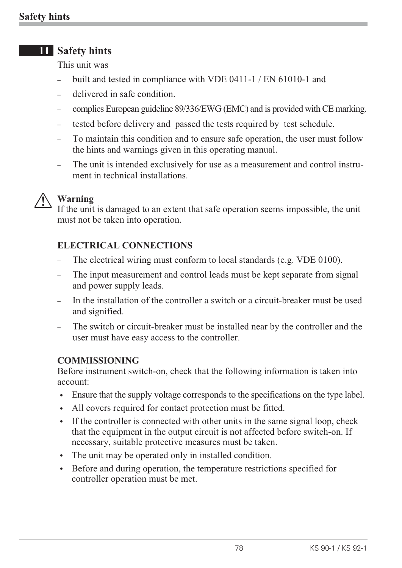# **11 Safety hints**

This unit was

- built and tested in compliance with VDE 0411-1 / EN 61010-1 and
- delivered in safe condition.
- complies European guideline 89/336/EWG (EMC) and is provided with CE marking.
- tested before delivery and passed the tests required by test schedule.
- To maintain this condition and to ensure safe operation, the user must follow the hints and warnings given in this operating manual.
- The unit is intended exclusively for use as a measurement and control instrument in technical installations.



**1** Warning<br>If the unit<br>must not If the unit is damaged to an extent that safe operation seems impossible, the unit must not be taken into operation.

## **ELECTRICAL CONNECTIONS**

- The electrical wiring must conform to local standards (e.g. VDE 0100).
- The input measurement and control leads must be kept separate from signal and power supply leads.
- In the installation of the controller a switch or a circuit-breaker must be used and signified.
- The switch or circuit-breaker must be installed near by the controller and the user must have easy access to the controller.

### **COMMISSIONING**

Before instrument switch-on, check that the following information is taken into account:

- w Ensure that the supply voltage corresponds to the specifications on the type label.
- If All covers required for contact protection must be fitted.
- If the controller is connected with other units in the same signal loop, check that the equipment in the output circuit is not affected before switch-on. If necessary, suitable protective measures must be taken.
- The unit may be operated only in installed condition.
- w Before and during operation, the temperature restrictions specified for controller operation must be met.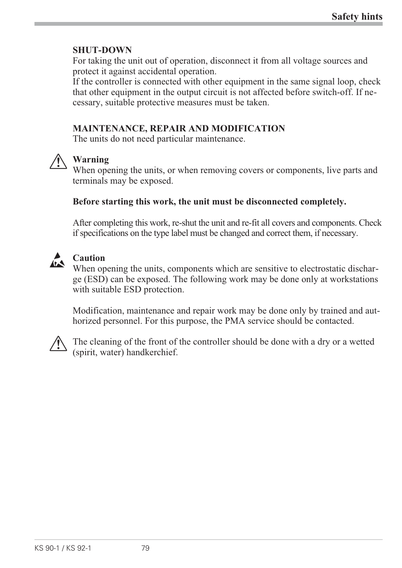## **SHUT-DOWN**

For taking the unit out of operation, disconnect it from all voltage sources and protect it against accidental operation.

If the controller is connected with other equipment in the same signal loop, check that other equipment in the output circuit is not affected before switch-off. If necessary, suitable protective measures must be taken.

## **MAINTENANCE, REPAIR AND MODIFICATION**

The units do not need particular maintenance.



**1 Warning**<br>When ope<br>terminals When opening the units, or when removing covers or components, live parts and terminals may be exposed.

#### **Before starting this work, the unit must be disconnected completely.**

After completing this work, re-shut the unit and re-fit all covers and components. Check if specifications on the type label must be changed and correct them, if necessary.



**Caution**<br>When op When opening the units, components which are sensitive to electrostatic discharge (ESD) can be exposed. The following work may be done only at workstations with suitable ESD protection.

Modification, maintenance and repair work may be done only by trained and authorized personnel. For this purpose, the PMA service should be contacted.



The cleaning of the front of the controller should be done with a dry or a wetted (spirit, water) handkerchief.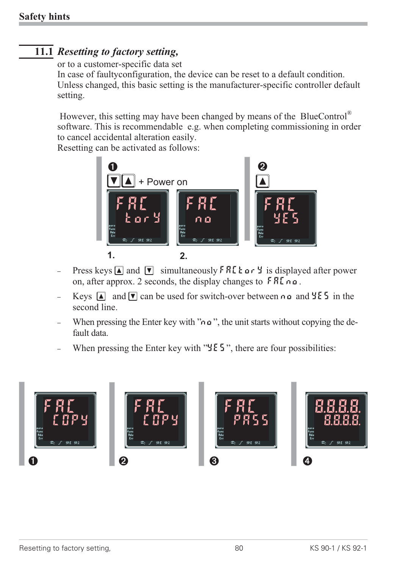# **11.1** *Resetting to factory setting,*

#### or to a customer-specific data set

In case of faultyconfiguration, the device can be reset to a default condition. Unless changed, this basic setting is the manufacturer-specific controller default setting.

However, this setting may have been changed by means of the BlueControl® software. This is recommendable e.g. when completing commissioning in order to cancel accidental alteration easily.

Resetting can be activated as follows:



- Press keys  $\Box$  and  $\nabla$  simultaneously FRC  $\tan \theta$  is displayed after power on, after approx. 2 seconds, the display changes to  $F R L \cap \mathfrak{a}$ .
- Keys  $\boxed{\triangle}$  and  $\boxed{\triangledown}$  can be used for switch-over between no and  $\frac{1}{2}$  f in the second line.
- When pressing the Enter key with " $\alpha$ ", the unit starts without copying the default data.
- When pressing the Enter key with " $\frac{1}{2}$  E 5", there are four possibilities:

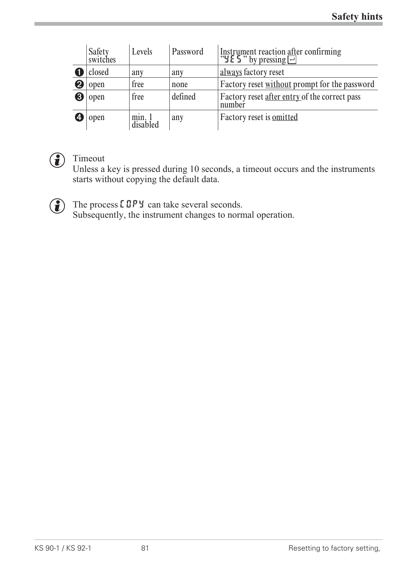|                            | Safety<br>switches | Levels            | Password | Instrument reaction after confirming<br>" $\sharp$ E 5" by pressing $\Box$ |
|----------------------------|--------------------|-------------------|----------|----------------------------------------------------------------------------|
|                            | closed             | any               | any      | always factory reset                                                       |
| $\boldsymbol{\mathcal{Q}}$ | open               | free              | none     | Factory reset without prompt for the password                              |
| 0                          | open               | free              | defined  | Factory reset after entry of the correct pass<br>number                    |
|                            | open               | min.1<br>disabled | any      | Factory reset is <b>omitted</b>                                            |



# **f** Timeout

Unless a key is pressed during 10 seconds, a timeout occurs and the instruments starts without copying the default data.

The process **COPY** can take several seconds.<br>Subsequently, the instrument changes to norm Subsequently, the instrument changes to normal operation.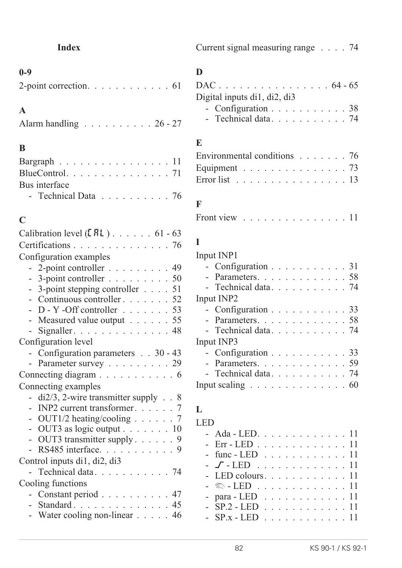# **0-9**

| 2-point correction. $\ldots \ldots \ldots \ldots 61$ |  |  |  |  |  |  |
|------------------------------------------------------|--|--|--|--|--|--|
|                                                      |  |  |  |  |  |  |

# **A**

| Alarm handling $\ldots \ldots \ldots \ldots 26 - 27$ |  |  |  |  |  |  |  |  |  |  |  |  |
|------------------------------------------------------|--|--|--|--|--|--|--|--|--|--|--|--|
|------------------------------------------------------|--|--|--|--|--|--|--|--|--|--|--|--|

# **B**

| Bargraph 11                                       |  |  |  |  |  |  |
|---------------------------------------------------|--|--|--|--|--|--|
|                                                   |  |  |  |  |  |  |
| Bus interface                                     |  |  |  |  |  |  |
| - Technical Data $\ldots \ldots \ldots \ldots 76$ |  |  |  |  |  |  |

# **C**

| Calibration level $(ERL)$ . 61 - 63              |  |
|--------------------------------------------------|--|
| Certifications 76                                |  |
| Configuration examples                           |  |
| - 2-point controller 49                          |  |
| - 3-point controller 50                          |  |
| 3-point stepping controller $\ldots$ 51          |  |
| - Continuous controller 52                       |  |
| $D - Y$ -Off controller 53                       |  |
| - Measured value output 55                       |  |
| Signaller.<br>48<br>$\sim$                       |  |
| Configuration level                              |  |
| - Configuration parameters 30 - 43               |  |
| - Parameter survey 29                            |  |
| Connecting diagram 6                             |  |
| Connecting examples                              |  |
| $di2/3$ , 2-wire transmitter supply $\ldots$ 8   |  |
| INP2 current transformer. 7                      |  |
| - OUT1/2 heating/cooling 7                       |  |
| - OUT3 as logic output $\ldots \ldots \ldots 10$ |  |
| - OUT3 transmitter supply. $\ldots$ 9            |  |
| RS485 interface. 9                               |  |
| Control inputs di1, di2, di3                     |  |
| Technical data 74                                |  |
| Cooling functions                                |  |
| - Constant period 47                             |  |
| - Standard. 45                                   |  |
| - Water cooling non-linear 46                    |  |

|  | Current signal measuring range 74 |  |  |  |  |  |
|--|-----------------------------------|--|--|--|--|--|
|--|-----------------------------------|--|--|--|--|--|

# **D**

| $DAC \dots \dots \dots \dots \dots \dots \dots 64 - 65$ |  |
|---------------------------------------------------------|--|
| Digital inputs di1, di2, di3                            |  |
| - Configuration 38                                      |  |
| - Technical data 74                                     |  |
|                                                         |  |

# **E**

| Environmental conditions $\ldots \ldots \ldots$ 76        |  |  |  |  |  |  |  |  |  |
|-----------------------------------------------------------|--|--|--|--|--|--|--|--|--|
| Equipment 73                                              |  |  |  |  |  |  |  |  |  |
| Error list $\ldots \ldots \ldots \ldots \ldots \ldots 13$ |  |  |  |  |  |  |  |  |  |

# **F**

| Front view<br>. 11 |
|--------------------|
|--------------------|

# **I**

| Input INP1                                            |  |  |  |  |  |  |
|-------------------------------------------------------|--|--|--|--|--|--|
| - Configuration 31                                    |  |  |  |  |  |  |
| - Parameters. 58                                      |  |  |  |  |  |  |
| - Technical data 74                                   |  |  |  |  |  |  |
| Input INP2                                            |  |  |  |  |  |  |
| - Configuration 33                                    |  |  |  |  |  |  |
| - Parameters. 58                                      |  |  |  |  |  |  |
| - Technical data 74                                   |  |  |  |  |  |  |
| Input INP3                                            |  |  |  |  |  |  |
| - Configuration 33                                    |  |  |  |  |  |  |
| - Parameters. 59                                      |  |  |  |  |  |  |
| - Technical data 74                                   |  |  |  |  |  |  |
| Input scaling $\ldots \ldots \ldots \ldots \ldots 60$ |  |  |  |  |  |  |
|                                                       |  |  |  |  |  |  |

# **L**

| LED                                               |  |  |  |  |  |  |
|---------------------------------------------------|--|--|--|--|--|--|
| $- \text{Ada} - \text{LED}$ 11                    |  |  |  |  |  |  |
| - Err - LED 11                                    |  |  |  |  |  |  |
| $-$ func $-$ LED $\ldots \ldots \ldots \ldots 11$ |  |  |  |  |  |  |
| $ \sqrt{ }$ - LED 11                              |  |  |  |  |  |  |
| - LED colours. 11                                 |  |  |  |  |  |  |
| $ \infty$ - LED 11                                |  |  |  |  |  |  |
| - para - LED $\ldots$ 11                          |  |  |  |  |  |  |
| $- SP.2 - LED 11$                                 |  |  |  |  |  |  |
| $- SP.x - LED$                                    |  |  |  |  |  |  |
|                                                   |  |  |  |  |  |  |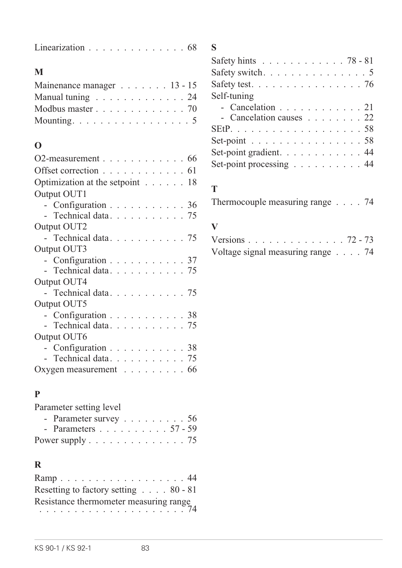| Linearization $\ldots \ldots \ldots \ldots \ldots 68$ |  |  |  |  |  |  |  |  |  |  |  |  |  |  |  |
|-------------------------------------------------------|--|--|--|--|--|--|--|--|--|--|--|--|--|--|--|
|-------------------------------------------------------|--|--|--|--|--|--|--|--|--|--|--|--|--|--|--|

# **M**

| Mainenance manager 13 - 15                            |  |
|-------------------------------------------------------|--|
| Manual tuning 24                                      |  |
| Modbus master $\ldots \ldots \ldots \ldots \ldots$ 70 |  |
| Mounting. $\dots \dots \dots \dots \dots \dots \dots$ |  |

## **O**

| O2-measurement $\ldots \ldots \ldots \ldots \ldots 66$ |  |  |  |  |  |
|--------------------------------------------------------|--|--|--|--|--|
| Offset correction $\ldots \ldots \ldots \ldots 61$     |  |  |  |  |  |
| Optimization at the setpoint 18                        |  |  |  |  |  |
| Output OUT1                                            |  |  |  |  |  |
| - Configuration 36                                     |  |  |  |  |  |
| - Technical data 75                                    |  |  |  |  |  |
| Output OUT2                                            |  |  |  |  |  |
| - Technical data 75                                    |  |  |  |  |  |
| Output OUT3                                            |  |  |  |  |  |
| - Configuration 37                                     |  |  |  |  |  |
| - Technical data 75                                    |  |  |  |  |  |
| Output OUT4                                            |  |  |  |  |  |
| - Technical data 75                                    |  |  |  |  |  |
| Output OUT5                                            |  |  |  |  |  |
| - Configuration 38                                     |  |  |  |  |  |
| - Technical data 75                                    |  |  |  |  |  |
| Output OUT6                                            |  |  |  |  |  |
| - Configuration 38                                     |  |  |  |  |  |
| - Technical data 75                                    |  |  |  |  |  |
| Oxygen measurement $\ldots \ldots \ldots$ 66           |  |  |  |  |  |
|                                                        |  |  |  |  |  |

# **P**

Parameter setting level

| - Parameter survey $\ldots \ldots \ldots 56$ |  |
|----------------------------------------------|--|
| - Parameters 57 - 59                         |  |
|                                              |  |

# **R**

| Ramp44                                          |  |
|-------------------------------------------------|--|
| Resetting to factory setting $\ldots$ . 80 - 81 |  |
|                                                 |  |
|                                                 |  |

# **S**

| Safety hints $\ldots \ldots \ldots \ldots \ldots 78 - 81$ |  |
|-----------------------------------------------------------|--|
| Safety switch. $\ldots$ 5                                 |  |
| Safety test. $\ldots$ 76                                  |  |
| Self-tuning                                               |  |
| - Cancelation 21                                          |  |
| - Cancelation causes 22                                   |  |
|                                                           |  |
| Set-point 58                                              |  |
| Set-point gradient. 44                                    |  |
| Set-point processing 44                                   |  |

# **T**

Thermocouple measuring range . . . . 74

## **V**

| Versions 72 - 73                             |  |  |  |  |  |  |  |  |
|----------------------------------------------|--|--|--|--|--|--|--|--|
| Voltage signal measuring range $\ldots$ . 74 |  |  |  |  |  |  |  |  |